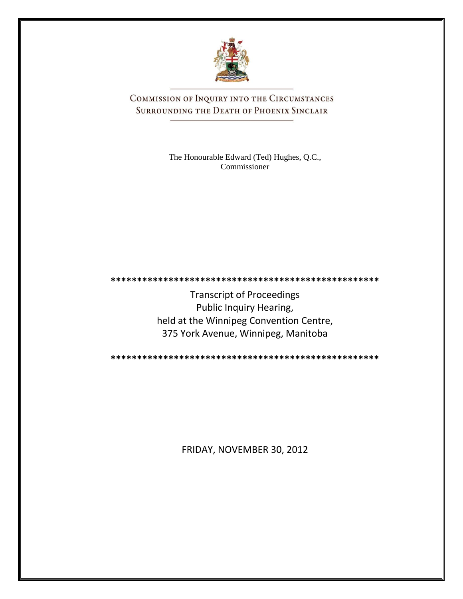

COMMISSION OF INQUIRY INTO THE CIRCUMSTANCES SURROUNDING THE DEATH OF PHOENIX SINCLAIR

> The Honourable Edward (Ted) Hughes, Q.C., Commissioner

Transcript of Proceedings Public Inquiry Hearing, held at the Winnipeg Convention Centre, 375 York Avenue, Winnipeg, Manitoba

**\*\*\*\*\*\*\*\*\*\*\*\*\*\*\*\*\*\*\*\*\*\*\*\*\*\*\*\*\*\*\*\*\*\*\*\*\*\*\*\*\*\*\*\*\*\*\*\*\*\*\***

**\*\*\*\*\*\*\*\*\*\*\*\*\*\*\*\*\*\*\*\*\*\*\*\*\*\*\*\*\*\*\*\*\*\*\*\*\*\*\*\*\*\*\*\*\*\*\*\*\*\*\***

FRIDAY, NOVEMBER 30, 2012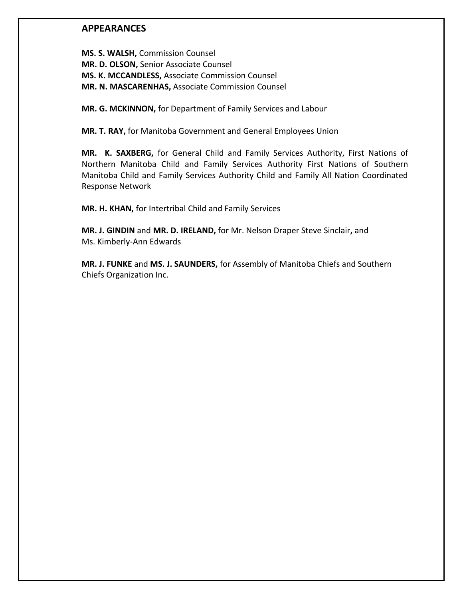### **APPEARANCES**

**MS. S. WALSH,** Commission Counsel **MR. D. OLSON,** Senior Associate Counsel **MS. K. MCCANDLESS,** Associate Commission Counsel **MR. N. MASCARENHAS,** Associate Commission Counsel

**MR. G. MCKINNON,** for Department of Family Services and Labour

**MR. T. RAY,** for Manitoba Government and General Employees Union

**MR. K. SAXBERG,** for General Child and Family Services Authority, First Nations of Northern Manitoba Child and Family Services Authority First Nations of Southern Manitoba Child and Family Services Authority Child and Family All Nation Coordinated Response Network

**MR. H. KHAN,** for Intertribal Child and Family Services

**MR. J. GINDIN** and **MR. D. IRELAND,** for Mr. Nelson Draper Steve Sinclair**,** and Ms. Kimberly-Ann Edwards

**MR. J. FUNKE** and **MS. J. SAUNDERS,** for Assembly of Manitoba Chiefs and Southern Chiefs Organization Inc.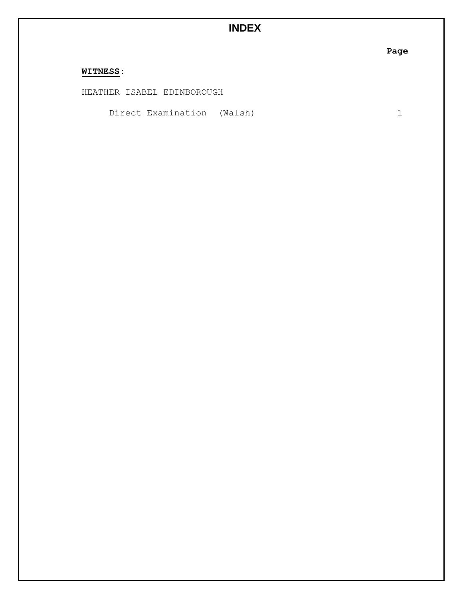# **INDEX**

**Page**

## **WITNESS:**

HEATHER ISABEL EDINBOROUGH

Direct Examination (Walsh) 1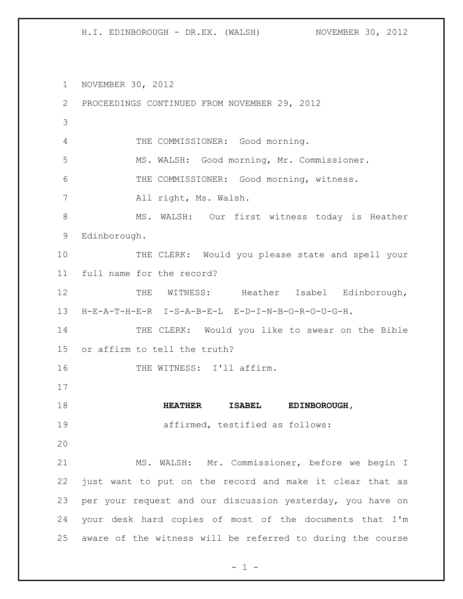NOVEMBER 30, 2012 PROCEEDINGS CONTINUED FROM NOVEMBER 29, 2012 THE COMMISSIONER: Good morning. MS. WALSH: Good morning, Mr. Commissioner. THE COMMISSIONER: Good morning, witness. All right, Ms. Walsh. MS. WALSH: Our first witness today is Heather Edinborough. 10 THE CLERK: Would you please state and spell your full name for the record? 12 THE WITNESS: Heather Isabel Edinborough, H-E-A-T-H-E-R I-S-A-B-E-L E-D-I-N-B-O-R-O-U-G-H. 14 THE CLERK: Would you like to swear on the Bible or affirm to tell the truth? 16 THE WITNESS: I'll affirm. **HEATHER ISABEL EDINBOROUGH,**  affirmed, testified as follows: MS. WALSH: Mr. Commissioner, before we begin I just want to put on the record and make it clear that as per your request and our discussion yesterday, you have on your desk hard copies of most of the documents that I'm aware of the witness will be referred to during the course

 $- 1 -$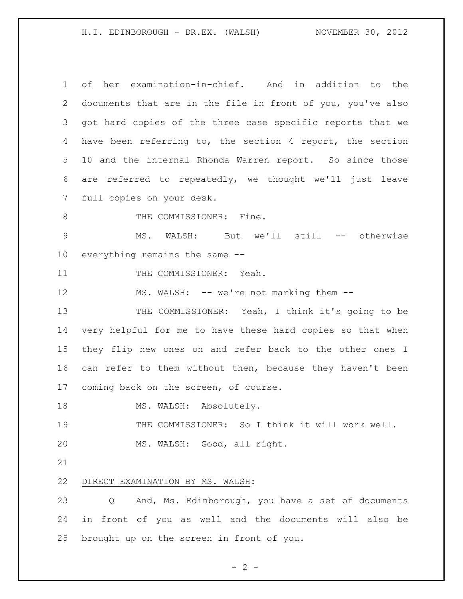of her examination-in-chief. And in addition to the documents that are in the file in front of you, you've also got hard copies of the three case specific reports that we have been referring to, the section 4 report, the section 10 and the internal Rhonda Warren report. So since those are referred to repeatedly, we thought we'll just leave full copies on your desk. 8 THE COMMISSIONER: Fine. MS. WALSH: But we'll still -- otherwise everything remains the same -- 11 THE COMMISSIONER: Yeah. 12 MS. WALSH: -- we're not marking them --13 THE COMMISSIONER: Yeah, I think it's going to be very helpful for me to have these hard copies so that when they flip new ones on and refer back to the other ones I can refer to them without then, because they haven't been coming back on the screen, of course. 18 MS. WALSH: Absolutely. THE COMMISSIONER: So I think it will work well. MS. WALSH: Good, all right. DIRECT EXAMINATION BY MS. WALSH: Q And, Ms. Edinborough, you have a set of documents in front of you as well and the documents will also be brought up on the screen in front of you.

 $- 2 -$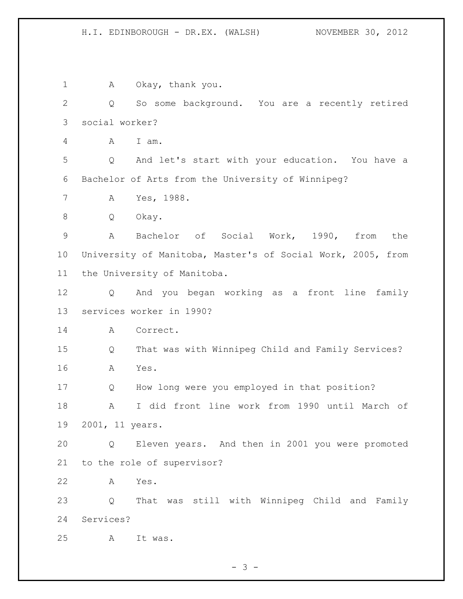1 A Okay, thank you. Q So some background. You are a recently retired social worker? A I am. Q And let's start with your education. You have a Bachelor of Arts from the University of Winnipeg? A Yes, 1988. Q Okay. A Bachelor of Social Work, 1990, from the University of Manitoba, Master's of Social Work, 2005, from the University of Manitoba. Q And you began working as a front line family services worker in 1990? 14 A Correct. Q That was with Winnipeg Child and Family Services? A Yes. Q How long were you employed in that position? A I did front line work from 1990 until March of 2001, 11 years. Q Eleven years. And then in 2001 you were promoted to the role of supervisor? A Yes. Q That was still with Winnipeg Child and Family Services? A It was.

 $- 3 -$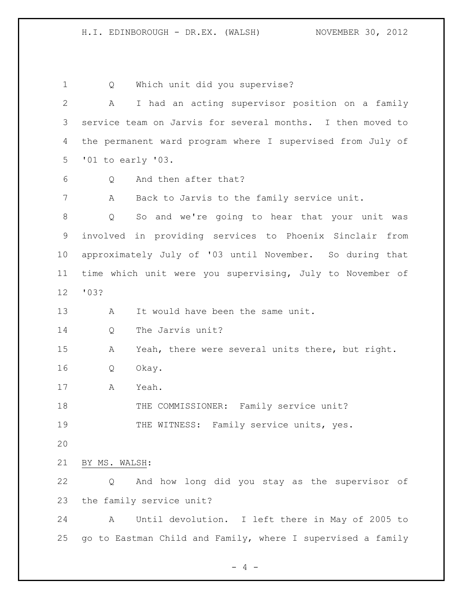Q Which unit did you supervise? A I had an acting supervisor position on a family service team on Jarvis for several months. I then moved to the permanent ward program where I supervised from July of '01 to early '03. Q And then after that? A Back to Jarvis to the family service unit. Q So and we're going to hear that your unit was involved in providing services to Phoenix Sinclair from approximately July of '03 until November. So during that time which unit were you supervising, July to November of '03? 13 A It would have been the same unit. Q The Jarvis unit? A Yeah, there were several units there, but right. Q Okay. A Yeah. 18 THE COMMISSIONER: Family service unit? 19 THE WITNESS: Family service units, yes. BY MS. WALSH: Q And how long did you stay as the supervisor of the family service unit? A Until devolution. I left there in May of 2005 to go to Eastman Child and Family, where I supervised a family

 $- 4 -$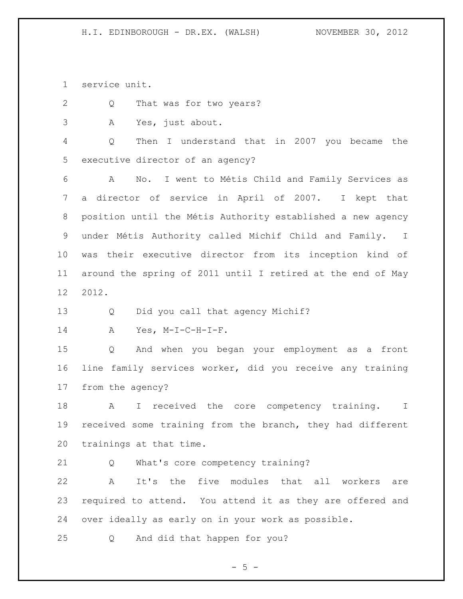service unit.

Q That was for two years?

A Yes, just about.

 Q Then I understand that in 2007 you became the executive director of an agency?

 A No. I went to Métis Child and Family Services as a director of service in April of 2007. I kept that position until the Métis Authority established a new agency under Métis Authority called Michif Child and Family. I was their executive director from its inception kind of around the spring of 2011 until I retired at the end of May 2012.

Q Did you call that agency Michif?

A Yes, M-I-C-H-I-F.

 Q And when you began your employment as a front line family services worker, did you receive any training from the agency?

18 A I received the core competency training. I received some training from the branch, they had different trainings at that time.

Q What's core competency training?

 A It's the five modules that all workers are required to attend. You attend it as they are offered and over ideally as early on in your work as possible.

Q And did that happen for you?

 $- 5 -$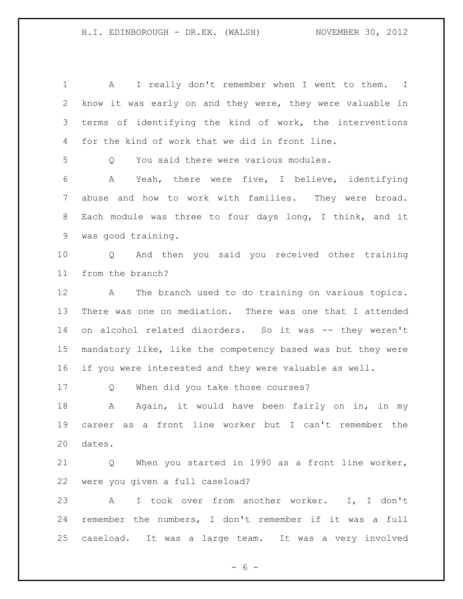A I really don't remember when I went to them. I know it was early on and they were, they were valuable in terms of identifying the kind of work, the interventions for the kind of work that we did in front line. Q You said there were various modules. A Yeah, there were five, I believe, identifying abuse and how to work with families. They were broad. Each module was three to four days long, I think, and it was good training. Q And then you said you received other training from the branch? A The branch used to do training on various topics. There was one on mediation. There was one that I attended on alcohol related disorders. So it was -- they weren't mandatory like, like the competency based was but they were if you were interested and they were valuable as well. Q When did you take those courses? 18 A Again, it would have been fairly on in, in my career as a front line worker but I can't remember the dates. Q When you started in 1990 as a front line worker, were you given a full caseload? A I took over from another worker. I, I don't remember the numbers, I don't remember if it was a full caseload. It was a large team. It was a very involved

 $- 6 -$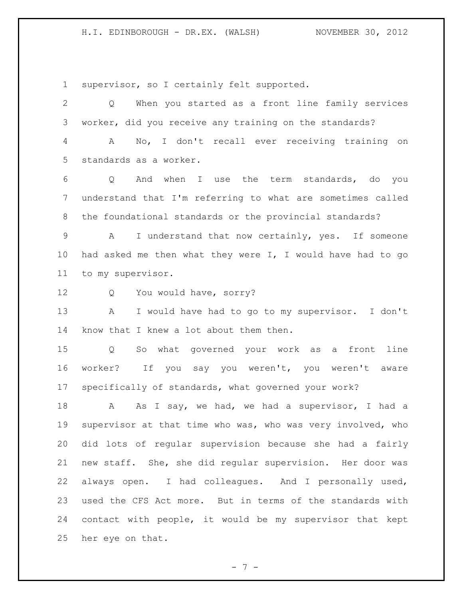supervisor, so I certainly felt supported.

 Q When you started as a front line family services worker, did you receive any training on the standards? A No, I don't recall ever receiving training on standards as a worker. Q And when I use the term standards, do you understand that I'm referring to what are sometimes called the foundational standards or the provincial standards? A I understand that now certainly, yes. If someone had asked me then what they were I, I would have had to go to my supervisor. Q You would have, sorry? A I would have had to go to my supervisor. I don't know that I knew a lot about them then. Q So what governed your work as a front line worker? If you say you weren't, you weren't aware specifically of standards, what governed your work? 18 A As I say, we had, we had a supervisor, I had a supervisor at that time who was, who was very involved, who did lots of regular supervision because she had a fairly new staff. She, she did regular supervision. Her door was always open. I had colleagues. And I personally used, used the CFS Act more. But in terms of the standards with contact with people, it would be my supervisor that kept her eye on that.

- 7 -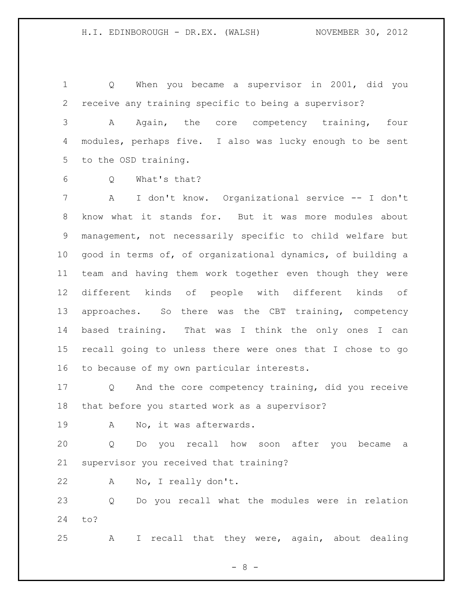Q When you became a supervisor in 2001, did you receive any training specific to being a supervisor?

 A Again, the core competency training, four modules, perhaps five. I also was lucky enough to be sent to the OSD training.

Q What's that?

 A I don't know. Organizational service -- I don't know what it stands for. But it was more modules about management, not necessarily specific to child welfare but good in terms of, of organizational dynamics, of building a team and having them work together even though they were different kinds of people with different kinds of approaches. So there was the CBT training, competency based training. That was I think the only ones I can recall going to unless there were ones that I chose to go to because of my own particular interests.

 Q And the core competency training, did you receive that before you started work as a supervisor?

A No, it was afterwards.

 Q Do you recall how soon after you became a supervisor you received that training?

A No, I really don't.

 Q Do you recall what the modules were in relation to?

A I recall that they were, again, about dealing

- 8 -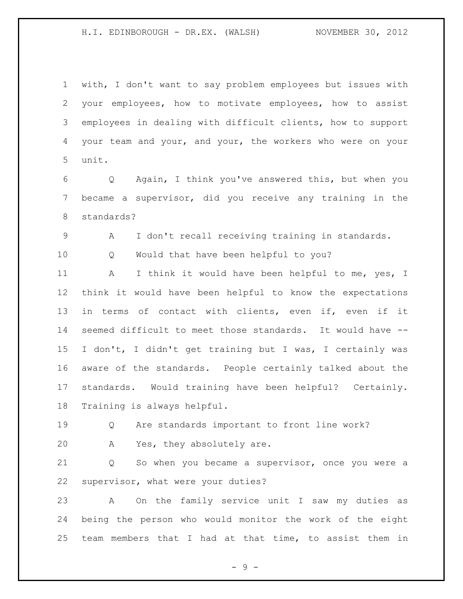with, I don't want to say problem employees but issues with your employees, how to motivate employees, how to assist employees in dealing with difficult clients, how to support your team and your, and your, the workers who were on your unit.

 Q Again, I think you've answered this, but when you became a supervisor, did you receive any training in the standards?

A I don't recall receiving training in standards.

Q Would that have been helpful to you?

11 A I think it would have been helpful to me, yes, I think it would have been helpful to know the expectations in terms of contact with clients, even if, even if it seemed difficult to meet those standards. It would have -- I don't, I didn't get training but I was, I certainly was aware of the standards. People certainly talked about the standards. Would training have been helpful? Certainly. Training is always helpful.

 Q Are standards important to front line work? A Yes, they absolutely are.

 Q So when you became a supervisor, once you were a supervisor, what were your duties?

 A On the family service unit I saw my duties as being the person who would monitor the work of the eight team members that I had at that time, to assist them in

- 9 -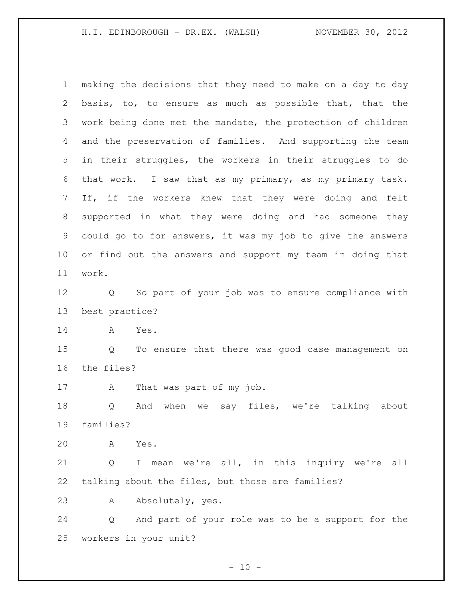making the decisions that they need to make on a day to day basis, to, to ensure as much as possible that, that the work being done met the mandate, the protection of children and the preservation of families. And supporting the team in their struggles, the workers in their struggles to do that work. I saw that as my primary, as my primary task. If, if the workers knew that they were doing and felt supported in what they were doing and had someone they could go to for answers, it was my job to give the answers or find out the answers and support my team in doing that work.

 Q So part of your job was to ensure compliance with best practice?

A Yes.

 Q To ensure that there was good case management on the files?

A That was part of my job.

 Q And when we say files, we're talking about families?

A Yes.

 Q I mean we're all, in this inquiry we're all talking about the files, but those are families?

A Absolutely, yes.

 Q And part of your role was to be a support for the workers in your unit?

 $- 10 -$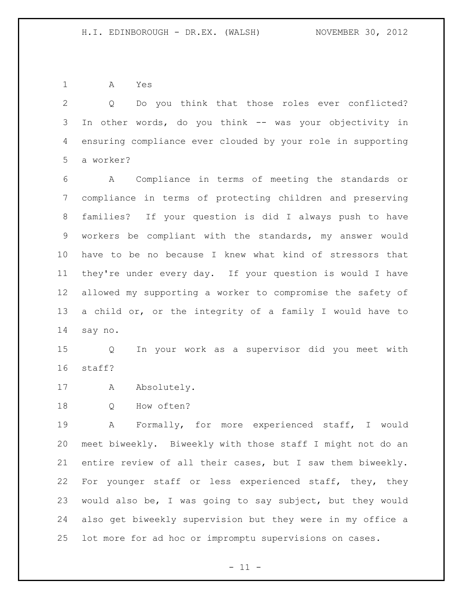A Yes

 Q Do you think that those roles ever conflicted? In other words, do you think -- was your objectivity in ensuring compliance ever clouded by your role in supporting a worker?

 A Compliance in terms of meeting the standards or compliance in terms of protecting children and preserving families? If your question is did I always push to have workers be compliant with the standards, my answer would have to be no because I knew what kind of stressors that they're under every day. If your question is would I have allowed my supporting a worker to compromise the safety of a child or, or the integrity of a family I would have to say no.

 Q In your work as a supervisor did you meet with staff?

17 A Absolutely.

Q How often?

 A Formally, for more experienced staff, I would meet biweekly. Biweekly with those staff I might not do an entire review of all their cases, but I saw them biweekly. For younger staff or less experienced staff, they, they would also be, I was going to say subject, but they would also get biweekly supervision but they were in my office a lot more for ad hoc or impromptu supervisions on cases.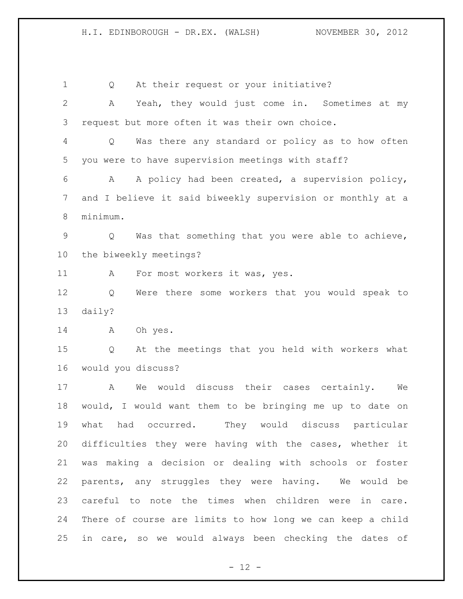1 Q At their request or your initiative? A Yeah, they would just come in. Sometimes at my request but more often it was their own choice. Q Was there any standard or policy as to how often you were to have supervision meetings with staff? A A policy had been created, a supervision policy, and I believe it said biweekly supervision or monthly at a minimum. Q Was that something that you were able to achieve, the biweekly meetings? 11 A For most workers it was, yes. Q Were there some workers that you would speak to daily? A Oh yes. Q At the meetings that you held with workers what would you discuss? A We would discuss their cases certainly. We would, I would want them to be bringing me up to date on what had occurred. They would discuss particular difficulties they were having with the cases, whether it was making a decision or dealing with schools or foster parents, any struggles they were having. We would be careful to note the times when children were in care. There of course are limits to how long we can keep a child in care, so we would always been checking the dates of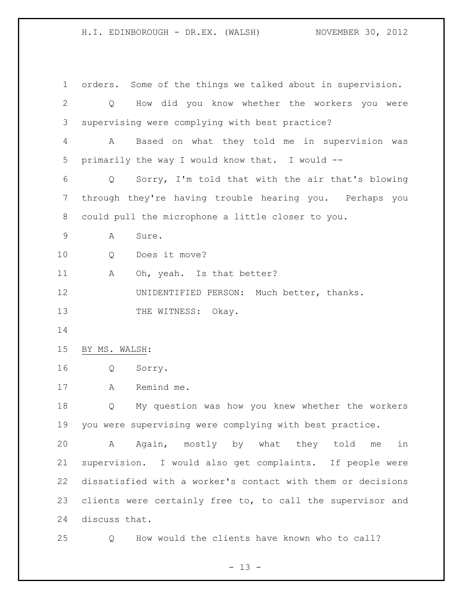orders. Some of the things we talked about in supervision. Q How did you know whether the workers you were supervising were complying with best practice? A Based on what they told me in supervision was primarily the way I would know that. I would -- Q Sorry, I'm told that with the air that's blowing through they're having trouble hearing you. Perhaps you could pull the microphone a little closer to you. A Sure. Q Does it move? 11 A Oh, yeah. Is that better? UNIDENTIFIED PERSON: Much better, thanks. 13 THE WITNESS: Okay. BY MS. WALSH: Q Sorry. A Remind me. Q My question was how you knew whether the workers you were supervising were complying with best practice. A Again, mostly by what they told me in supervision. I would also get complaints. If people were dissatisfied with a worker's contact with them or decisions 23 clients were certainly free to, to call the supervisor and discuss that. Q How would the clients have known who to call?

 $- 13 -$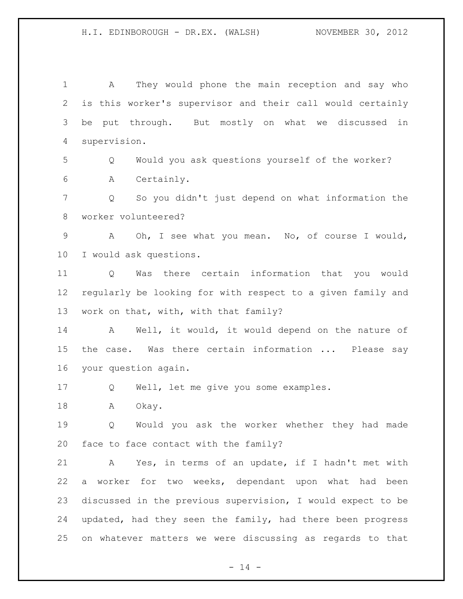A They would phone the main reception and say who is this worker's supervisor and their call would certainly be put through. But mostly on what we discussed in supervision.

 Q Would you ask questions yourself of the worker? A Certainly.

 Q So you didn't just depend on what information the worker volunteered?

 A Oh, I see what you mean. No, of course I would, I would ask questions.

 Q Was there certain information that you would regularly be looking for with respect to a given family and work on that, with, with that family?

 A Well, it would, it would depend on the nature of 15 the case. Was there certain information ... Please say your question again.

Q Well, let me give you some examples.

18 A Okay.

 Q Would you ask the worker whether they had made face to face contact with the family?

 A Yes, in terms of an update, if I hadn't met with a worker for two weeks, dependant upon what had been discussed in the previous supervision, I would expect to be updated, had they seen the family, had there been progress on whatever matters we were discussing as regards to that

 $- 14 -$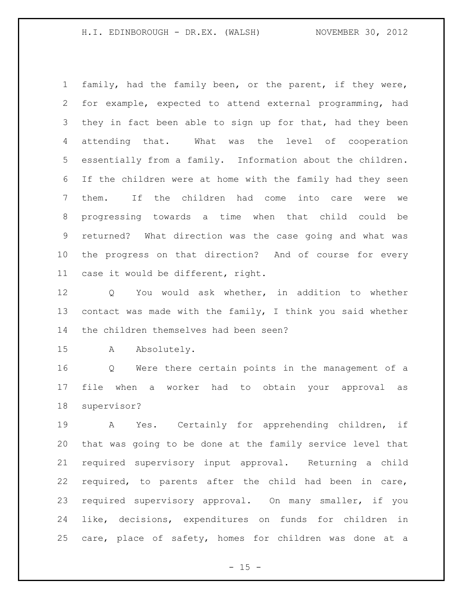family, had the family been, or the parent, if they were, for example, expected to attend external programming, had 3 they in fact been able to sign up for that, had they been attending that. What was the level of cooperation essentially from a family. Information about the children. If the children were at home with the family had they seen them. If the children had come into care were we progressing towards a time when that child could be returned? What direction was the case going and what was the progress on that direction? And of course for every case it would be different, right.

 Q You would ask whether, in addition to whether contact was made with the family, I think you said whether the children themselves had been seen?

A Absolutely.

 Q Were there certain points in the management of a file when a worker had to obtain your approval as supervisor?

 A Yes. Certainly for apprehending children, if that was going to be done at the family service level that required supervisory input approval. Returning a child required, to parents after the child had been in care, required supervisory approval. On many smaller, if you like, decisions, expenditures on funds for children in care, place of safety, homes for children was done at a

 $- 15 -$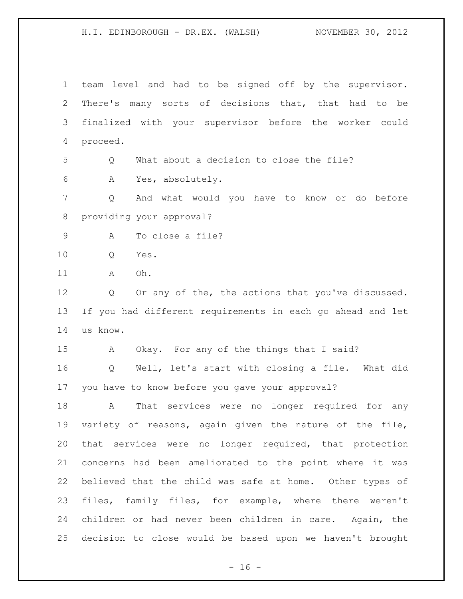team level and had to be signed off by the supervisor. There's many sorts of decisions that, that had to be finalized with your supervisor before the worker could proceed. Q What about a decision to close the file? A Yes, absolutely. Q And what would you have to know or do before providing your approval? A To close a file? Q Yes. A Oh. 12 Q Or any of the, the actions that you've discussed. If you had different requirements in each go ahead and let us know. A Okay. For any of the things that I said? Q Well, let's start with closing a file. What did you have to know before you gave your approval? A That services were no longer required for any variety of reasons, again given the nature of the file, that services were no longer required, that protection concerns had been ameliorated to the point where it was believed that the child was safe at home. Other types of files, family files, for example, where there weren't children or had never been children in care. Again, the decision to close would be based upon we haven't brought

 $- 16 -$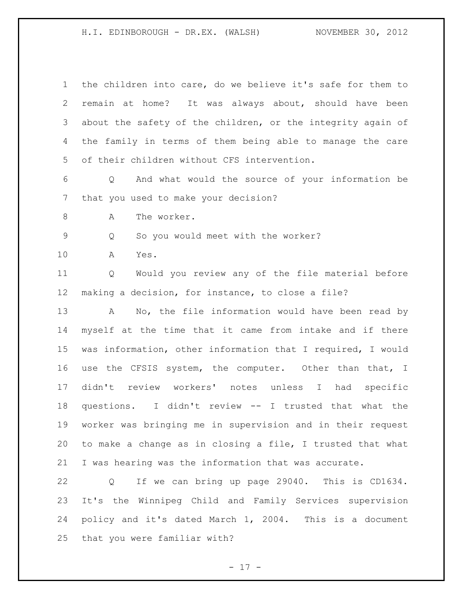the children into care, do we believe it's safe for them to remain at home? It was always about, should have been about the safety of the children, or the integrity again of the family in terms of them being able to manage the care of their children without CFS intervention. Q And what would the source of your information be that you used to make your decision? 8 A The worker. Q So you would meet with the worker? A Yes. Q Would you review any of the file material before making a decision, for instance, to close a file? A No, the file information would have been read by myself at the time that it came from intake and if there was information, other information that I required, I would use the CFSIS system, the computer. Other than that, I didn't review workers' notes unless I had specific questions. I didn't review -- I trusted that what the worker was bringing me in supervision and in their request to make a change as in closing a file, I trusted that what I was hearing was the information that was accurate. Q If we can bring up page 29040. This is CD1634. It's the Winnipeg Child and Family Services supervision policy and it's dated March 1, 2004. This is a document that you were familiar with?

- 17 -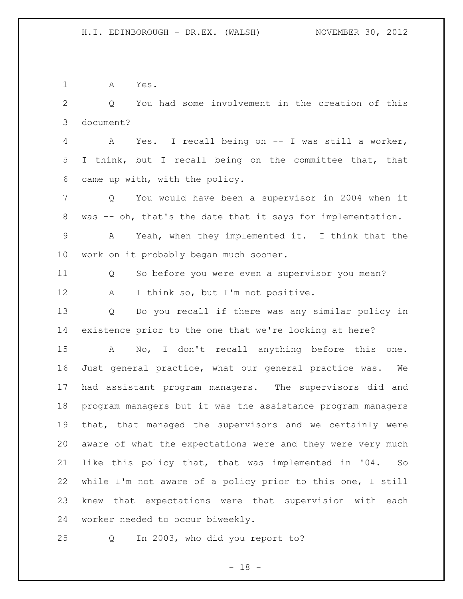A Yes.

 Q You had some involvement in the creation of this document?

 A Yes. I recall being on -- I was still a worker, I think, but I recall being on the committee that, that came up with, with the policy.

 Q You would have been a supervisor in 2004 when it was -- oh, that's the date that it says for implementation.

 A Yeah, when they implemented it. I think that the work on it probably began much sooner.

 Q So before you were even a supervisor you mean? 12 A I think so, but I'm not positive.

 Q Do you recall if there was any similar policy in existence prior to the one that we're looking at here?

 A No, I don't recall anything before this one. Just general practice, what our general practice was. We had assistant program managers. The supervisors did and program managers but it was the assistance program managers that, that managed the supervisors and we certainly were aware of what the expectations were and they were very much like this policy that, that was implemented in '04. So while I'm not aware of a policy prior to this one, I still knew that expectations were that supervision with each worker needed to occur biweekly.

Q In 2003, who did you report to?

- 18 -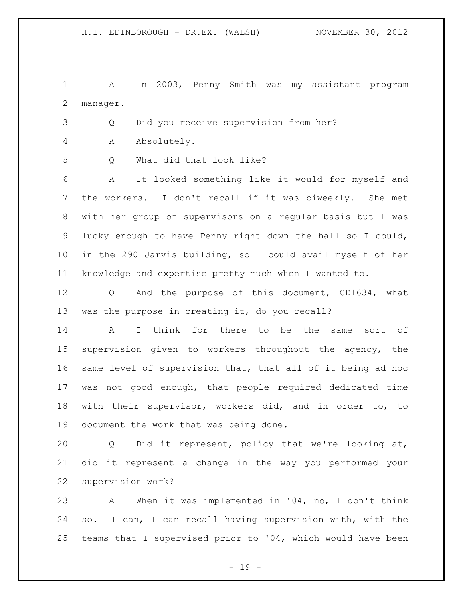A In 2003, Penny Smith was my assistant program manager.

Q Did you receive supervision from her?

A Absolutely.

Q What did that look like?

 A It looked something like it would for myself and the workers. I don't recall if it was biweekly. She met with her group of supervisors on a regular basis but I was lucky enough to have Penny right down the hall so I could, in the 290 Jarvis building, so I could avail myself of her knowledge and expertise pretty much when I wanted to.

 Q And the purpose of this document, CD1634, what was the purpose in creating it, do you recall?

 A I think for there to be the same sort of supervision given to workers throughout the agency, the same level of supervision that, that all of it being ad hoc was not good enough, that people required dedicated time with their supervisor, workers did, and in order to, to document the work that was being done.

 Q Did it represent, policy that we're looking at, did it represent a change in the way you performed your supervision work?

 A When it was implemented in '04, no, I don't think so. I can, I can recall having supervision with, with the teams that I supervised prior to '04, which would have been

- 19 -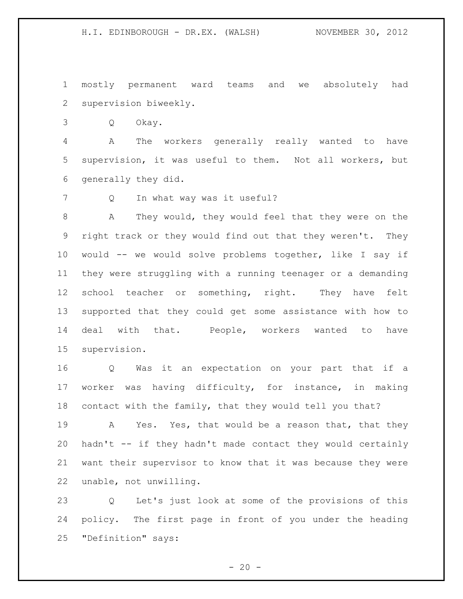mostly permanent ward teams and we absolutely had supervision biweekly.

Q Okay.

 A The workers generally really wanted to have supervision, it was useful to them. Not all workers, but generally they did.

7 Q In what way was it useful?

 A They would, they would feel that they were on the right track or they would find out that they weren't. They would -- we would solve problems together, like I say if they were struggling with a running teenager or a demanding school teacher or something, right. They have felt supported that they could get some assistance with how to deal with that. People, workers wanted to have supervision.

 Q Was it an expectation on your part that if a worker was having difficulty, for instance, in making contact with the family, that they would tell you that?

19 A Yes. Yes, that would be a reason that, that they hadn't -- if they hadn't made contact they would certainly want their supervisor to know that it was because they were unable, not unwilling.

 Q Let's just look at some of the provisions of this policy. The first page in front of you under the heading "Definition" says:

 $- 20 -$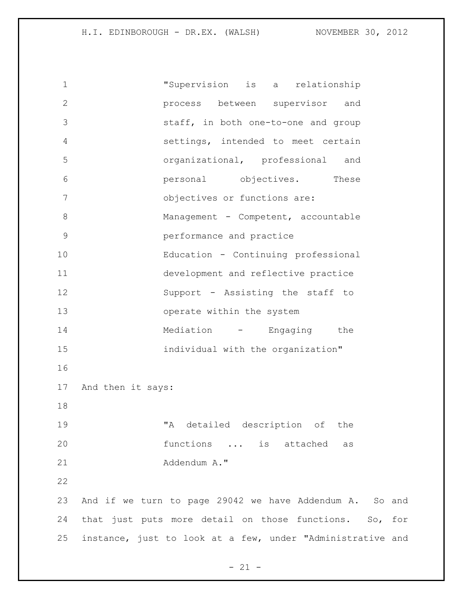| $\mathbf 1$ | "Supervision<br>relationship<br>is a                       |
|-------------|------------------------------------------------------------|
| 2           | process between supervisor<br>and                          |
| 3           | staff, in both one-to-one and group                        |
| 4           | settings, intended to meet certain                         |
| 5           | organizational, professional and                           |
| 6           | personal objectives. These                                 |
| 7           | objectives or functions are:                               |
| 8           | Management - Competent, accountable                        |
| $\mathsf 9$ | performance and practice                                   |
| 10          | Education - Continuing professional                        |
| 11          | development and reflective practice                        |
| 12          | Support - Assisting the staff to                           |
| 13          | operate within the system                                  |
| 14          | Mediation - Engaging the                                   |
| 15          | individual with the organization"                          |
| 16          |                                                            |
| 17          | And then it says:                                          |
| 18          |                                                            |
| 19          | "A detailed description of the                             |
| 20          | functions  is attached as                                  |
| 21          | Addendum A."                                               |
| 22          |                                                            |
| 23          | And if we turn to page 29042 we have Addendum A. So and    |
| 24          | that just puts more detail on those functions. So, for     |
| 25          | instance, just to look at a few, under "Administrative and |
|             |                                                            |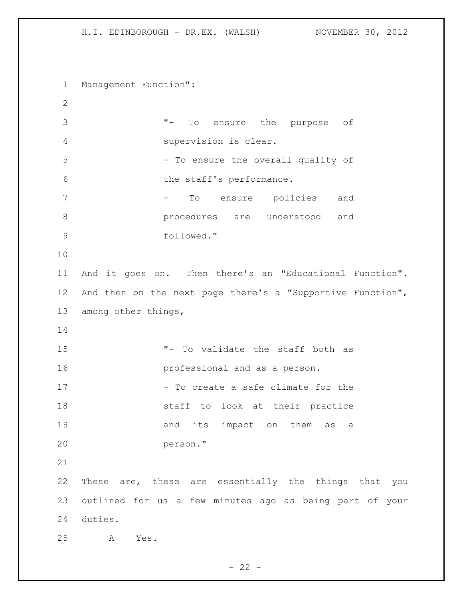Management Function": "- To ensure the purpose of supervision is clear. 5 - To ensure the overall quality of 6 the staff's performance. 7 To ensure policies and procedures are understood and followed." And it goes on. Then there's an "Educational Function". And then on the next page there's a "Supportive Function", among other things, "- To validate the staff both as professional and as a person. 17 - To create a safe climate for the staff to look at their practice 19 and its impact on them as a person." These are, these are essentially the things that you outlined for us a few minutes ago as being part of your duties. A Yes.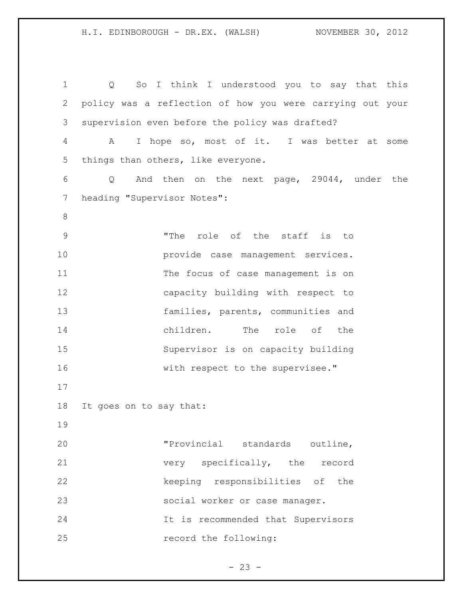H.I. EDINBOROUGH - DR.EX. (WALSH) NOVEMBER 30, 2012 Q So I think I understood you to say that this policy was a reflection of how you were carrying out your supervision even before the policy was drafted? A I hope so, most of it. I was better at some things than others, like everyone. Q And then on the next page, 29044, under the heading "Supervisor Notes": 

 "The role of the staff is to provide case management services. 11 The focus of case management is on capacity building with respect to families, parents, communities and children. The role of the Supervisor is on capacity building 16 with respect to the supervisee."

It goes on to say that:

 "Provincial standards outline, very specifically, the record 22 keeping responsibilities of the social worker or case manager. It is recommended that Supervisors record the following:

 $- 23 -$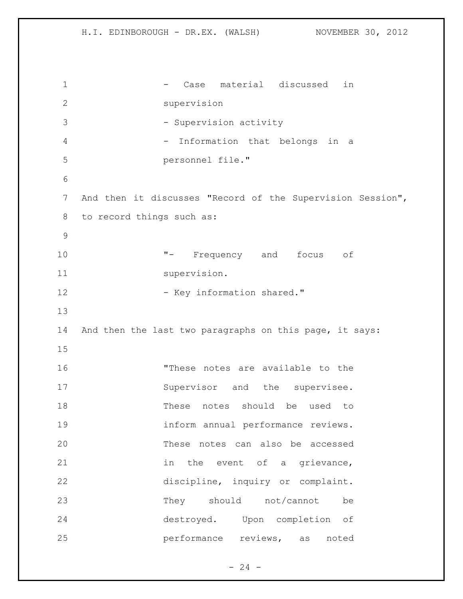1 - Case material discussed in supervision 3 - Supervision activity 4 - Information that belongs in a personnel file." And then it discusses "Record of the Supervision Session", to record things such as: "- Frequency and focus of 11 supervision. 12 - Key information shared." And then the last two paragraphs on this page, it says: "These notes are available to the 17 Supervisor and the supervisee. These notes should be used to inform annual performance reviews. These notes can also be accessed 21 in the event of a grievance, discipline, inquiry or complaint. 23 They should not/cannot be destroyed. Upon completion of performance reviews, as noted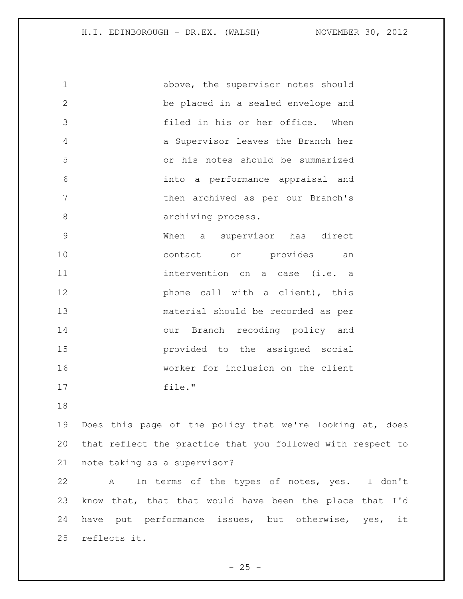| $\mathbf 1$    | above, the supervisor notes should |
|----------------|------------------------------------|
| $\overline{2}$ | be placed in a sealed envelope and |
| 3              | filed in his or her office. When   |
| 4              | a Supervisor leaves the Branch her |
| 5              | or his notes should be summarized  |
| 6              | into a performance appraisal and   |
| 7              | then archived as per our Branch's  |
| 8              | archiving process.                 |
| 9              | When a supervisor has direct       |
| 10             | contact or provides an             |
| 11             | intervention on a case (i.e. a     |
| 12             | phone call with a client), this    |
| 13             | material should be recorded as per |
| 14             | Branch recoding policy and<br>our  |
| 15             | provided to the assigned social    |
| 16             | worker for inclusion on the client |
| 17             | file."                             |
|                |                                    |

 Does this page of the policy that we're looking at, does that reflect the practice that you followed with respect to note taking as a supervisor?

 A In terms of the types of notes, yes. I don't know that, that that would have been the place that I'd have put performance issues, but otherwise, yes, it reflects it.

 $- 25 -$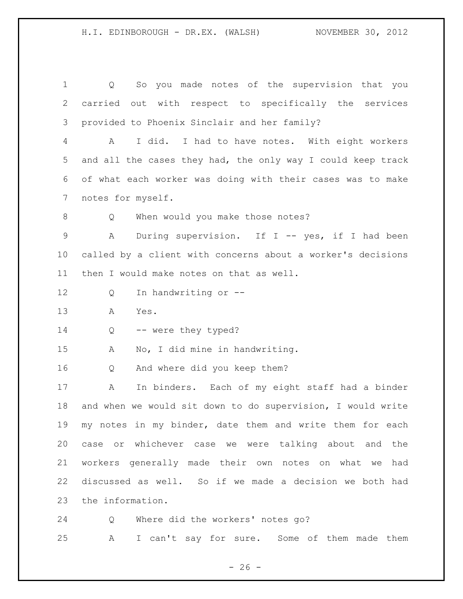Q So you made notes of the supervision that you carried out with respect to specifically the services provided to Phoenix Sinclair and her family? A I did. I had to have notes. With eight workers and all the cases they had, the only way I could keep track of what each worker was doing with their cases was to make notes for myself. 8 O When would you make those notes? A During supervision. If I -- yes, if I had been called by a client with concerns about a worker's decisions then I would make notes on that as well. Q In handwriting or -- A Yes. 14 Q -- were they typed? A No, I did mine in handwriting. Q And where did you keep them? A In binders. Each of my eight staff had a binder and when we would sit down to do supervision, I would write my notes in my binder, date them and write them for each case or whichever case we were talking about and the workers generally made their own notes on what we had discussed as well. So if we made a decision we both had the information. Q Where did the workers' notes go?

A I can't say for sure. Some of them made them

 $- 26 -$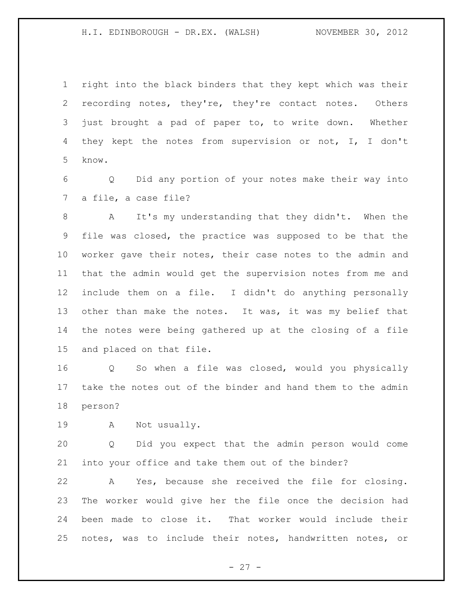right into the black binders that they kept which was their recording notes, they're, they're contact notes. Others just brought a pad of paper to, to write down. Whether they kept the notes from supervision or not, I, I don't know.

 Q Did any portion of your notes make their way into a file, a case file?

 A It's my understanding that they didn't. When the file was closed, the practice was supposed to be that the worker gave their notes, their case notes to the admin and that the admin would get the supervision notes from me and include them on a file. I didn't do anything personally 13 other than make the notes. It was, it was my belief that the notes were being gathered up at the closing of a file and placed on that file.

 Q So when a file was closed, would you physically take the notes out of the binder and hand them to the admin person?

A Not usually.

 Q Did you expect that the admin person would come into your office and take them out of the binder?

 A Yes, because she received the file for closing. The worker would give her the file once the decision had been made to close it. That worker would include their notes, was to include their notes, handwritten notes, or

- 27 -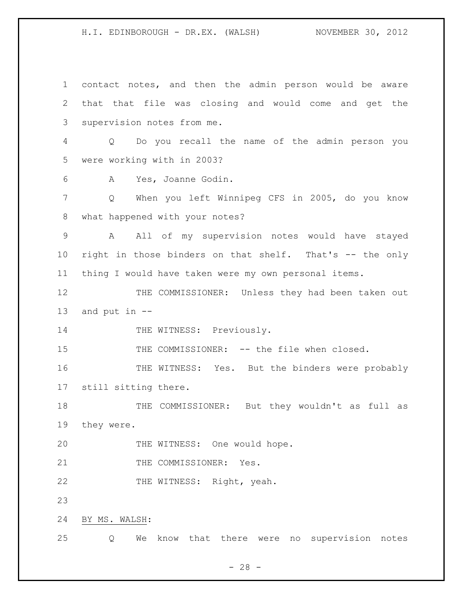contact notes, and then the admin person would be aware that that file was closing and would come and get the supervision notes from me. Q Do you recall the name of the admin person you were working with in 2003? A Yes, Joanne Godin. Q When you left Winnipeg CFS in 2005, do you know what happened with your notes? A All of my supervision notes would have stayed right in those binders on that shelf. That's -- the only thing I would have taken were my own personal items. 12 THE COMMISSIONER: Unless they had been taken out and put in -- 14 THE WITNESS: Previously. 15 THE COMMISSIONER: -- the file when closed. THE WITNESS: Yes. But the binders were probably still sitting there. THE COMMISSIONER: But they wouldn't as full as they were. 20 THE WITNESS: One would hope. 21 THE COMMISSIONER: Yes. 22 THE WITNESS: Right, yeah. BY MS. WALSH: Q We know that there were no supervision notes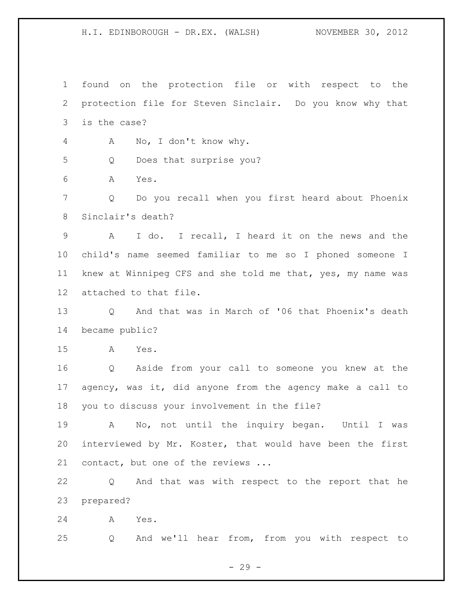found on the protection file or with respect to the protection file for Steven Sinclair. Do you know why that is the case?

A No, I don't know why.

Q Does that surprise you?

A Yes.

 Q Do you recall when you first heard about Phoenix Sinclair's death?

 A I do. I recall, I heard it on the news and the child's name seemed familiar to me so I phoned someone I knew at Winnipeg CFS and she told me that, yes, my name was attached to that file.

 Q And that was in March of '06 that Phoenix's death became public?

A Yes.

 Q Aside from your call to someone you knew at the agency, was it, did anyone from the agency make a call to you to discuss your involvement in the file?

 A No, not until the inquiry began. Until I was interviewed by Mr. Koster, that would have been the first contact, but one of the reviews ...

 Q And that was with respect to the report that he prepared?

A Yes.

Q And we'll hear from, from you with respect to

- 29 -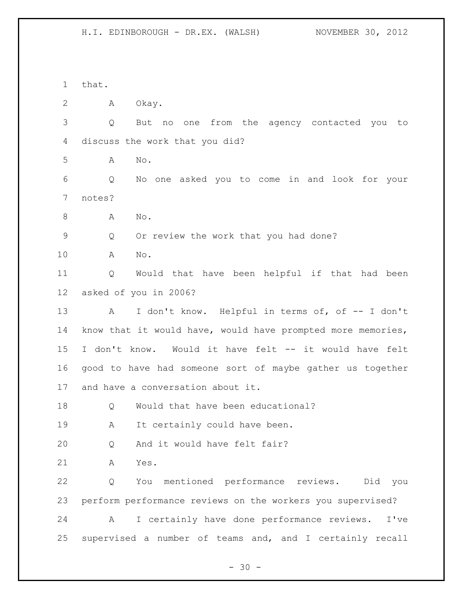that. A Okay. Q But no one from the agency contacted you to discuss the work that you did? A No. Q No one asked you to come in and look for your notes? A No. Q Or review the work that you had done? A No. Q Would that have been helpful if that had been asked of you in 2006? 13 A I don't know. Helpful in terms of, of -- I don't know that it would have, would have prompted more memories, I don't know. Would it have felt -- it would have felt good to have had someone sort of maybe gather us together and have a conversation about it. Q Would that have been educational? A It certainly could have been. Q And it would have felt fair? A Yes. Q You mentioned performance reviews. Did you perform performance reviews on the workers you supervised? A I certainly have done performance reviews. I've supervised a number of teams and, and I certainly recall

 $- 30 -$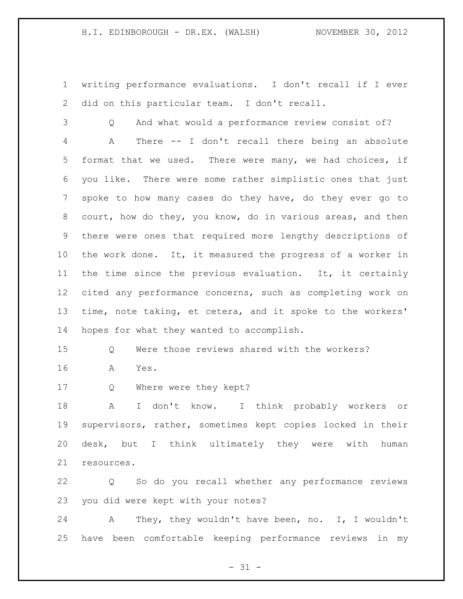writing performance evaluations. I don't recall if I ever did on this particular team. I don't recall.

 Q And what would a performance review consist of? A There -- I don't recall there being an absolute format that we used. There were many, we had choices, if you like. There were some rather simplistic ones that just spoke to how many cases do they have, do they ever go to court, how do they, you know, do in various areas, and then there were ones that required more lengthy descriptions of the work done. It, it measured the progress of a worker in the time since the previous evaluation. It, it certainly cited any performance concerns, such as completing work on time, note taking, et cetera, and it spoke to the workers' hopes for what they wanted to accomplish.

Q Were those reviews shared with the workers?

- A Yes.
- Q Where were they kept?

 A I don't know. I think probably workers or supervisors, rather, sometimes kept copies locked in their desk, but I think ultimately they were with human resources.

 Q So do you recall whether any performance reviews you did were kept with your notes?

 A They, they wouldn't have been, no. I, I wouldn't have been comfortable keeping performance reviews in my

 $- 31 -$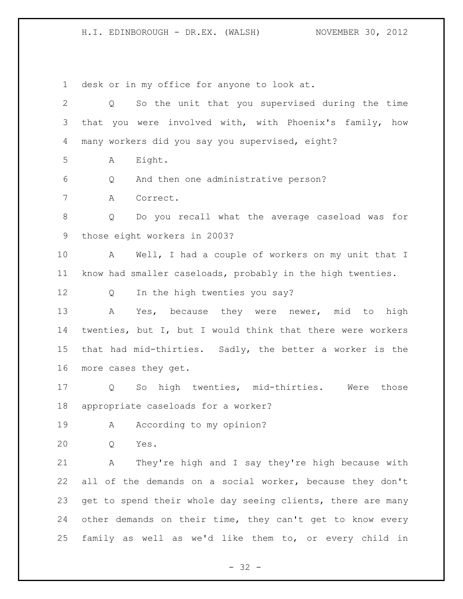desk or in my office for anyone to look at.

 Q So the unit that you supervised during the time that you were involved with, with Phoenix's family, how many workers did you say you supervised, eight? A Eight. Q And then one administrative person? A Correct. Q Do you recall what the average caseload was for those eight workers in 2003? A Well, I had a couple of workers on my unit that I know had smaller caseloads, probably in the high twenties. Q In the high twenties you say? A Yes, because they were newer, mid to high twenties, but I, but I would think that there were workers that had mid-thirties. Sadly, the better a worker is the more cases they get. Q So high twenties, mid-thirties. Were those appropriate caseloads for a worker? 19 A According to my opinion? Q Yes. A They're high and I say they're high because with all of the demands on a social worker, because they don't 23 get to spend their whole day seeing clients, there are many other demands on their time, they can't get to know every family as well as we'd like them to, or every child in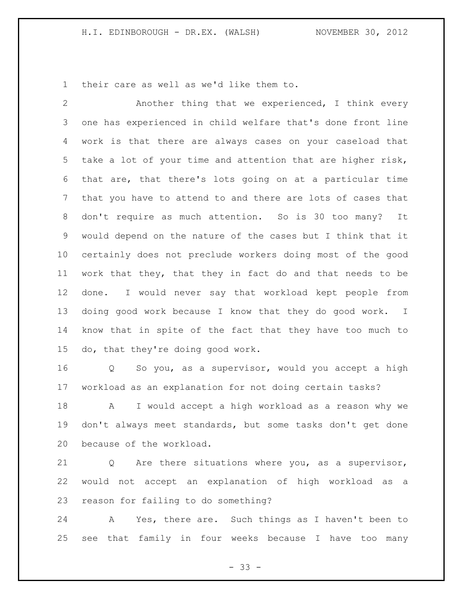their care as well as we'd like them to.

 Another thing that we experienced, I think every one has experienced in child welfare that's done front line work is that there are always cases on your caseload that take a lot of your time and attention that are higher risk, that are, that there's lots going on at a particular time that you have to attend to and there are lots of cases that don't require as much attention. So is 30 too many? It would depend on the nature of the cases but I think that it certainly does not preclude workers doing most of the good work that they, that they in fact do and that needs to be done. I would never say that workload kept people from doing good work because I know that they do good work. I know that in spite of the fact that they have too much to do, that they're doing good work.

 Q So you, as a supervisor, would you accept a high workload as an explanation for not doing certain tasks?

 A I would accept a high workload as a reason why we don't always meet standards, but some tasks don't get done because of the workload.

 Q Are there situations where you, as a supervisor, would not accept an explanation of high workload as a reason for failing to do something?

 A Yes, there are. Such things as I haven't been to see that family in four weeks because I have too many

 $- 33 -$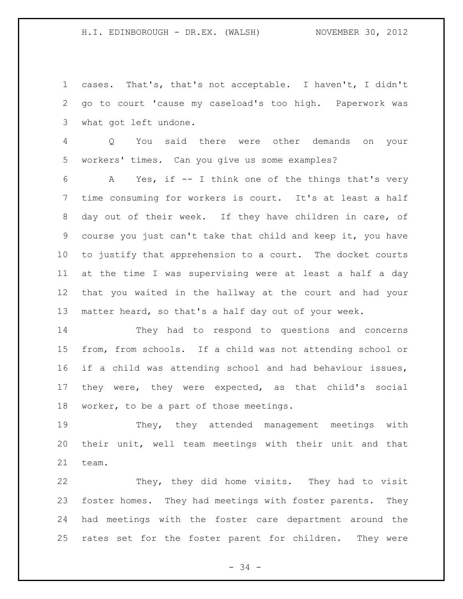cases. That's, that's not acceptable. I haven't, I didn't go to court 'cause my caseload's too high. Paperwork was what got left undone.

 Q You said there were other demands on your workers' times. Can you give us some examples?

 A Yes, if -- I think one of the things that's very time consuming for workers is court. It's at least a half day out of their week. If they have children in care, of course you just can't take that child and keep it, you have to justify that apprehension to a court. The docket courts at the time I was supervising were at least a half a day that you waited in the hallway at the court and had your matter heard, so that's a half day out of your week.

 They had to respond to questions and concerns from, from schools. If a child was not attending school or if a child was attending school and had behaviour issues, they were, they were expected, as that child's social worker, to be a part of those meetings.

 They, they attended management meetings with their unit, well team meetings with their unit and that team.

 They, they did home visits. They had to visit foster homes. They had meetings with foster parents. They had meetings with the foster care department around the rates set for the foster parent for children. They were

- 34 -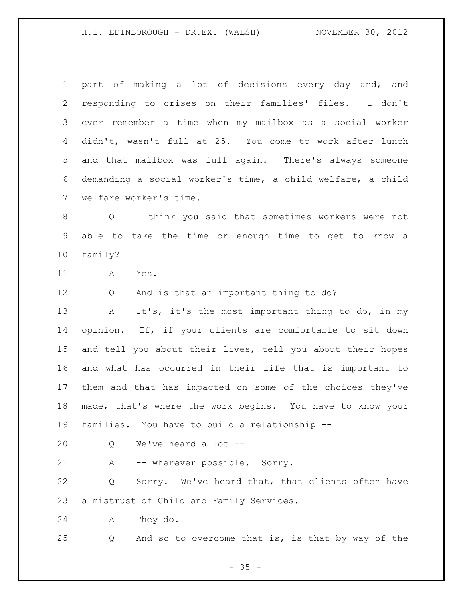part of making a lot of decisions every day and, and responding to crises on their families' files. I don't ever remember a time when my mailbox as a social worker didn't, wasn't full at 25. You come to work after lunch and that mailbox was full again. There's always someone demanding a social worker's time, a child welfare, a child welfare worker's time. Q I think you said that sometimes workers were not able to take the time or enough time to get to know a family? A Yes. Q And is that an important thing to do? A It's, it's the most important thing to do, in my opinion. If, if your clients are comfortable to sit down and tell you about their lives, tell you about their hopes and what has occurred in their life that is important to them and that has impacted on some of the choices they've made, that's where the work begins. You have to know your families. You have to build a relationship -- Q We've heard a lot --

A -- wherever possible. Sorry.

 Q Sorry. We've heard that, that clients often have a mistrust of Child and Family Services.

A They do.

Q And so to overcome that is, is that by way of the

 $- 35 -$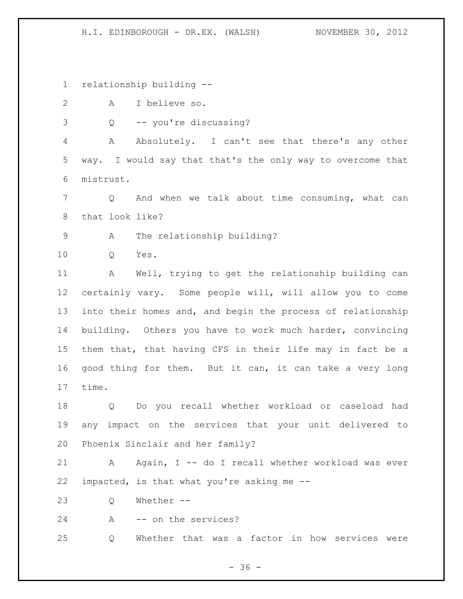relationship building --

- A I believe so.
- Q -- you're discussing?

 A Absolutely. I can't see that there's any other way. I would say that that's the only way to overcome that mistrust.

 Q And when we talk about time consuming, what can that look like?

A The relationship building?

Q Yes.

 A Well, trying to get the relationship building can certainly vary. Some people will, will allow you to come into their homes and, and begin the process of relationship building. Others you have to work much harder, convincing them that, that having CFS in their life may in fact be a good thing for them. But it can, it can take a very long time.

 Q Do you recall whether workload or caseload had any impact on the services that your unit delivered to Phoenix Sinclair and her family?

21 A Again, I -- do I recall whether workload was ever impacted, is that what you're asking me --

Q Whether --

24 A -- on the services?

Q Whether that was a factor in how services were

 $- 36 -$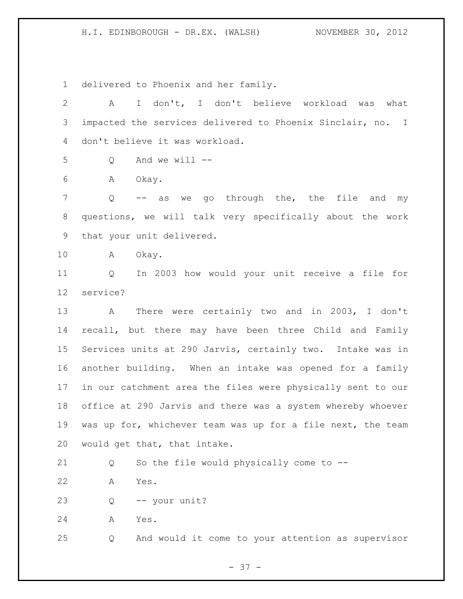delivered to Phoenix and her family.

 A I don't, I don't believe workload was what impacted the services delivered to Phoenix Sinclair, no. I don't believe it was workload. Q And we will -- A Okay. 7 Q -- as we go through the, the file and my questions, we will talk very specifically about the work that your unit delivered. A Okay. Q In 2003 how would your unit receive a file for service? A There were certainly two and in 2003, I don't recall, but there may have been three Child and Family Services units at 290 Jarvis, certainly two. Intake was in another building. When an intake was opened for a family in our catchment area the files were physically sent to our office at 290 Jarvis and there was a system whereby whoever was up for, whichever team was up for a file next, the team would get that, that intake. Q So the file would physically come to -- A Yes. Q -- your unit? A Yes. Q And would it come to your attention as supervisor

- 37 -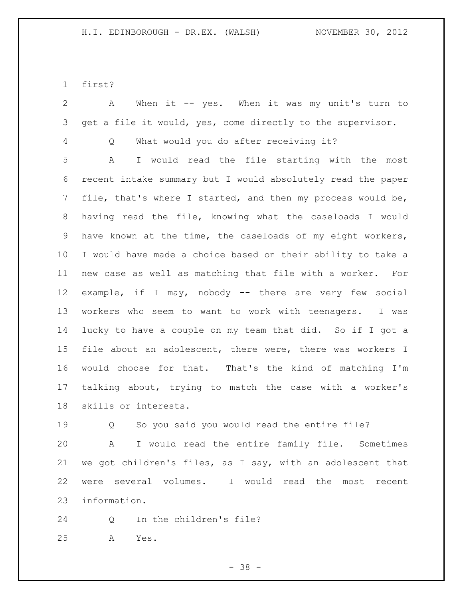first?

 A When it -- yes. When it was my unit's turn to get a file it would, yes, come directly to the supervisor. Q What would you do after receiving it? A I would read the file starting with the most recent intake summary but I would absolutely read the paper file, that's where I started, and then my process would be, having read the file, knowing what the caseloads I would have known at the time, the caseloads of my eight workers, I would have made a choice based on their ability to take a new case as well as matching that file with a worker. For example, if I may, nobody -- there are very few social workers who seem to want to work with teenagers. I was lucky to have a couple on my team that did. So if I got a file about an adolescent, there were, there was workers I would choose for that. That's the kind of matching I'm talking about, trying to match the case with a worker's skills or interests. 19 O So you said you would read the entire file?

 A I would read the entire family file. Sometimes we got children's files, as I say, with an adolescent that were several volumes. I would read the most recent information.

Q In the children's file?

A Yes.

- 38 -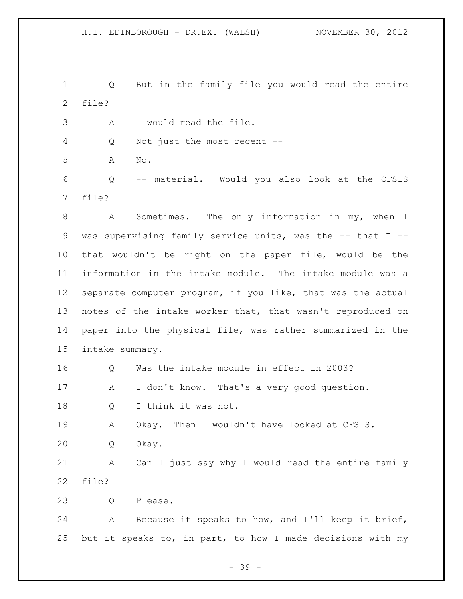Q But in the family file you would read the entire file?

A I would read the file.

Q Not just the most recent --

A No.

 Q -- material. Would you also look at the CFSIS file?

 A Sometimes. The only information in my, when I was supervising family service units, was the -- that I -- that wouldn't be right on the paper file, would be the information in the intake module. The intake module was a separate computer program, if you like, that was the actual notes of the intake worker that, that wasn't reproduced on paper into the physical file, was rather summarized in the intake summary.

 Q Was the intake module in effect in 2003? A I don't know. That's a very good question. Q I think it was not.

 A Okay. Then I wouldn't have looked at CFSIS. Q Okay.

 A Can I just say why I would read the entire family file?

Q Please.

 A Because it speaks to how, and I'll keep it brief, but it speaks to, in part, to how I made decisions with my

- 39 -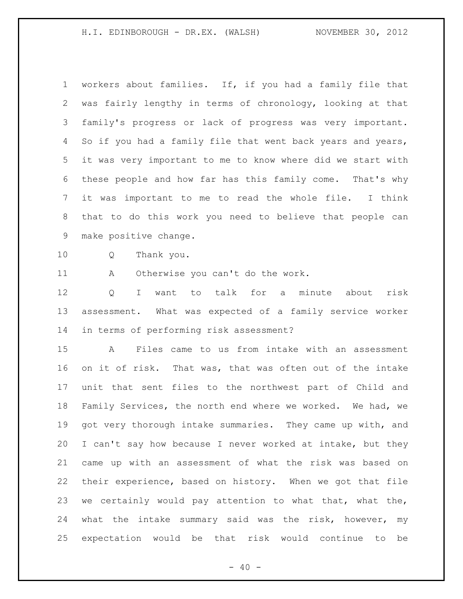workers about families. If, if you had a family file that was fairly lengthy in terms of chronology, looking at that family's progress or lack of progress was very important. So if you had a family file that went back years and years, it was very important to me to know where did we start with these people and how far has this family come. That's why it was important to me to read the whole file. I think that to do this work you need to believe that people can make positive change.

Q Thank you.

A Otherwise you can't do the work.

 Q I want to talk for a minute about risk assessment. What was expected of a family service worker in terms of performing risk assessment?

 A Files came to us from intake with an assessment on it of risk. That was, that was often out of the intake unit that sent files to the northwest part of Child and Family Services, the north end where we worked. We had, we got very thorough intake summaries. They came up with, and I can't say how because I never worked at intake, but they came up with an assessment of what the risk was based on their experience, based on history. When we got that file we certainly would pay attention to what that, what the, what the intake summary said was the risk, however, my expectation would be that risk would continue to be

 $- 40 -$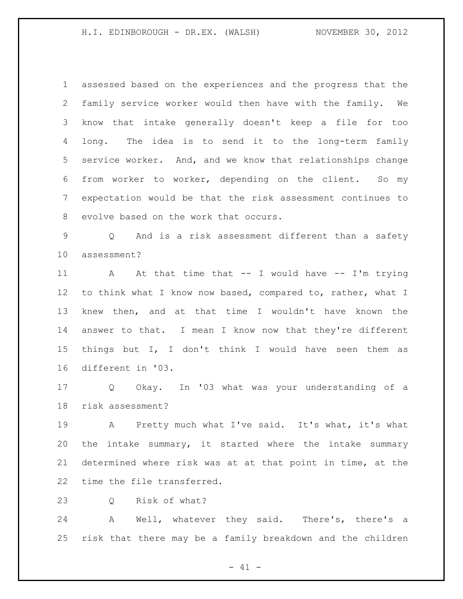assessed based on the experiences and the progress that the family service worker would then have with the family. We know that intake generally doesn't keep a file for too long. The idea is to send it to the long-term family service worker. And, and we know that relationships change from worker to worker, depending on the client. So my expectation would be that the risk assessment continues to evolve based on the work that occurs.

 Q And is a risk assessment different than a safety assessment?

11 A At that time that -- I would have -- I'm trying to think what I know now based, compared to, rather, what I knew then, and at that time I wouldn't have known the answer to that. I mean I know now that they're different things but I, I don't think I would have seen them as different in '03.

 Q Okay. In '03 what was your understanding of a risk assessment?

 A Pretty much what I've said. It's what, it's what the intake summary, it started where the intake summary determined where risk was at at that point in time, at the time the file transferred.

Q Risk of what?

 A Well, whatever they said. There's, there's a risk that there may be a family breakdown and the children

 $- 41 -$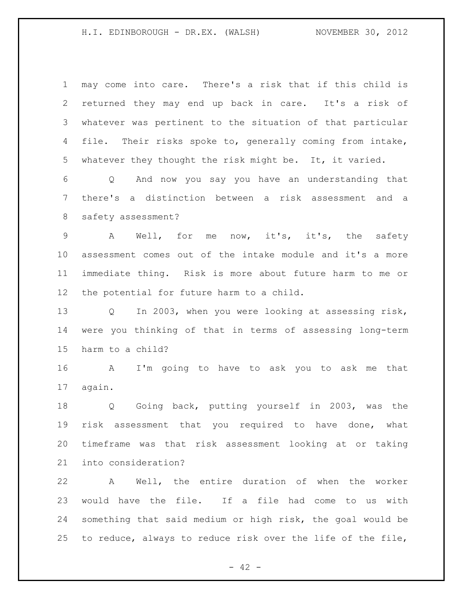| $\mathbf 1$     | may come into care. There's a risk that if this child is    |
|-----------------|-------------------------------------------------------------|
| 2               | returned they may end up back in care. It's a risk of       |
| 3               | whatever was pertinent to the situation of that particular  |
| 4               | file. Their risks spoke to, generally coming from intake,   |
| 5               | whatever they thought the risk might be. It, it varied.     |
| 6               | Q And now you say you have an understanding that            |
| 7               | there's a distinction between a risk assessment and a       |
| 8               | safety assessment?                                          |
| 9               | Well, for me now, it's, it's, the<br>A<br>safety            |
| 10              | assessment comes out of the intake module and it's a more   |
| 11              | immediate thing. Risk is more about future harm to me or    |
| 12 <sup>°</sup> | the potential for future harm to a child.                   |
| 13              | Q In 2003, when you were looking at assessing risk,         |
| 14              | were you thinking of that in terms of assessing long-term   |
| 15              | harm to a child?                                            |
| 16              | A<br>I'm going to have to ask you to ask me that            |
| 17              | again.                                                      |
| 18              | Going back, putting yourself in 2003, was the<br>Q          |
| 19              | risk assessment that you required to have done, what        |
| 20              | timeframe was that risk assessment looking at or taking     |
| 21              | into consideration?                                         |
| 22              | A Well, the entire duration of when the worker              |
| 23              | would have the file. If a file had come to us with          |
| 24              | something that said medium or high risk, the goal would be  |
| 25              | to reduce, always to reduce risk over the life of the file, |

- 42 -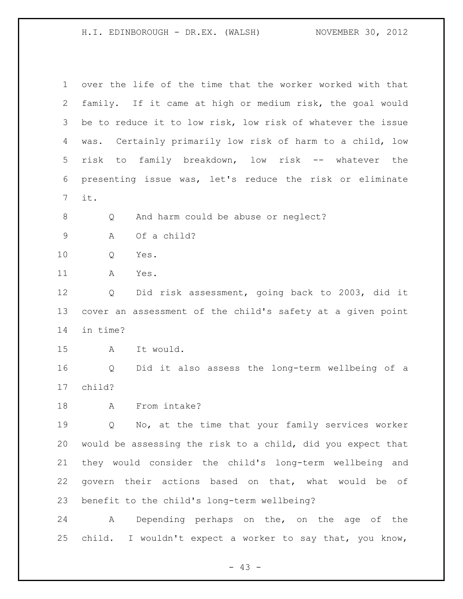| $\mathbf 1$    | over the life of the time that the worker worked with that         |
|----------------|--------------------------------------------------------------------|
| 2              | family. If it came at high or medium risk, the goal would          |
| 3              | be to reduce it to low risk, low risk of whatever the issue        |
| 4              | was. Certainly primarily low risk of harm to a child, low          |
| 5              | family breakdown, low risk -- whatever the<br>risk<br>to           |
| 6              | presenting issue was, let's reduce the risk or eliminate           |
| $\overline{7}$ | it.                                                                |
| $\,8\,$        | And harm could be abuse or neglect?<br>Q                           |
| $\mathsf 9$    | Of a child?<br>Α                                                   |
| 10             | Q<br>Yes.                                                          |
| 11             | A<br>Yes.                                                          |
| 12             | Did risk assessment, going back to 2003, did it<br>Q               |
| 13             | cover an assessment of the child's safety at a given point         |
| 14             | in time?                                                           |
| 15             | It would.<br>A                                                     |
| 16             | Did it also assess the long-term wellbeing of a<br>Q               |
| 17             | child?                                                             |
| 18             | From intake?<br>Α                                                  |
| 19             | No, at the time that your family services worker<br>$\overline{Q}$ |
| 20             | would be assessing the risk to a child, did you expect that        |
| 21             | they would consider the child's long-term wellbeing and            |
| 22             | govern their actions based on that, what would be of               |
| 23             | benefit to the child's long-term wellbeing?                        |
| 24             | Depending perhaps on the, on the age of the<br>A                   |
| 25             | child. I wouldn't expect a worker to say that, you know,           |

- 43 -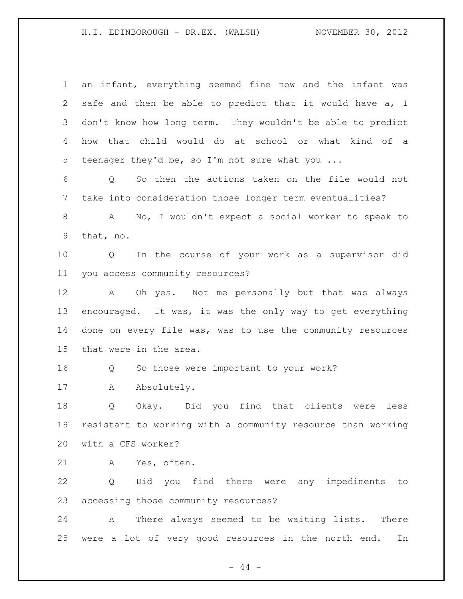| $\mathbf{1}$ | an infant, everything seemed fine now and the infant was             |
|--------------|----------------------------------------------------------------------|
| 2            | safe and then be able to predict that it would have a, I             |
| 3            | don't know how long term. They wouldn't be able to predict           |
| 4            | that child would do at school or what kind of a<br>how               |
| 5            | teenager they'd be, so I'm not sure what you                         |
| 6            | So then the actions taken on the file would not<br>$Q \qquad \qquad$ |
| 7            | take into consideration those longer term eventualities?             |
| 8            | No, I wouldn't expect a social worker to speak to<br>$\mathbf{A}$    |
| 9            | that, no.                                                            |
| 10           | In the course of your work as a supervisor did<br>$Q \qquad \qquad$  |
| 11           | you access community resources?                                      |
| 12           | A Oh yes. Not me personally but that was always                      |
| 13           | encouraged. It was, it was the only way to get everything            |
| 14           | done on every file was, was to use the community resources           |
| 15           | that were in the area.                                               |
| 16           | So those were important to your work?<br>Q                           |
| 17           | Absolutely.<br>А                                                     |
| 18           | Okay. Did you find that clients were<br>Q<br>less                    |
| 19           | resistant to working with a community resource than working          |
| 20           | with a CFS worker?                                                   |
| 21           | Yes, often.<br>A                                                     |
| 22           | Did you find there were any impediments to<br>Q                      |
| 23           | accessing those community resources?                                 |
| 24           | There always seemed to be waiting lists.<br>$\mathbf{A}$<br>There    |
| 25           | were a lot of very good resources in the north end.<br>In            |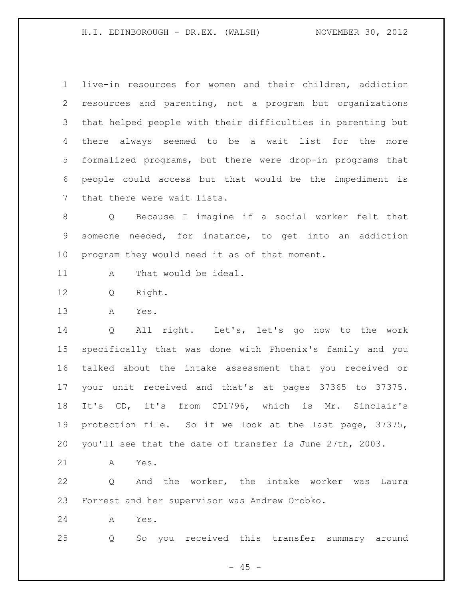live-in resources for women and their children, addiction resources and parenting, not a program but organizations that helped people with their difficulties in parenting but there always seemed to be a wait list for the more formalized programs, but there were drop-in programs that people could access but that would be the impediment is that there were wait lists.

 Q Because I imagine if a social worker felt that someone needed, for instance, to get into an addiction program they would need it as of that moment.

- A That would be ideal.
- Q Right.
- A Yes.

 Q All right. Let's, let's go now to the work specifically that was done with Phoenix's family and you talked about the intake assessment that you received or your unit received and that's at pages 37365 to 37375. It's CD, it's from CD1796, which is Mr. Sinclair's protection file. So if we look at the last page, 37375, you'll see that the date of transfer is June 27th, 2003.

A Yes.

 Q And the worker, the intake worker was Laura Forrest and her supervisor was Andrew Orobko.

A Yes.

Q So you received this transfer summary around

 $- 45 -$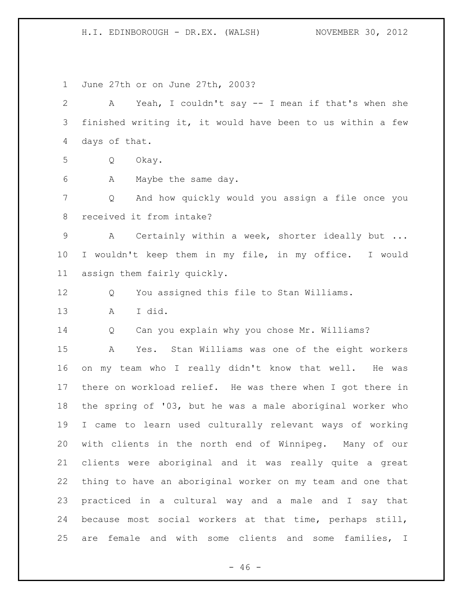June 27th or on June 27th, 2003? A Yeah, I couldn't say -- I mean if that's when she finished writing it, it would have been to us within a few days of that. Q Okay. A Maybe the same day. Q And how quickly would you assign a file once you received it from intake? A Certainly within a week, shorter ideally but ... I wouldn't keep them in my file, in my office. I would assign them fairly quickly. Q You assigned this file to Stan Williams. A I did. Q Can you explain why you chose Mr. Williams? A Yes. Stan Williams was one of the eight workers on my team who I really didn't know that well. He was there on workload relief. He was there when I got there in the spring of '03, but he was a male aboriginal worker who I came to learn used culturally relevant ways of working with clients in the north end of Winnipeg. Many of our clients were aboriginal and it was really quite a great thing to have an aboriginal worker on my team and one that practiced in a cultural way and a male and I say that because most social workers at that time, perhaps still, are female and with some clients and some families, I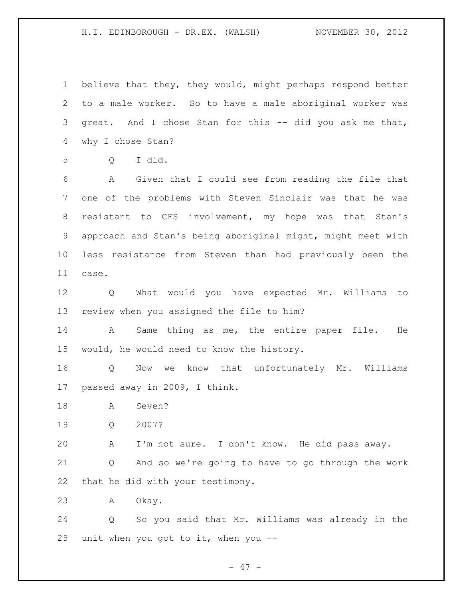believe that they, they would, might perhaps respond better to a male worker. So to have a male aboriginal worker was great. And I chose Stan for this -- did you ask me that, why I chose Stan?

Q I did.

 A Given that I could see from reading the file that one of the problems with Steven Sinclair was that he was resistant to CFS involvement, my hope was that Stan's approach and Stan's being aboriginal might, might meet with less resistance from Steven than had previously been the case.

 Q What would you have expected Mr. Williams to review when you assigned the file to him?

 A Same thing as me, the entire paper file. He would, he would need to know the history.

 Q Now we know that unfortunately Mr. Williams passed away in 2009, I think.

A Seven?

Q 2007?

A I'm not sure. I don't know. He did pass away.

 Q And so we're going to have to go through the work that he did with your testimony.

A Okay.

 Q So you said that Mr. Williams was already in the unit when you got to it, when you --

- 47 -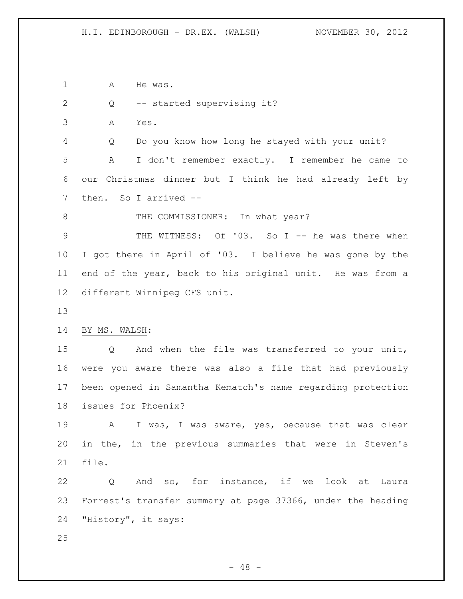1 A He was.

- Q -- started supervising it?
- A Yes.

 Q Do you know how long he stayed with your unit? A I don't remember exactly. I remember he came to our Christmas dinner but I think he had already left by then. So I arrived --

8 THE COMMISSIONER: In what year?

9 THE WITNESS: Of '03. So I -- he was there when I got there in April of '03. I believe he was gone by the end of the year, back to his original unit. He was from a different Winnipeg CFS unit.

## BY MS. WALSH:

 Q And when the file was transferred to your unit, were you aware there was also a file that had previously been opened in Samantha Kematch's name regarding protection issues for Phoenix?

19 A I was, I was aware, yes, because that was clear in the, in the previous summaries that were in Steven's file.

 Q And so, for instance, if we look at Laura Forrest's transfer summary at page 37366, under the heading "History", it says:

 $- 48 -$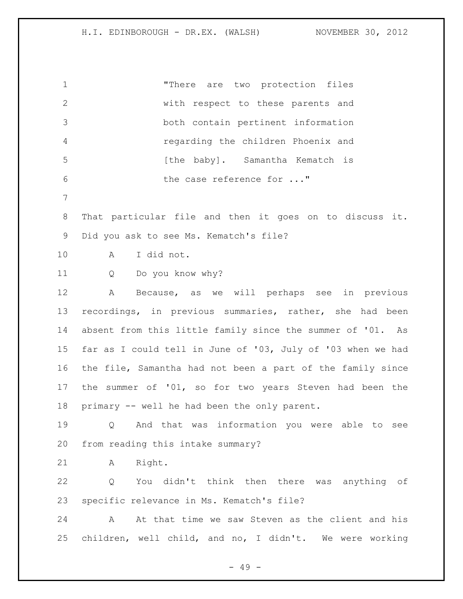"There are two protection files with respect to these parents and both contain pertinent information regarding the children Phoenix and **120 [the baby].** Samantha Kematch is 6 the case reference for ..." That particular file and then it goes on to discuss it. Did you ask to see Ms. Kematch's file? A I did not. Q Do you know why? A Because, as we will perhaps see in previous recordings, in previous summaries, rather, she had been absent from this little family since the summer of '01. As far as I could tell in June of '03, July of '03 when we had the file, Samantha had not been a part of the family since the summer of '01, so for two years Steven had been the primary -- well he had been the only parent. Q And that was information you were able to see from reading this intake summary? A Right. Q You didn't think then there was anything of specific relevance in Ms. Kematch's file? 24 A At that time we saw Steven as the client and his children, well child, and no, I didn't. We were working

- 49 -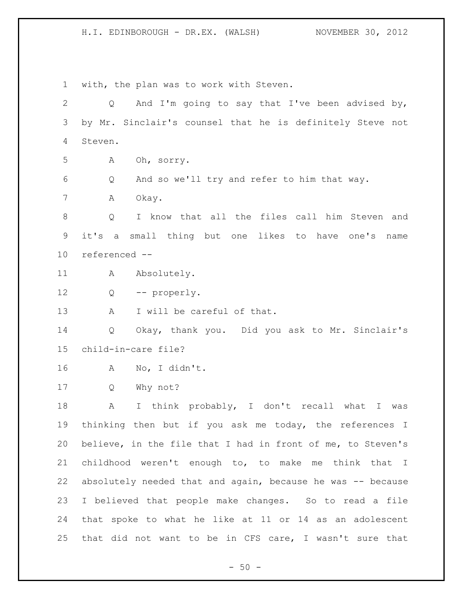with, the plan was to work with Steven. Q And I'm going to say that I've been advised by, by Mr. Sinclair's counsel that he is definitely Steve not Steven. A Oh, sorry. Q And so we'll try and refer to him that way. A Okay. Q I know that all the files call him Steven and it's a small thing but one likes to have one's name referenced -- 11 A Absolutely. Q -- properly. 13 A I will be careful of that. Q Okay, thank you. Did you ask to Mr. Sinclair's child-in-care file? A No, I didn't. Q Why not? A I think probably, I don't recall what I was thinking then but if you ask me today, the references I believe, in the file that I had in front of me, to Steven's childhood weren't enough to, to make me think that I absolutely needed that and again, because he was -- because I believed that people make changes. So to read a file that spoke to what he like at 11 or 14 as an adolescent that did not want to be in CFS care, I wasn't sure that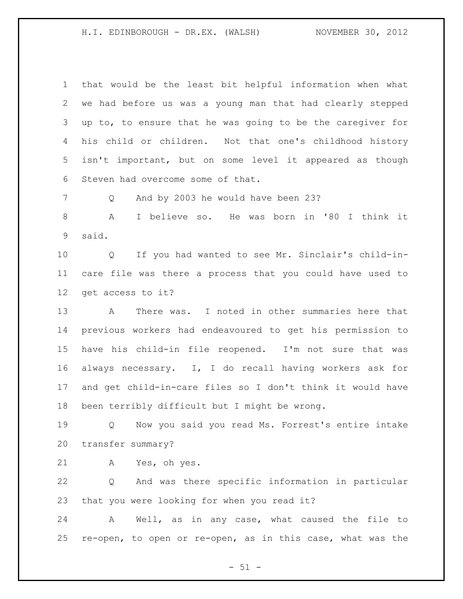that would be the least bit helpful information when what we had before us was a young man that had clearly stepped up to, to ensure that he was going to be the caregiver for his child or children. Not that one's childhood history isn't important, but on some level it appeared as though Steven had overcome some of that.

7 Q And by 2003 he would have been 23?

 A I believe so. He was born in '80 I think it said.

 Q If you had wanted to see Mr. Sinclair's child-in- care file was there a process that you could have used to get access to it?

 A There was. I noted in other summaries here that previous workers had endeavoured to get his permission to have his child-in file reopened. I'm not sure that was always necessary. I, I do recall having workers ask for and get child-in-care files so I don't think it would have been terribly difficult but I might be wrong.

 Q Now you said you read Ms. Forrest's entire intake transfer summary?

A Yes, oh yes.

 Q And was there specific information in particular that you were looking for when you read it?

 A Well, as in any case, what caused the file to re-open, to open or re-open, as in this case, what was the

 $- 51 -$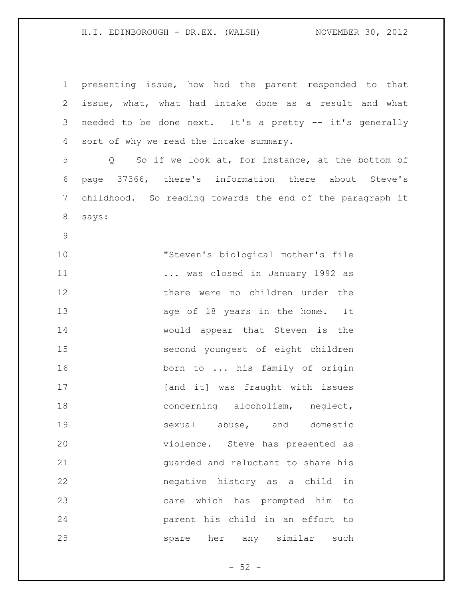| $\mathbf 1$ | presenting issue, how had the parent responded to that    |
|-------------|-----------------------------------------------------------|
| 2           | issue, what, what had intake done as a result and what    |
| 3           | needed to be done next. It's a pretty -- it's generally   |
| 4           | sort of why we read the intake summary.                   |
| 5           | Q So if we look at, for instance, at the bottom of        |
| 6           | page 37366, there's information there about Steve's       |
| 7           | childhood. So reading towards the end of the paragraph it |
| 8           | says:                                                     |
| $\mathsf 9$ |                                                           |
| 10          | "Steven's biological mother's file                        |
| 11          | was closed in January 1992 as                             |
| 12          | there were no children under the                          |
| 13          | age of 18 years in the home. It                           |
| 14          | would appear that Steven is the                           |
| 15          | second youngest of eight children                         |
| 16          | born to  his family of origin                             |
| 17          | [and it] was fraught with issues                          |
| 18          | concerning alcoholism, neglect,                           |
| 19          | sexual abuse, and domestic                                |
| 20          | violence. Steve has presented as                          |
| 21          | quarded and reluctant to share his                        |
| 22          | negative history as a child in                            |
| 23          | care which has prompted him to                            |
| 24          | parent his child in an effort to                          |
| 25          | spare her any similar<br>such                             |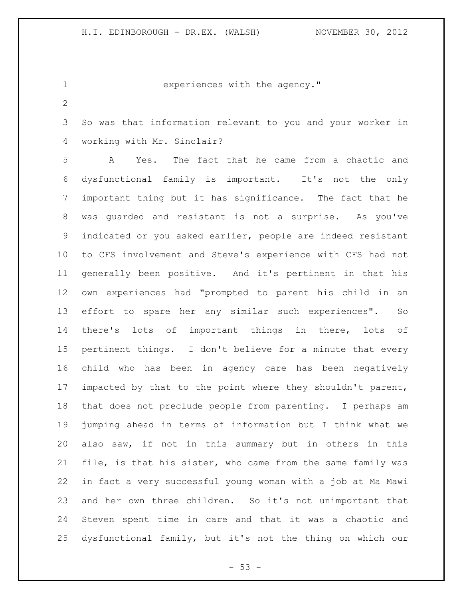experiences with the agency."

 So was that information relevant to you and your worker in working with Mr. Sinclair?

 A Yes. The fact that he came from a chaotic and dysfunctional family is important. It's not the only important thing but it has significance. The fact that he was guarded and resistant is not a surprise. As you've indicated or you asked earlier, people are indeed resistant to CFS involvement and Steve's experience with CFS had not generally been positive. And it's pertinent in that his own experiences had "prompted to parent his child in an effort to spare her any similar such experiences". So there's lots of important things in there, lots of pertinent things. I don't believe for a minute that every child who has been in agency care has been negatively impacted by that to the point where they shouldn't parent, that does not preclude people from parenting. I perhaps am jumping ahead in terms of information but I think what we also saw, if not in this summary but in others in this file, is that his sister, who came from the same family was in fact a very successful young woman with a job at Ma Mawi and her own three children. So it's not unimportant that Steven spent time in care and that it was a chaotic and dysfunctional family, but it's not the thing on which our

 $- 53 -$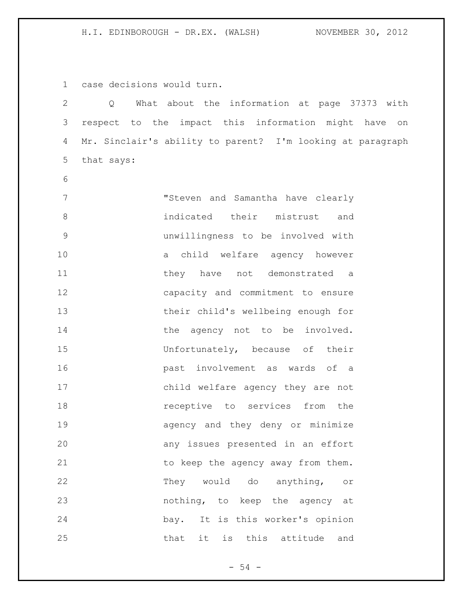case decisions would turn.

 Q What about the information at page 37373 with respect to the impact this information might have on Mr. Sinclair's ability to parent? I'm looking at paragraph that says:

 "Steven and Samantha have clearly indicated their mistrust and unwillingness to be involved with a child welfare agency however 11 they have not demonstrated a capacity and commitment to ensure their child's wellbeing enough for 14 the agency not to be involved. Unfortunately, because of their past involvement as wards of a child welfare agency they are not **18 receptive** to services from the agency and they deny or minimize any issues presented in an effort 21 to keep the agency away from them. They would do anything, or nothing, to keep the agency at bay. It is this worker's opinion that it is this attitude and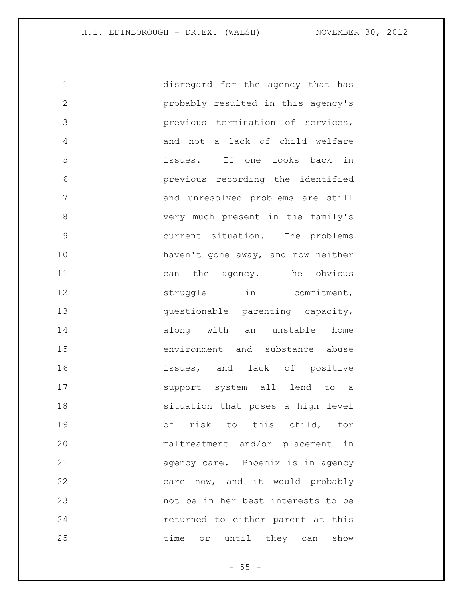| $\mathbf 1$   | disregard for the agency that has  |
|---------------|------------------------------------|
| $\mathbf{2}$  | probably resulted in this agency's |
| 3             | previous termination of services,  |
| 4             | and not a lack of child welfare    |
| 5             | issues. If one looks back in       |
| 6             | previous recording the identified  |
| 7             | and unresolved problems are still  |
| 8             | very much present in the family's  |
| $\mathcal{G}$ | current situation. The problems    |
| 10            | haven't gone away, and now neither |
| 11            | can the agency. The obvious        |
| 12            | struggle in commitment,            |
| 13            | questionable parenting capacity,   |
| 14            | along with an unstable home        |
| 15            | environment and substance abuse    |
| 16            | issues, and lack of positive       |
| 17            | support system all lend to a       |
| 18            | situation that poses a high level  |
| 19            | of risk to this child, for         |
| 20            | maltreatment and/or placement in   |
| 21            | agency care. Phoenix is in agency  |
| 22            | care now, and it would probably    |
| 23            | not be in her best interests to be |
| 24            | returned to either parent at this  |
| 25            | time or until they can show        |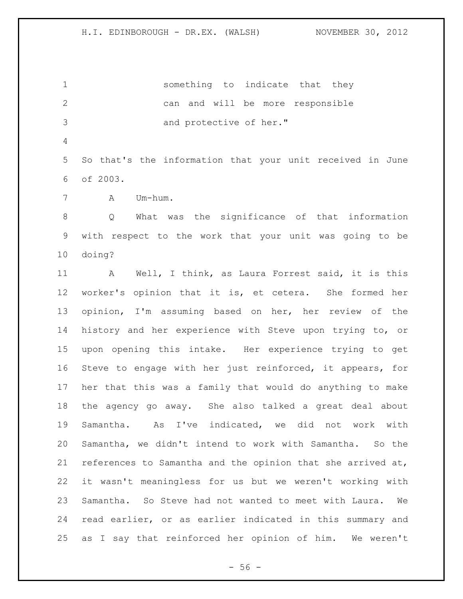something to indicate that they can and will be more responsible 3 and protective of her."

 So that's the information that your unit received in June of 2003.

A Um-hum.

 Q What was the significance of that information with respect to the work that your unit was going to be doing?

 A Well, I think, as Laura Forrest said, it is this worker's opinion that it is, et cetera. She formed her opinion, I'm assuming based on her, her review of the history and her experience with Steve upon trying to, or upon opening this intake. Her experience trying to get Steve to engage with her just reinforced, it appears, for her that this was a family that would do anything to make the agency go away. She also talked a great deal about Samantha. As I've indicated, we did not work with Samantha, we didn't intend to work with Samantha. So the references to Samantha and the opinion that she arrived at, it wasn't meaningless for us but we weren't working with Samantha. So Steve had not wanted to meet with Laura. We read earlier, or as earlier indicated in this summary and as I say that reinforced her opinion of him. We weren't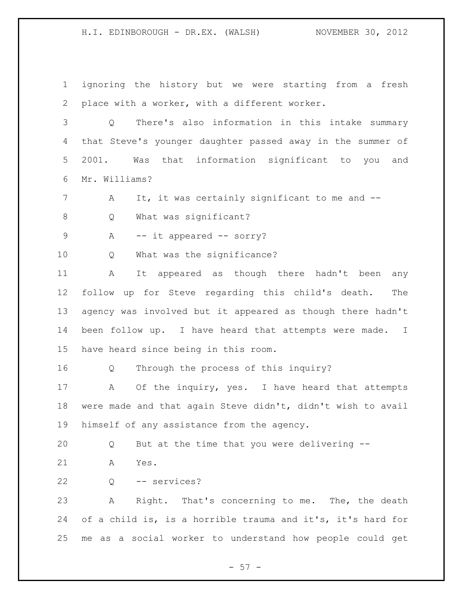ignoring the history but we were starting from a fresh place with a worker, with a different worker.

 Q There's also information in this intake summary that Steve's younger daughter passed away in the summer of 2001. Was that information significant to you and Mr. Williams?

7 A It, it was certainly significant to me and --

8 Q What was significant?

9 A -- it appeared -- sorry?

Q What was the significance?

 A It appeared as though there hadn't been any follow up for Steve regarding this child's death. The agency was involved but it appeared as though there hadn't been follow up. I have heard that attempts were made. I have heard since being in this room.

Q Through the process of this inquiry?

17 A Of the inquiry, yes. I have heard that attempts were made and that again Steve didn't, didn't wish to avail himself of any assistance from the agency.

Q But at the time that you were delivering --

A Yes.

Q -- services?

 A Right. That's concerning to me. The, the death of a child is, is a horrible trauma and it's, it's hard for me as a social worker to understand how people could get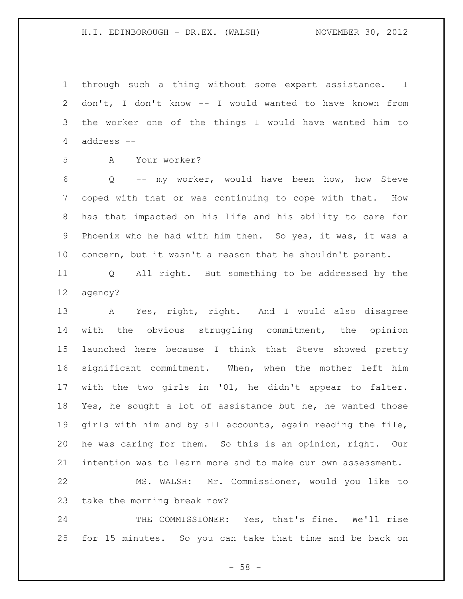through such a thing without some expert assistance. I don't, I don't know -- I would wanted to have known from the worker one of the things I would have wanted him to address --

A Your worker?

 Q -- my worker, would have been how, how Steve coped with that or was continuing to cope with that. How has that impacted on his life and his ability to care for Phoenix who he had with him then. So yes, it was, it was a concern, but it wasn't a reason that he shouldn't parent.

 Q All right. But something to be addressed by the agency?

 A Yes, right, right. And I would also disagree with the obvious struggling commitment, the opinion launched here because I think that Steve showed pretty significant commitment. When, when the mother left him with the two girls in '01, he didn't appear to falter. Yes, he sought a lot of assistance but he, he wanted those girls with him and by all accounts, again reading the file, he was caring for them. So this is an opinion, right. Our intention was to learn more and to make our own assessment.

 MS. WALSH: Mr. Commissioner, would you like to take the morning break now?

 THE COMMISSIONER: Yes, that's fine. We'll rise for 15 minutes. So you can take that time and be back on

 $-58 -$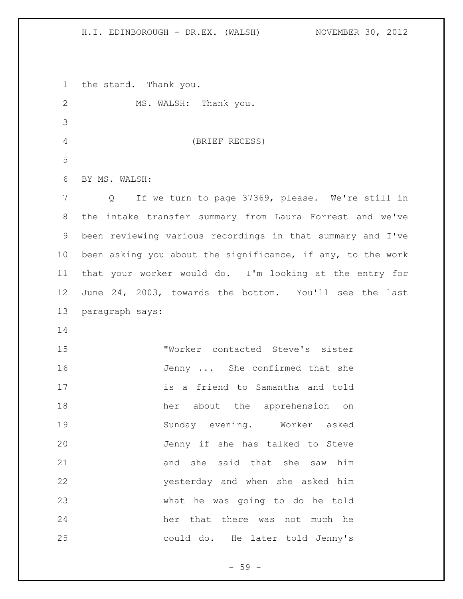the stand. Thank you.

| $\mathbf{2}$   | MS. WALSH: Thank you.                                              |
|----------------|--------------------------------------------------------------------|
| $\mathcal{S}$  |                                                                    |
| $\overline{4}$ | (BRIEF RECESS)                                                     |
| 5              |                                                                    |
| 6              | BY MS. WALSH:                                                      |
| 7              | If we turn to page 37369, please. We're still in<br>$\overline{Q}$ |
| 8              | the intake transfer summary from Laura Forrest and we've           |
| $\mathsf 9$    | been reviewing various recordings in that summary and I've         |
| 10             | been asking you about the significance, if any, to the work        |
| 11             | that your worker would do. I'm looking at the entry for            |
| 12             | June 24, 2003, towards the bottom. You'll see the last             |
| 13             | paragraph says:                                                    |
| 14             |                                                                    |
| 15             | "Worker contacted Steve's sister                                   |
| 16             | Jenny  She confirmed that she                                      |
| 17             | is a friend to Samantha and told                                   |
| 18             | her about the apprehension on                                      |
| 19             | Sunday evening. Worker asked                                       |
| 20             | Jenny if she has talked to Steve                                   |
| 21             | and she said that she saw him                                      |
| 22             | yesterday and when she asked him                                   |
| 23             | what he was going to do he told                                    |
| 24             | her that there was not much he                                     |
| 25             | could do. He later told Jenny's                                    |

- 59 -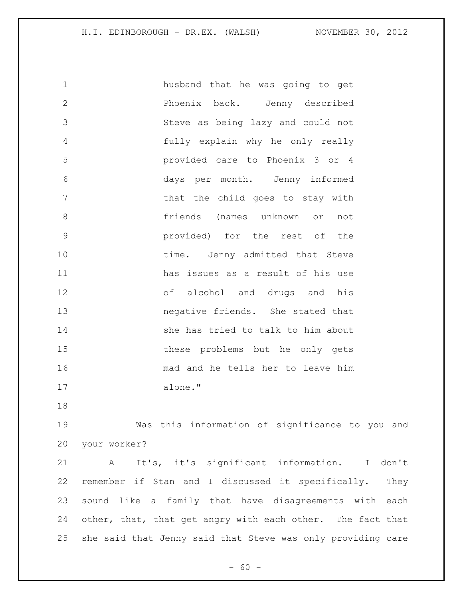| $\mathbf 1$  | husband that he was going to get                |
|--------------|-------------------------------------------------|
| $\mathbf{2}$ | Phoenix back. Jenny described                   |
| 3            | Steve as being lazy and could not               |
| 4            | fully explain why he only really                |
| 5            | provided care to Phoenix 3 or 4                 |
| 6            | days per month. Jenny informed                  |
| 7            | that the child goes to stay with                |
| $\,8\,$      | friends (names unknown or<br>not                |
| $\mathsf 9$  | provided) for the rest of<br>the                |
| 10           | time. Jenny admitted that Steve                 |
| 11           | has issues as a result of his use               |
| 12           | of alcohol and drugs and his                    |
| 13           | negative friends. She stated that               |
| 14           | she has tried to talk to him about              |
| 15           | these problems but he only gets                 |
| 16           | mad and he tells her to leave him               |
| 17           | alone."                                         |
| 18           |                                                 |
| 19           | Was this information of significance to you and |

your worker?

 A It's, it's significant information. I don't remember if Stan and I discussed it specifically. They sound like a family that have disagreements with each 24 other, that, that get angry with each other. The fact that she said that Jenny said that Steve was only providing care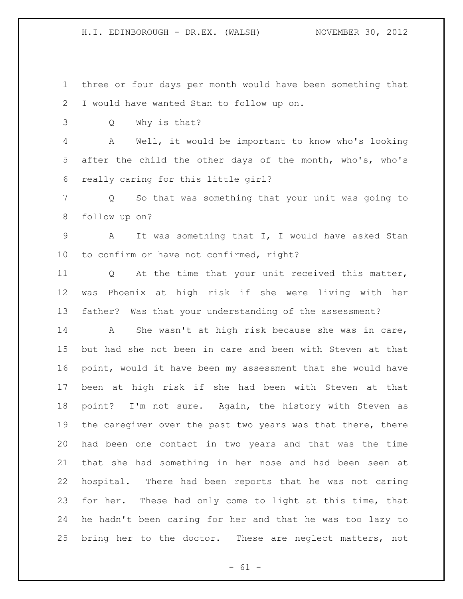three or four days per month would have been something that I would have wanted Stan to follow up on.

Q Why is that?

 A Well, it would be important to know who's looking after the child the other days of the month, who's, who's really caring for this little girl?

 Q So that was something that your unit was going to follow up on?

 A It was something that I, I would have asked Stan to confirm or have not confirmed, right?

 Q At the time that your unit received this matter, was Phoenix at high risk if she were living with her father? Was that your understanding of the assessment?

 A She wasn't at high risk because she was in care, but had she not been in care and been with Steven at that point, would it have been my assessment that she would have been at high risk if she had been with Steven at that point? I'm not sure. Again, the history with Steven as 19 the caregiver over the past two years was that there, there had been one contact in two years and that was the time that she had something in her nose and had been seen at hospital. There had been reports that he was not caring for her. These had only come to light at this time, that he hadn't been caring for her and that he was too lazy to bring her to the doctor. These are neglect matters, not

 $- 61 -$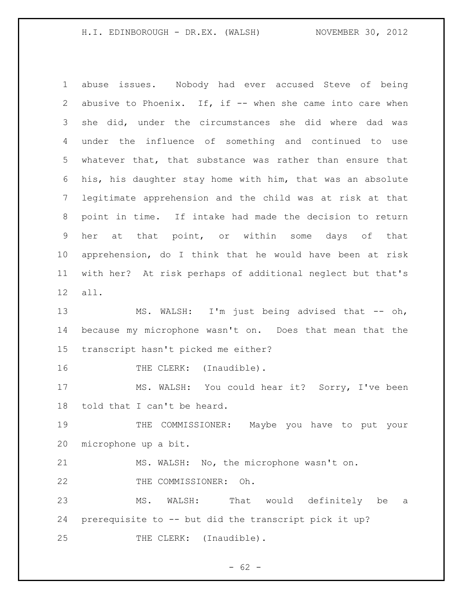abuse issues. Nobody had ever accused Steve of being 2 abusive to Phoenix. If, if -- when she came into care when she did, under the circumstances she did where dad was under the influence of something and continued to use whatever that, that substance was rather than ensure that his, his daughter stay home with him, that was an absolute legitimate apprehension and the child was at risk at that point in time. If intake had made the decision to return her at that point, or within some days of that apprehension, do I think that he would have been at risk with her? At risk perhaps of additional neglect but that's all.

13 MS. WALSH: I'm just being advised that -- oh, because my microphone wasn't on. Does that mean that the transcript hasn't picked me either?

16 THE CLERK: (Inaudible).

 MS. WALSH: You could hear it? Sorry, I've been told that I can't be heard.

19 THE COMMISSIONER: Maybe you have to put your microphone up a bit.

 MS. WALSH: No, the microphone wasn't on. THE COMMISSIONER: Oh.

 MS. WALSH: That would definitely be a prerequisite to -- but did the transcript pick it up? 25 THE CLERK: (Inaudible).

 $- 62 -$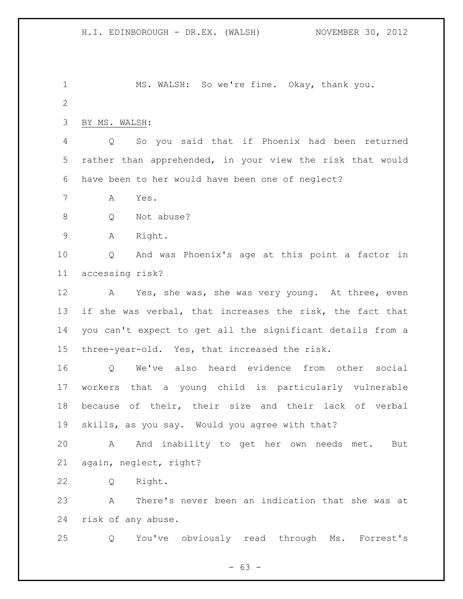1 MS. WALSH: So we're fine. Okay, thank you. BY MS. WALSH: Q So you said that if Phoenix had been returned rather than apprehended, in your view the risk that would have been to her would have been one of neglect? A Yes. Q Not abuse? A Right. Q And was Phoenix's age at this point a factor in accessing risk? 12 A Yes, she was, she was very young. At three, even 13 if she was verbal, that increases the risk, the fact that you can't expect to get all the significant details from a three-year-old. Yes, that increased the risk. Q We've also heard evidence from other social workers that a young child is particularly vulnerable because of their, their size and their lack of verbal skills, as you say. Would you agree with that? A And inability to get her own needs met. But again, neglect, right? Q Right. A There's never been an indication that she was at risk of any abuse. Q You've obviously read through Ms. Forrest's

 $- 63 -$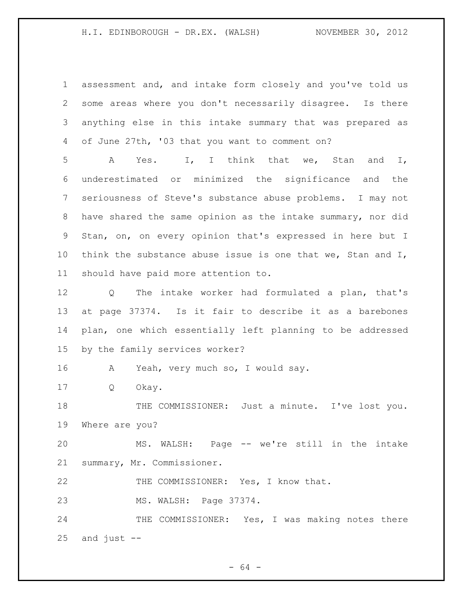assessment and, and intake form closely and you've told us some areas where you don't necessarily disagree. Is there anything else in this intake summary that was prepared as of June 27th, '03 that you want to comment on?

 A Yes. I, I think that we, Stan and I, underestimated or minimized the significance and the seriousness of Steve's substance abuse problems. I may not have shared the same opinion as the intake summary, nor did Stan, on, on every opinion that's expressed in here but I 10 think the substance abuse issue is one that we, Stan and I, should have paid more attention to.

 Q The intake worker had formulated a plan, that's at page 37374. Is it fair to describe it as a barebones plan, one which essentially left planning to be addressed by the family services worker?

A Yeah, very much so, I would say.

Q Okay.

18 THE COMMISSIONER: Just a minute. I've lost you. Where are you?

 MS. WALSH: Page -- we're still in the intake summary, Mr. Commissioner.

22 THE COMMISSIONER: Yes, I know that.

MS. WALSH: Page 37374.

24 THE COMMISSIONER: Yes, I was making notes there and just  $-$ 

- 64 -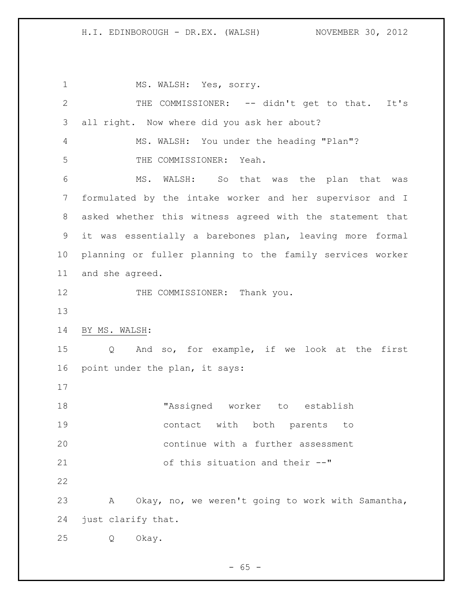1 MS. WALSH: Yes, sorry. THE COMMISSIONER: -- didn't get to that. It's all right. Now where did you ask her about? MS. WALSH: You under the heading "Plan"? THE COMMISSIONER: Yeah. MS. WALSH: So that was the plan that was formulated by the intake worker and her supervisor and I asked whether this witness agreed with the statement that it was essentially a barebones plan, leaving more formal planning or fuller planning to the family services worker and she agreed. 12 THE COMMISSIONER: Thank you. BY MS. WALSH: Q And so, for example, if we look at the first point under the plan, it says: "Assigned worker to establish contact with both parents to continue with a further assessment of this situation and their --" A Okay, no, we weren't going to work with Samantha, just clarify that. Q Okay.

 $- 65 -$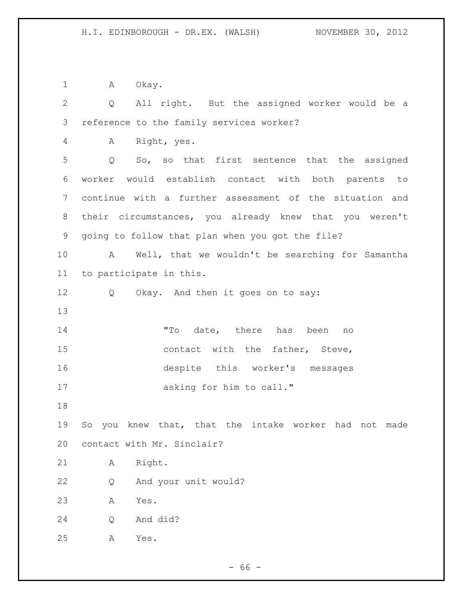1 A Okay.

 Q All right. But the assigned worker would be a reference to the family services worker? A Right, yes. Q So, so that first sentence that the assigned worker would establish contact with both parents to continue with a further assessment of the situation and their circumstances, you already knew that you weren't going to follow that plan when you got the file? A Well, that we wouldn't be searching for Samantha to participate in this. 12 Q Okay. And then it goes on to say: "To date, there has been no 15 contact with the father, Steve, despite this worker's messages asking for him to call." So you knew that, that the intake worker had not made contact with Mr. Sinclair? A Right. Q And your unit would? A Yes. Q And did? A Yes.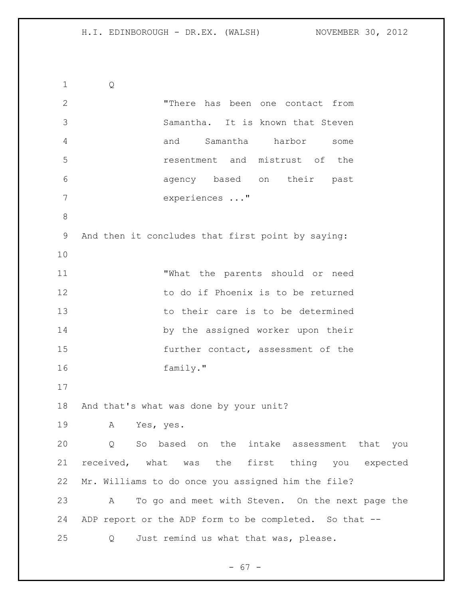Q "There has been one contact from Samantha. It is known that Steven and Samantha harbor some resentment and mistrust of the agency based on their past experiences ..." And then it concludes that first point by saying: "What the parents should or need to do if Phoenix is to be returned to their care is to be determined 14 by the assigned worker upon their further contact, assessment of the family." And that's what was done by your unit? A Yes, yes. Q So based on the intake assessment that you received, what was the first thing you expected Mr. Williams to do once you assigned him the file? A To go and meet with Steven. On the next page the 24 ADP report or the ADP form to be completed. So that --Q Just remind us what that was, please.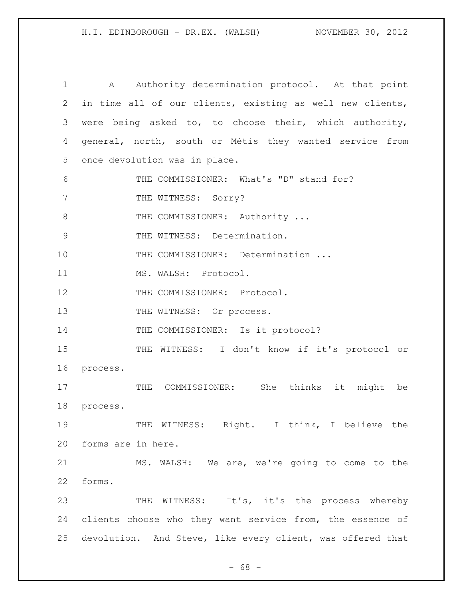1 A Authority determination protocol. At that point 2 in time all of our clients, existing as well new clients, 3 were being asked to, to choose their, which authority, 4 general, north, south or Métis they wanted service from 5 once devolution was in place. 6 THE COMMISSIONER: What's "D" stand for? 7 THE WITNESS: Sorry? 8 THE COMMISSIONER: Authority ... 9 THE WITNESS: Determination. 10 THE COMMISSIONER: Determination ... 11 MS. WALSH: Protocol. 12 THE COMMISSIONER: Protocol. 13 THE WITNESS: Or process. 14 THE COMMISSIONER: Is it protocol? 15 THE WITNESS: I don't know if it's protocol or 16 process. 17 THE COMMISSIONER: She thinks it might be 18 process. 19 THE WITNESS: Right. I think, I believe the 20 forms are in here. 21 MS. WALSH: We are, we're going to come to the 22 forms. 23 THE WITNESS: It's, it's the process whereby 24 clients choose who they want service from, the essence of 25 devolution. And Steve, like every client, was offered that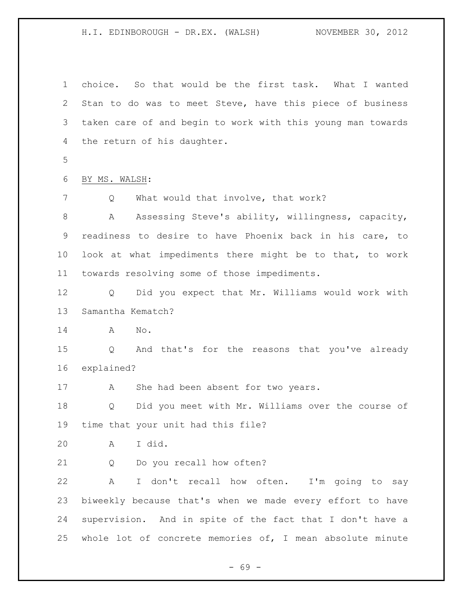choice. So that would be the first task. What I wanted Stan to do was to meet Steve, have this piece of business taken care of and begin to work with this young man towards the return of his daughter. BY MS. WALSH: Q What would that involve, that work? 8 A Assessing Steve's ability, willingness, capacity, readiness to desire to have Phoenix back in his care, to look at what impediments there might be to that, to work towards resolving some of those impediments. Q Did you expect that Mr. Williams would work with Samantha Kematch? A No. Q And that's for the reasons that you've already explained? 17 A She had been absent for two years. Q Did you meet with Mr. Williams over the course of time that your unit had this file? A I did. Q Do you recall how often? A I don't recall how often. I'm going to say biweekly because that's when we made every effort to have supervision. And in spite of the fact that I don't have a whole lot of concrete memories of, I mean absolute minute

- 69 -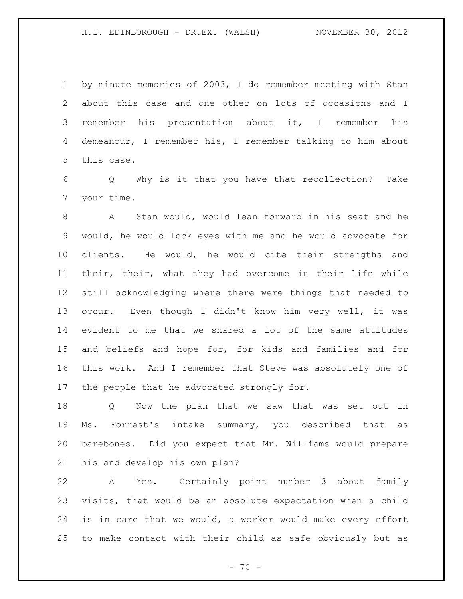by minute memories of 2003, I do remember meeting with Stan about this case and one other on lots of occasions and I remember his presentation about it, I remember his demeanour, I remember his, I remember talking to him about this case.

 Q Why is it that you have that recollection? Take your time.

 A Stan would, would lean forward in his seat and he would, he would lock eyes with me and he would advocate for clients. He would, he would cite their strengths and their, their, what they had overcome in their life while still acknowledging where there were things that needed to occur. Even though I didn't know him very well, it was evident to me that we shared a lot of the same attitudes and beliefs and hope for, for kids and families and for this work. And I remember that Steve was absolutely one of the people that he advocated strongly for.

 Q Now the plan that we saw that was set out in Ms. Forrest's intake summary, you described that as barebones. Did you expect that Mr. Williams would prepare his and develop his own plan?

 A Yes. Certainly point number 3 about family visits, that would be an absolute expectation when a child is in care that we would, a worker would make every effort to make contact with their child as safe obviously but as

 $- 70 -$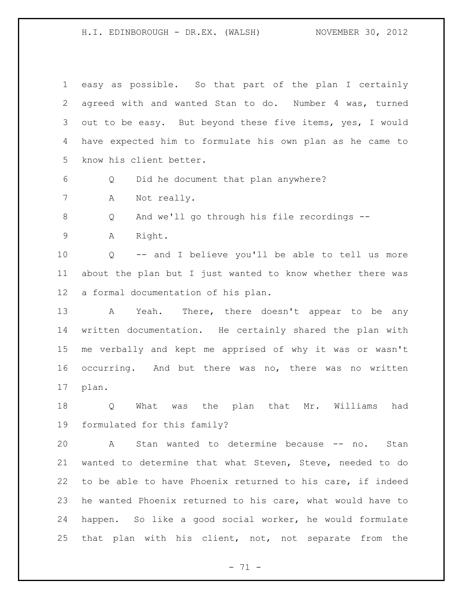easy as possible. So that part of the plan I certainly agreed with and wanted Stan to do. Number 4 was, turned out to be easy. But beyond these five items, yes, I would have expected him to formulate his own plan as he came to know his client better. Q Did he document that plan anywhere? A Not really. Q And we'll go through his file recordings -- A Right. Q -- and I believe you'll be able to tell us more about the plan but I just wanted to know whether there was a formal documentation of his plan. 13 A Yeah. There, there doesn't appear to be any written documentation. He certainly shared the plan with me verbally and kept me apprised of why it was or wasn't occurring. And but there was no, there was no written plan. Q What was the plan that Mr. Williams had formulated for this family? A Stan wanted to determine because -- no. Stan wanted to determine that what Steven, Steve, needed to do to be able to have Phoenix returned to his care, if indeed he wanted Phoenix returned to his care, what would have to happen. So like a good social worker, he would formulate that plan with his client, not, not separate from the

- 71 -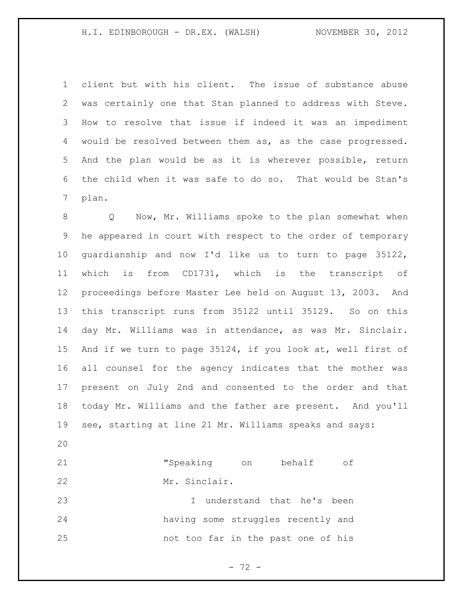client but with his client. The issue of substance abuse was certainly one that Stan planned to address with Steve. How to resolve that issue if indeed it was an impediment would be resolved between them as, as the case progressed. And the plan would be as it is wherever possible, return the child when it was safe to do so. That would be Stan's plan.

 Q Now, Mr. Williams spoke to the plan somewhat when he appeared in court with respect to the order of temporary guardianship and now I'd like us to turn to page 35122, which is from CD1731, which is the transcript of proceedings before Master Lee held on August 13, 2003. And this transcript runs from 35122 until 35129. So on this day Mr. Williams was in attendance, as was Mr. Sinclair. And if we turn to page 35124, if you look at, well first of all counsel for the agency indicates that the mother was present on July 2nd and consented to the order and that today Mr. Williams and the father are present. And you'll see, starting at line 21 Mr. Williams speaks and says: 

 "Speaking on behalf of Mr. Sinclair.

 I understand that he's been having some struggles recently and not too far in the past one of his

- 72 -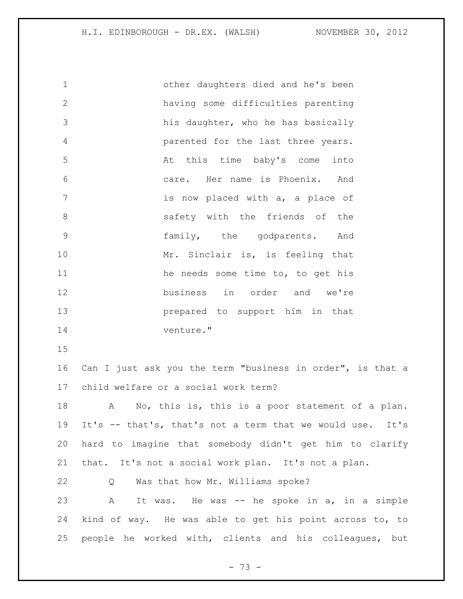other daughters died and he's been having some difficulties parenting his daughter, who he has basically parented for the last three years. At this time baby's come into care. Her name is Phoenix. And **is now placed with a, a place of** 8 6 8 safety with the friends of the family, the godparents. And 10 Mr. Sinclair is, is feeling that 11 he needs some time to, to get his business in order and we're prepared to support him in that venture." Can I just ask you the term "business in order", is that a child welfare or a social work term? 18 A No, this is, this is a poor statement of a plan. It's -- that's, that's not a term that we would use. It's hard to imagine that somebody didn't get him to clarify that. It's not a social work plan. It's not a plan. Q Was that how Mr. Williams spoke? A It was. He was -- he spoke in a, in a simple kind of way. He was able to get his point across to, to people he worked with, clients and his colleagues, but

- 73 -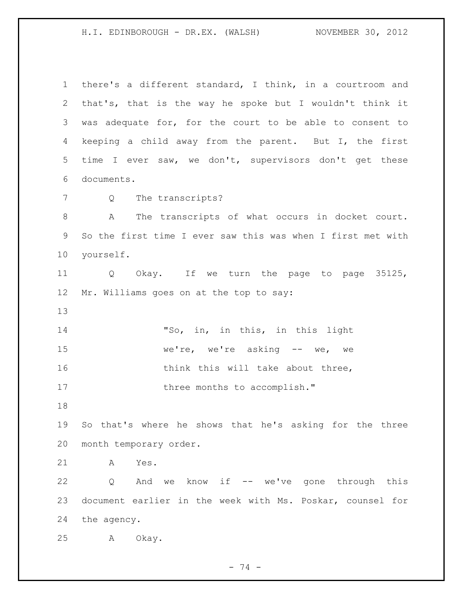there's a different standard, I think, in a courtroom and that's, that is the way he spoke but I wouldn't think it was adequate for, for the court to be able to consent to keeping a child away from the parent. But I, the first time I ever saw, we don't, supervisors don't get these documents. Q The transcripts? A The transcripts of what occurs in docket court. So the first time I ever saw this was when I first met with yourself. Q Okay. If we turn the page to page 35125, Mr. Williams goes on at the top to say: "So, in, in this, in this light 15 we're, we're asking -- we, we 16 think this will take about three, 17 three months to accomplish." So that's where he shows that he's asking for the three month temporary order. A Yes. Q And we know if -- we've gone through this document earlier in the week with Ms. Poskar, counsel for the agency. A Okay.

- 74 -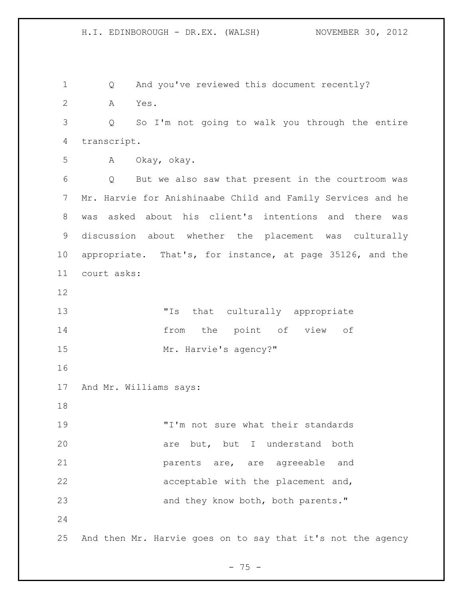H.I. EDINBOROUGH - DR.EX. (WALSH) NOVEMBER 30, 2012 Q And you've reviewed this document recently? A Yes. Q So I'm not going to walk you through the entire transcript.

A Okay, okay.

 Q But we also saw that present in the courtroom was Mr. Harvie for Anishinaabe Child and Family Services and he was asked about his client's intentions and there was discussion about whether the placement was culturally appropriate. That's, for instance, at page 35126, and the court asks:

 "Is that culturally appropriate from the point of view of 15 Mr. Harvie's agency?"

And Mr. Williams says:

 "I'm not sure what their standards are but, but I understand both parents are, are agreeable and acceptable with the placement and, 23 and they know both, both parents."

And then Mr. Harvie goes on to say that it's not the agency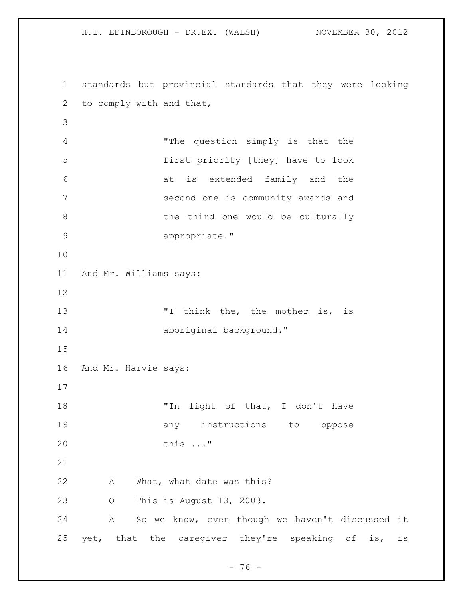H.I. EDINBOROUGH - DR.EX. (WALSH) NOVEMBER 30, 2012 standards but provincial standards that they were looking to comply with and that, "The question simply is that the first priority [they] have to look at is extended family and the second one is community awards and 8 b the third one would be culturally appropriate." And Mr. Williams says: 13 Think the, the mother is, is 14 aboriginal background." And Mr. Harvie says: 18 "In light of that, I don't have **any** instructions to oppose this ..." A What, what date was this? Q This is August 13, 2003.

 A So we know, even though we haven't discussed it yet, that the caregiver they're speaking of is, is

- 76 -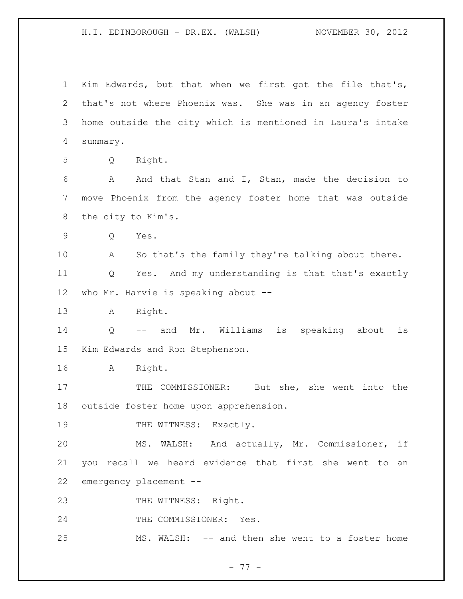Kim Edwards, but that when we first got the file that's, that's not where Phoenix was. She was in an agency foster home outside the city which is mentioned in Laura's intake summary.

Q Right.

 A And that Stan and I, Stan, made the decision to move Phoenix from the agency foster home that was outside the city to Kim's.

Q Yes.

 A So that's the family they're talking about there. Q Yes. And my understanding is that that's exactly who Mr. Harvie is speaking about --

A Right.

 Q -- and Mr. Williams is speaking about is Kim Edwards and Ron Stephenson.

A Right.

 THE COMMISSIONER: But she, she went into the outside foster home upon apprehension.

19 THE WITNESS: Exactly.

 MS. WALSH: And actually, Mr. Commissioner, if you recall we heard evidence that first she went to an emergency placement --

23 THE WITNESS: Right.

24 THE COMMISSIONER: Yes.

MS. WALSH: -- and then she went to a foster home

- 77 -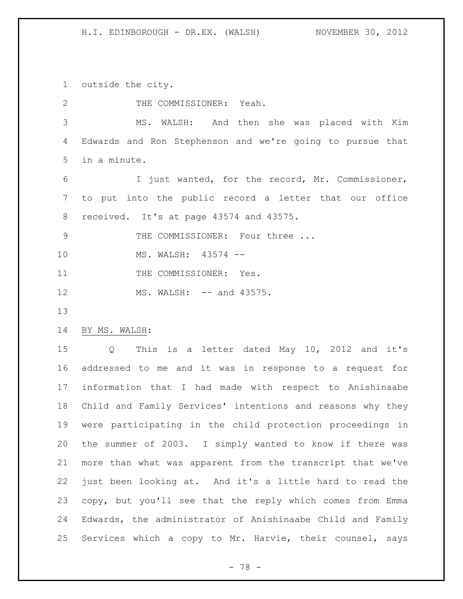outside the city.

2 THE COMMISSIONER: Yeah.

 MS. WALSH: And then she was placed with Kim Edwards and Ron Stephenson and we're going to pursue that in a minute.

 I just wanted, for the record, Mr. Commissioner, to put into the public record a letter that our office received. It's at page 43574 and 43575.

9 THE COMMISSIONER: Four three ...

MS. WALSH: 43574 --

11 THE COMMISSIONER: Yes.

12 MS. WALSH: -- and 43575.

## BY MS. WALSH:

 Q This is a letter dated May 10, 2012 and it's addressed to me and it was in response to a request for information that I had made with respect to Anishinaabe Child and Family Services' intentions and reasons why they were participating in the child protection proceedings in the summer of 2003. I simply wanted to know if there was more than what was apparent from the transcript that we've just been looking at. And it's a little hard to read the copy, but you'll see that the reply which comes from Emma Edwards, the administrator of Anishinaabe Child and Family Services which a copy to Mr. Harvie, their counsel, says

- 78 -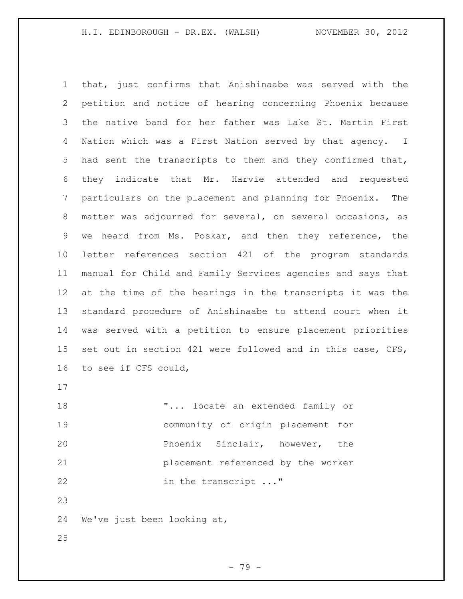that, just confirms that Anishinaabe was served with the petition and notice of hearing concerning Phoenix because the native band for her father was Lake St. Martin First Nation which was a First Nation served by that agency. I had sent the transcripts to them and they confirmed that, they indicate that Mr. Harvie attended and requested particulars on the placement and planning for Phoenix. The matter was adjourned for several, on several occasions, as we heard from Ms. Poskar, and then they reference, the letter references section 421 of the program standards manual for Child and Family Services agencies and says that at the time of the hearings in the transcripts it was the standard procedure of Anishinaabe to attend court when it was served with a petition to ensure placement priorities set out in section 421 were followed and in this case, CFS, to see if CFS could,

**"...** locate an extended family or community of origin placement for Phoenix Sinclair, however, the placement referenced by the worker 22 in the transcript ..."

We've just been looking at,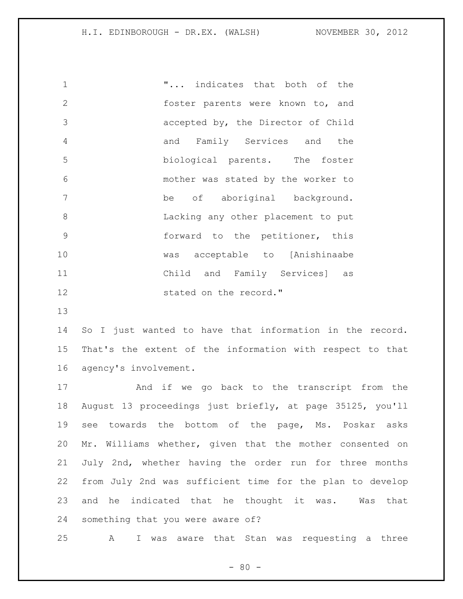"... indicates that both of the 2 foster parents were known to, and accepted by, the Director of Child and Family Services and the biological parents. The foster mother was stated by the worker to be of aboriginal background. Lacking any other placement to put forward to the petitioner, this was acceptable to [Anishinaabe Child and Family Services] as 12 stated on the record."

 So I just wanted to have that information in the record. That's the extent of the information with respect to that agency's involvement.

 And if we go back to the transcript from the August 13 proceedings just briefly, at page 35125, you'll see towards the bottom of the page, Ms. Poskar asks Mr. Williams whether, given that the mother consented on July 2nd, whether having the order run for three months from July 2nd was sufficient time for the plan to develop and he indicated that he thought it was. Was that something that you were aware of?

A I was aware that Stan was requesting a three

 $- 80 -$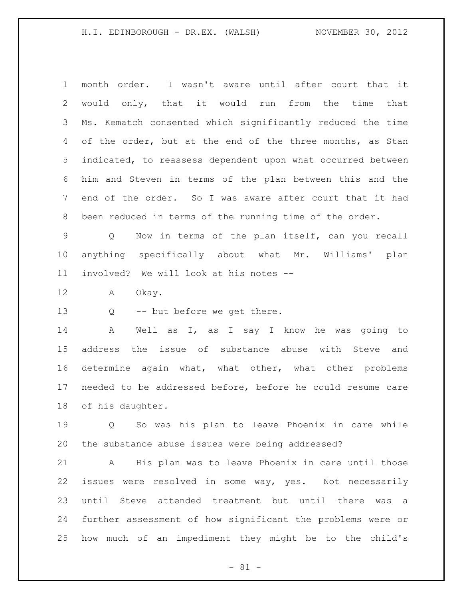month order. I wasn't aware until after court that it would only, that it would run from the time that Ms. Kematch consented which significantly reduced the time 4 of the order, but at the end of the three months, as Stan indicated, to reassess dependent upon what occurred between him and Steven in terms of the plan between this and the end of the order. So I was aware after court that it had been reduced in terms of the running time of the order.

 Q Now in terms of the plan itself, can you recall anything specifically about what Mr. Williams' plan involved? We will look at his notes --

A Okay.

Q -- but before we get there.

 A Well as I, as I say I know he was going to address the issue of substance abuse with Steve and determine again what, what other, what other problems needed to be addressed before, before he could resume care of his daughter.

 Q So was his plan to leave Phoenix in care while the substance abuse issues were being addressed?

 A His plan was to leave Phoenix in care until those issues were resolved in some way, yes. Not necessarily until Steve attended treatment but until there was a further assessment of how significant the problems were or how much of an impediment they might be to the child's

- 81 -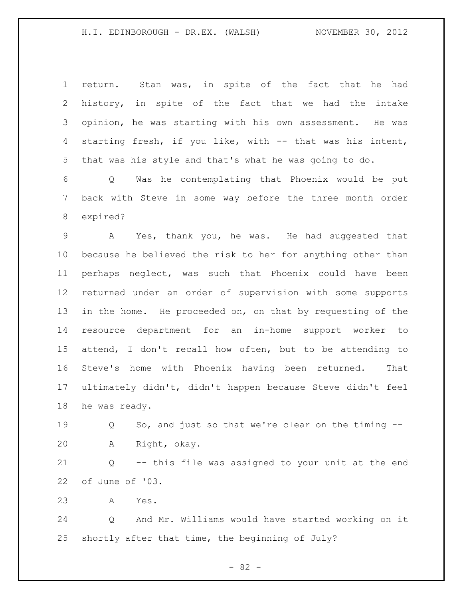return. Stan was, in spite of the fact that he had history, in spite of the fact that we had the intake opinion, he was starting with his own assessment. He was starting fresh, if you like, with -- that was his intent, that was his style and that's what he was going to do.

 Q Was he contemplating that Phoenix would be put back with Steve in some way before the three month order expired?

 A Yes, thank you, he was. He had suggested that because he believed the risk to her for anything other than perhaps neglect, was such that Phoenix could have been returned under an order of supervision with some supports 13 in the home. He proceeded on, on that by requesting of the resource department for an in-home support worker to attend, I don't recall how often, but to be attending to Steve's home with Phoenix having been returned. That ultimately didn't, didn't happen because Steve didn't feel he was ready.

 Q So, and just so that we're clear on the timing -- A Right, okay.

 Q -- this file was assigned to your unit at the end of June of '03.

A Yes.

 Q And Mr. Williams would have started working on it shortly after that time, the beginning of July?

- 82 -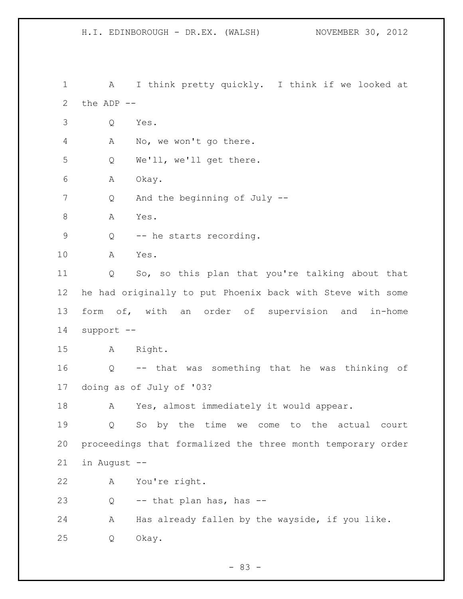H.I. EDINBOROUGH - DR.EX. (WALSH) NOVEMBER 30, 2012 1 A I think pretty quickly. I think if we looked at the ADP -- Q Yes. A No, we won't go there. Q We'll, we'll get there. A Okay. Q And the beginning of July -- 8 A Yes. 9 Q -- he starts recording. A Yes. Q So, so this plan that you're talking about that he had originally to put Phoenix back with Steve with some form of, with an order of supervision and in-home support -- A Right. Q -- that was something that he was thinking of doing as of July of '03? 18 A Yes, almost immediately it would appear. Q So by the time we come to the actual court proceedings that formalized the three month temporary order in August -- A You're right. Q -- that plan has, has -- A Has already fallen by the wayside, if you like. Q Okay.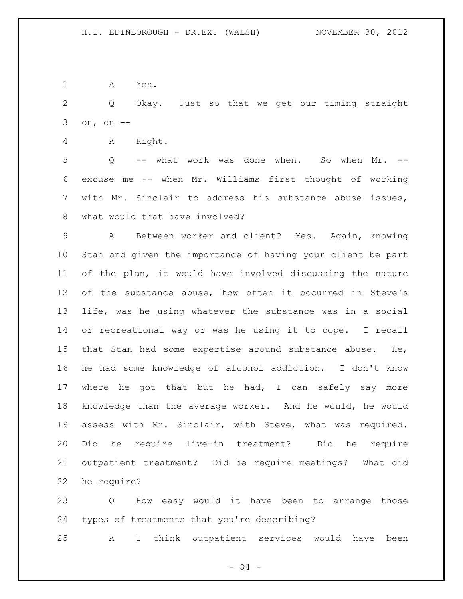A Yes.

 Q Okay. Just so that we get our timing straight on, on --

A Right.

 Q -- what work was done when. So when Mr. -- excuse me -- when Mr. Williams first thought of working with Mr. Sinclair to address his substance abuse issues, what would that have involved?

 A Between worker and client? Yes. Again, knowing Stan and given the importance of having your client be part of the plan, it would have involved discussing the nature of the substance abuse, how often it occurred in Steve's life, was he using whatever the substance was in a social or recreational way or was he using it to cope. I recall that Stan had some expertise around substance abuse. He, he had some knowledge of alcohol addiction. I don't know where he got that but he had, I can safely say more knowledge than the average worker. And he would, he would assess with Mr. Sinclair, with Steve, what was required. Did he require live-in treatment? Did he require outpatient treatment? Did he require meetings? What did he require?

 Q How easy would it have been to arrange those types of treatments that you're describing?

A I think outpatient services would have been

 $-84 -$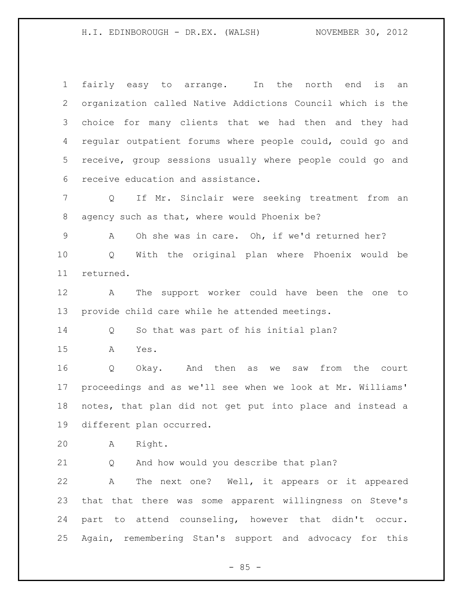fairly easy to arrange. In the north end is an organization called Native Addictions Council which is the choice for many clients that we had then and they had regular outpatient forums where people could, could go and receive, group sessions usually where people could go and receive education and assistance.

 Q If Mr. Sinclair were seeking treatment from an agency such as that, where would Phoenix be?

A Oh she was in care. Oh, if we'd returned her?

 Q With the original plan where Phoenix would be returned.

 A The support worker could have been the one to provide child care while he attended meetings.

Q So that was part of his initial plan?

A Yes.

 Q Okay. And then as we saw from the court proceedings and as we'll see when we look at Mr. Williams' notes, that plan did not get put into place and instead a different plan occurred.

A Right.

Q And how would you describe that plan?

 A The next one? Well, it appears or it appeared that that there was some apparent willingness on Steve's part to attend counseling, however that didn't occur. Again, remembering Stan's support and advocacy for this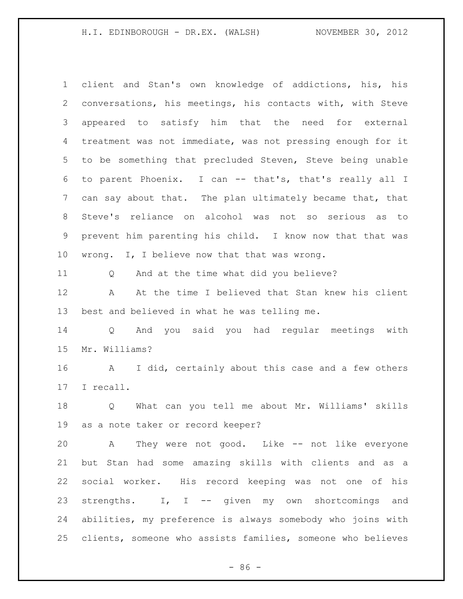client and Stan's own knowledge of addictions, his, his conversations, his meetings, his contacts with, with Steve appeared to satisfy him that the need for external treatment was not immediate, was not pressing enough for it to be something that precluded Steven, Steve being unable to parent Phoenix. I can -- that's, that's really all I can say about that. The plan ultimately became that, that Steve's reliance on alcohol was not so serious as to prevent him parenting his child. I know now that that was wrong. I, I believe now that that was wrong. Q And at the time what did you believe? A At the time I believed that Stan knew his client best and believed in what he was telling me. Q And you said you had regular meetings with Mr. Williams? A I did, certainly about this case and a few others I recall. Q What can you tell me about Mr. Williams' skills as a note taker or record keeper? A They were not good. Like -- not like everyone but Stan had some amazing skills with clients and as a social worker. His record keeping was not one of his strengths. I, I -- given my own shortcomings and abilities, my preference is always somebody who joins with clients, someone who assists families, someone who believes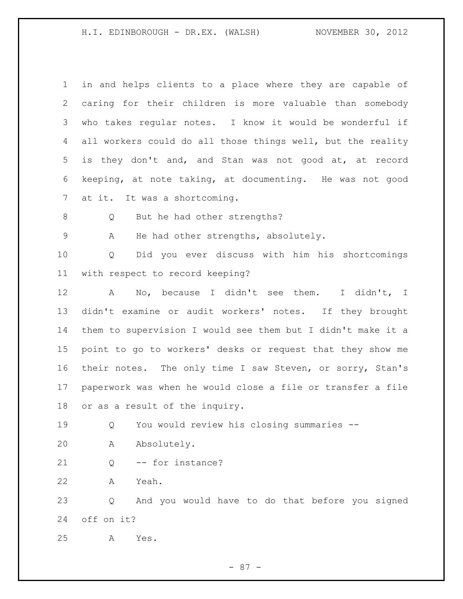| $\mathbf 1$     | in and helps clients to a place where they are capable of   |
|-----------------|-------------------------------------------------------------|
| 2               | caring for their children is more valuable than somebody    |
| 3               | who takes regular notes. I know it would be wonderful if    |
| 4               | all workers could do all those things well, but the reality |
| 5               | is they don't and, and Stan was not good at, at record      |
| 6               | keeping, at note taking, at documenting. He was not good    |
| $7\phantom{.0}$ | at it. It was a shortcoming.                                |
| 8               | But he had other strengths?<br>Q                            |
| 9               | He had other strengths, absolutely.<br>Α                    |
| 10              | Did you ever discuss with him his shortcomings<br>Q         |
| 11              | with respect to record keeping?                             |
| 12              | No, because I didn't see them. I didn't, I<br>A             |
| 13              | didn't examine or audit workers' notes. If they brought     |
| 14              | them to supervision I would see them but I didn't make it a |
| 15              | point to go to workers' desks or request that they show me  |
| 16              | their notes. The only time I saw Steven, or sorry, Stan's   |
| 17              | paperwork was when he would close a file or transfer a file |
| 18              | or as a result of the inquiry.                              |
| 19              | You would review his closing summaries --<br>Q              |
| 20              | Absolutely.<br>Α                                            |
| 21              | -- for instance?<br>Q                                       |
| 22              | Yeah.<br>Α                                                  |
| 23              | And you would have to do that before you signed<br>Q        |
| 24              | off on it?                                                  |
| 25              | Yes.<br>Α                                                   |
|                 |                                                             |

- 87 -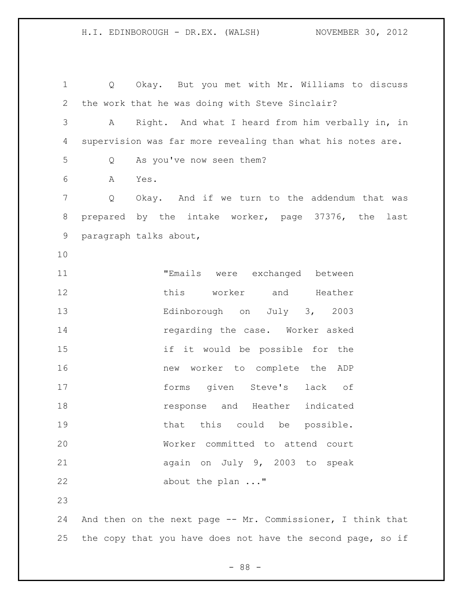Q Okay. But you met with Mr. Williams to discuss the work that he was doing with Steve Sinclair? A Right. And what I heard from him verbally in, in supervision was far more revealing than what his notes are. Q As you've now seen them? A Yes. Q Okay. And if we turn to the addendum that was prepared by the intake worker, page 37376, the last paragraph talks about, "Emails were exchanged between this worker and Heather Edinborough on July 3, 2003 **regarding the case.** Worker asked if it would be possible for the new worker to complete the ADP forms given Steve's lack of response and Heather indicated **that this could be possible.**  Worker committed to attend court again on July 9, 2003 to speak 22 about the plan ..." And then on the next page -- Mr. Commissioner, I think that

- 88 -

25 the copy that you have does not have the second page, so if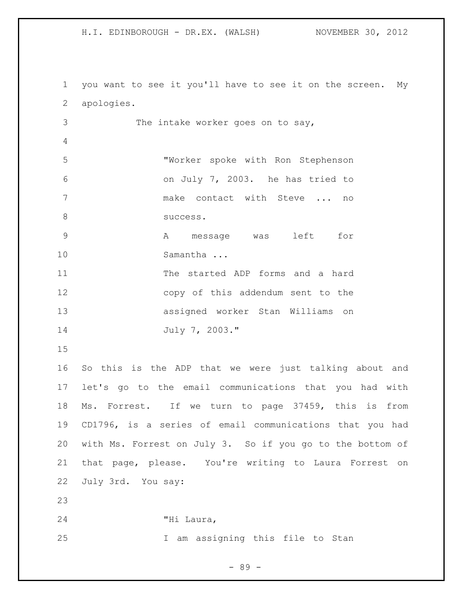you want to see it you'll have to see it on the screen. My apologies. The intake worker goes on to say, "Worker spoke with Ron Stephenson on July 7, 2003. he has tried to make contact with Steve ... no 8 success. A message was left for 10 Samantha ... The started ADP forms and a hard copy of this addendum sent to the assigned worker Stan Williams on July 7, 2003." So this is the ADP that we were just talking about and let's go to the email communications that you had with Ms. Forrest. If we turn to page 37459, this is from CD1796, is a series of email communications that you had with Ms. Forrest on July 3. So if you go to the bottom of that page, please. You're writing to Laura Forrest on July 3rd. You say: "Hi Laura, I am assigning this file to Stan

- 89 -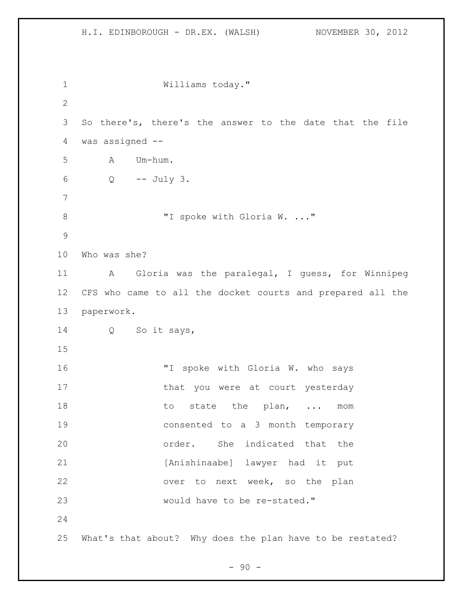Williams today." So there's, there's the answer to the date that the file was assigned -- A Um-hum. Q -- July 3. 8 "I spoke with Gloria W. ..." Who was she? A Gloria was the paralegal, I guess, for Winnipeg CFS who came to all the docket courts and prepared all the paperwork. Q So it says, 16 "I spoke with Gloria W. who says 17 that you were at court yesterday 18 to state the plan, ... mom consented to a 3 month temporary order. She indicated that the [Anishinaabe] lawyer had it put over to next week, so the plan would have to be re-stated." What's that about? Why does the plan have to be restated?

 $-90 -$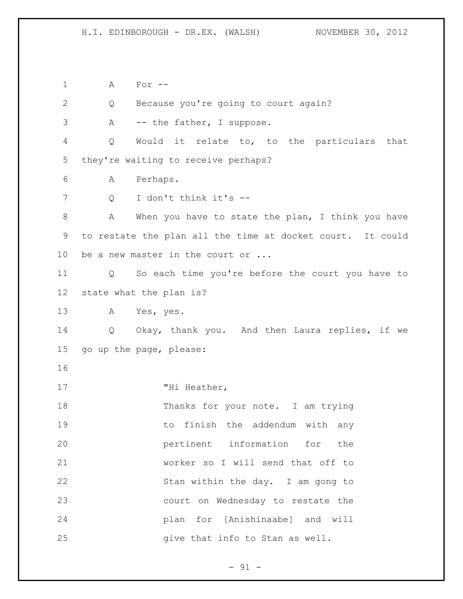A For --

Q Because you're going to court again?

3 A -- the father, I suppose.

 Q Would it relate to, to the particulars that they're waiting to receive perhaps?

A Perhaps.

Q I don't think it's --

 A When you have to state the plan, I think you have to restate the plan all the time at docket court. It could 10 be a new master in the court or ...

 Q So each time you're before the court you have to state what the plan is?

A Yes, yes.

 Q Okay, thank you. And then Laura replies, if we go up the page, please:

17 THi Heather,

18 Thanks for your note. I am trying **19** to finish the addendum with any pertinent information for the worker so I will send that off to Stan within the day. I am gong to court on Wednesday to restate the plan for [Anishinaabe] and will **give that info to Stan as well.** 

- 91 -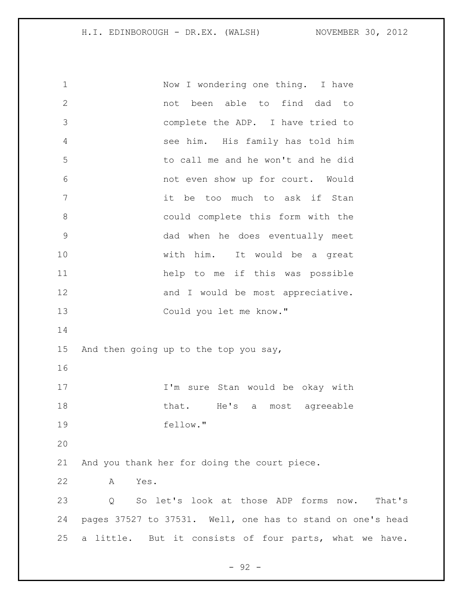1 Now I wondering one thing. I have not been able to find dad to complete the ADP. I have tried to see him. His family has told him to call me and he won't and he did not even show up for court. Would it be too much to ask if Stan could complete this form with the dad when he does eventually meet with him. It would be a great help to me if this was possible 12 and I would be most appreciative. Could you let me know." And then going up to the top you say, 17 I'm sure Stan would be okay with 18 that. He's a most agreeable fellow." And you thank her for doing the court piece. A Yes. Q So let's look at those ADP forms now. That's pages 37527 to 37531. Well, one has to stand on one's head a little. But it consists of four parts, what we have.

- 92 -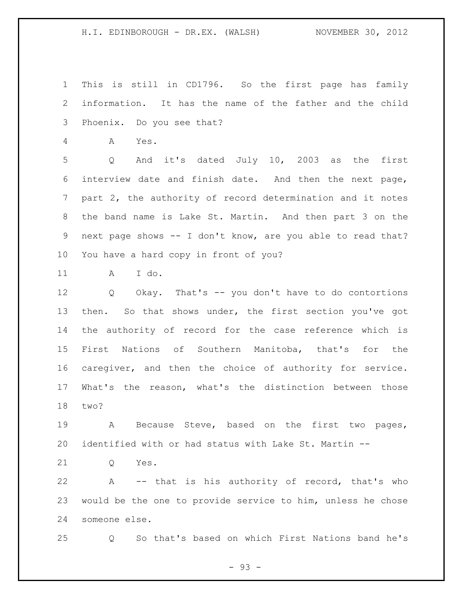This is still in CD1796. So the first page has family information. It has the name of the father and the child Phoenix. Do you see that?

A Yes.

 Q And it's dated July 10, 2003 as the first interview date and finish date. And then the next page, part 2, the authority of record determination and it notes the band name is Lake St. Martin. And then part 3 on the next page shows -- I don't know, are you able to read that? You have a hard copy in front of you?

A I do.

 Q Okay. That's -- you don't have to do contortions then. So that shows under, the first section you've got the authority of record for the case reference which is First Nations of Southern Manitoba, that's for the caregiver, and then the choice of authority for service. What's the reason, what's the distinction between those two?

 A Because Steve, based on the first two pages, identified with or had status with Lake St. Martin --

Q Yes.

 A -- that is his authority of record, that's who would be the one to provide service to him, unless he chose someone else.

Q So that's based on which First Nations band he's

- 93 -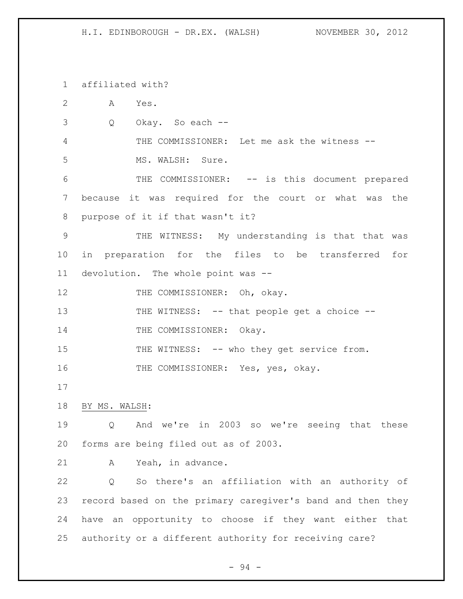affiliated with?

 A Yes. Q Okay. So each -- THE COMMISSIONER: Let me ask the witness -- MS. WALSH: Sure. THE COMMISSIONER: -- is this document prepared because it was required for the court or what was the purpose of it if that wasn't it? THE WITNESS: My understanding is that that was in preparation for the files to be transferred for devolution. The whole point was -- 12 THE COMMISSIONER: Oh, okay. 13 THE WITNESS: -- that people get a choice --14 THE COMMISSIONER: Okay. 15 THE WITNESS: -- who they get service from. 16 THE COMMISSIONER: Yes, yes, okay. BY MS. WALSH: Q And we're in 2003 so we're seeing that these forms are being filed out as of 2003. A Yeah, in advance. Q So there's an affiliation with an authority of record based on the primary caregiver's band and then they have an opportunity to choose if they want either that authority or a different authority for receiving care?

- 94 -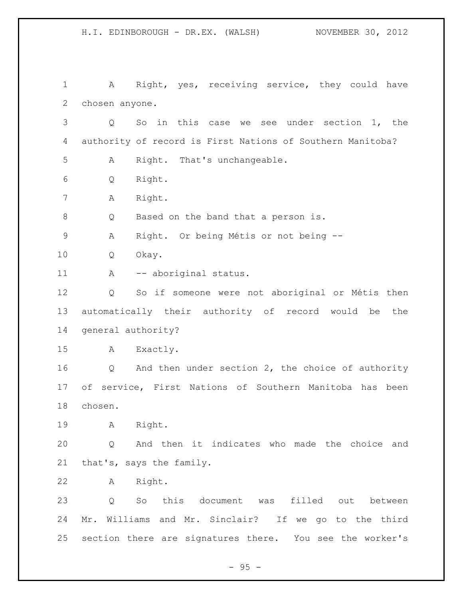H.I. EDINBOROUGH - DR.EX. (WALSH) NOVEMBER 30, 2012 A Right, yes, receiving service, they could have chosen anyone. Q So in this case we see under section 1, the authority of record is First Nations of Southern Manitoba? A Right. That's unchangeable. Q Right. A Right. Q Based on the band that a person is. A Right. Or being Métis or not being -- Q Okay. 11 A -- aboriginal status. Q So if someone were not aboriginal or Métis then automatically their authority of record would be the general authority? A Exactly. Q And then under section 2, the choice of authority of service, First Nations of Southern Manitoba has been chosen. A Right. Q And then it indicates who made the choice and that's, says the family. A Right.

 Q So this document was filled out between Mr. Williams and Mr. Sinclair? If we go to the third section there are signatures there. You see the worker's

 $- 95 -$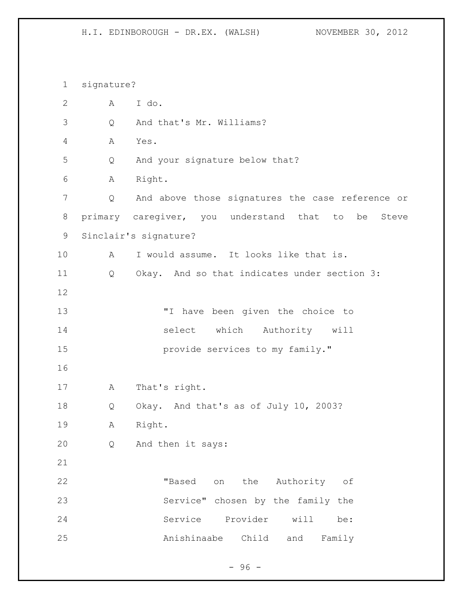signature? A I do. Q And that's Mr. Williams? A Yes. Q And your signature below that? A Right. Q And above those signatures the case reference or primary caregiver, you understand that to be Steve Sinclair's signature? A I would assume. It looks like that is. Q Okay. And so that indicates under section 3: "I have been given the choice to select which Authority will **provide services to my family."**  A That's right. Q Okay. And that's as of July 10, 2003? A Right. Q And then it says: "Based on the Authority of Service" chosen by the family the Service Provider will be: Anishinaabe Child and Family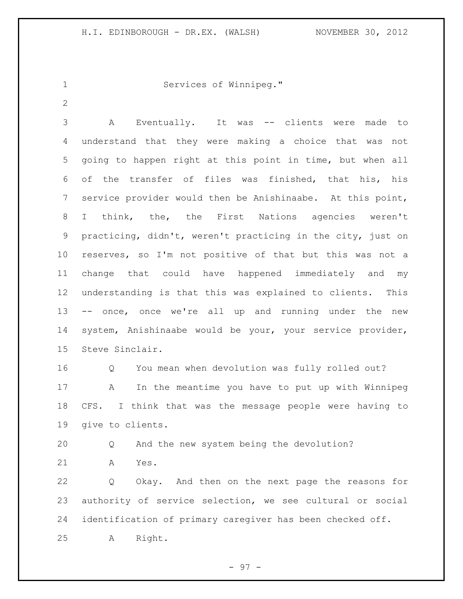```
1 Services of Winnipeg."
```
 A Eventually. It was -- clients were made to understand that they were making a choice that was not going to happen right at this point in time, but when all of the transfer of files was finished, that his, his service provider would then be Anishinaabe. At this point, I think, the, the First Nations agencies weren't practicing, didn't, weren't practicing in the city, just on reserves, so I'm not positive of that but this was not a change that could have happened immediately and my understanding is that this was explained to clients. This -- once, once we're all up and running under the new system, Anishinaabe would be your, your service provider, Steve Sinclair.

 Q You mean when devolution was fully rolled out? A In the meantime you have to put up with Winnipeg CFS. I think that was the message people were having to give to clients.

Q And the new system being the devolution?

A Yes.

 Q Okay. And then on the next page the reasons for authority of service selection, we see cultural or social identification of primary caregiver has been checked off. A Right.

- 97 -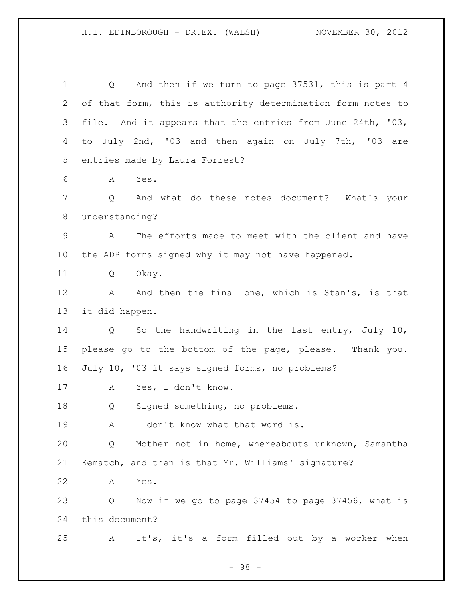Q And then if we turn to page 37531, this is part 4 of that form, this is authority determination form notes to file. And it appears that the entries from June 24th, '03, to July 2nd, '03 and then again on July 7th, '03 are entries made by Laura Forrest? A Yes. Q And what do these notes document? What's your understanding? A The efforts made to meet with the client and have the ADP forms signed why it may not have happened. Q Okay. 12 A And then the final one, which is Stan's, is that it did happen. Q So the handwriting in the last entry, July 10, please go to the bottom of the page, please. Thank you. July 10, '03 it says signed forms, no problems? A Yes, I don't know. Q Signed something, no problems. 19 A I don't know what that word is. Q Mother not in home, whereabouts unknown, Samantha Kematch, and then is that Mr. Williams' signature? A Yes. Q Now if we go to page 37454 to page 37456, what is this document? A It's, it's a form filled out by a worker when

- 98 -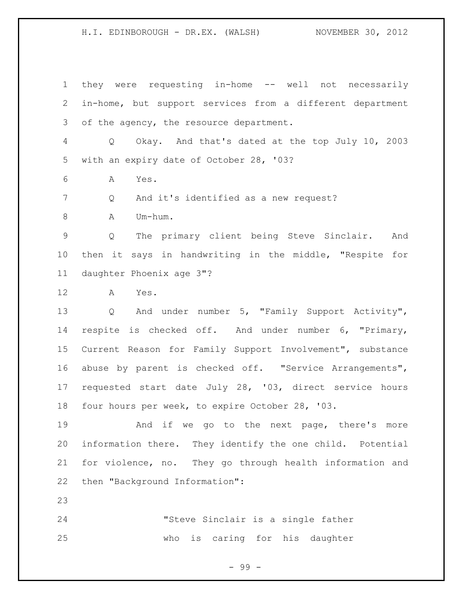they were requesting in-home -- well not necessarily in-home, but support services from a different department of the agency, the resource department. Q Okay. And that's dated at the top July 10, 2003 with an expiry date of October 28, '03? A Yes. Q And it's identified as a new request? 8 A Um-hum. Q The primary client being Steve Sinclair. And then it says in handwriting in the middle, "Respite for daughter Phoenix age 3"? A Yes. Q And under number 5, "Family Support Activity", respite is checked off. And under number 6, "Primary, Current Reason for Family Support Involvement", substance abuse by parent is checked off. "Service Arrangements", requested start date July 28, '03, direct service hours four hours per week, to expire October 28, '03. 19 And if we go to the next page, there's more information there. They identify the one child. Potential for violence, no. They go through health information and then "Background Information": 

 "Steve Sinclair is a single father who is caring for his daughter

- 99 -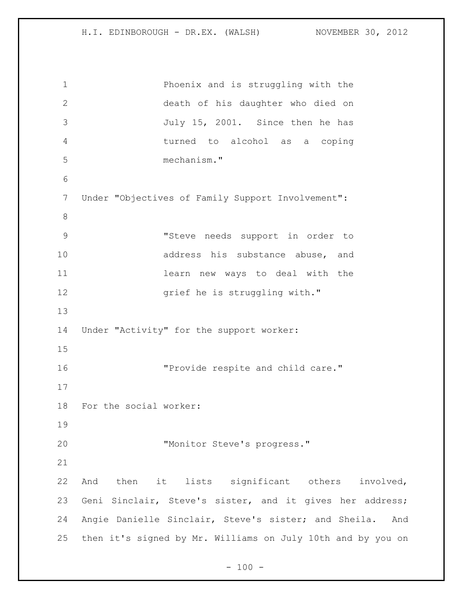Phoenix and is struggling with the death of his daughter who died on July 15, 2001. Since then he has turned to alcohol as a coping mechanism." Under "Objectives of Family Support Involvement": "Steve needs support in order to 10 address his substance abuse, and learn new ways to deal with the 12 grief he is struggling with." Under "Activity" for the support worker: "Provide respite and child care." For the social worker: 20 TMonitor Steve's progress." And then it lists significant others involved, Geni Sinclair, Steve's sister, and it gives her address; Angie Danielle Sinclair, Steve's sister; and Sheila. And then it's signed by Mr. Williams on July 10th and by you on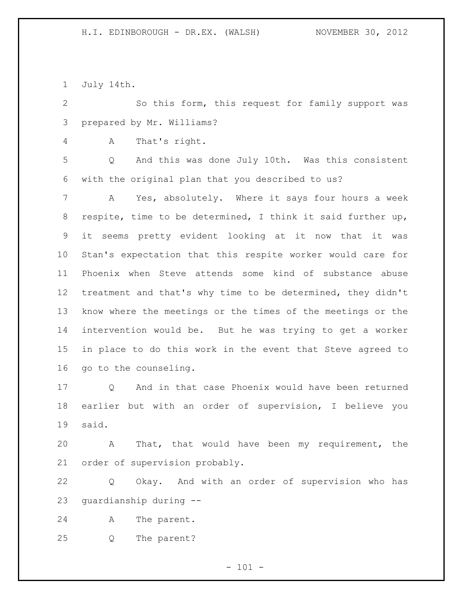July 14th.

 So this form, this request for family support was prepared by Mr. Williams?

A That's right.

 Q And this was done July 10th. Was this consistent with the original plan that you described to us?

 A Yes, absolutely. Where it says four hours a week respite, time to be determined, I think it said further up, it seems pretty evident looking at it now that it was Stan's expectation that this respite worker would care for Phoenix when Steve attends some kind of substance abuse treatment and that's why time to be determined, they didn't know where the meetings or the times of the meetings or the intervention would be. But he was trying to get a worker in place to do this work in the event that Steve agreed to go to the counseling.

 Q And in that case Phoenix would have been returned earlier but with an order of supervision, I believe you said.

 A That, that would have been my requirement, the order of supervision probably.

 Q Okay. And with an order of supervision who has guardianship during --

A The parent.

Q The parent?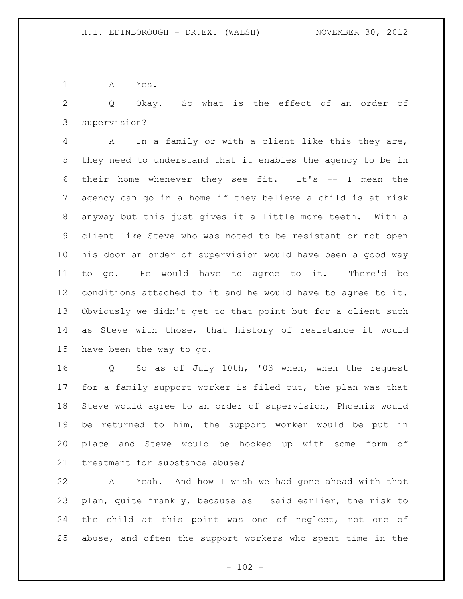A Yes.

 Q Okay. So what is the effect of an order of supervision?

 A In a family or with a client like this they are, they need to understand that it enables the agency to be in their home whenever they see fit. It's -- I mean the agency can go in a home if they believe a child is at risk anyway but this just gives it a little more teeth. With a client like Steve who was noted to be resistant or not open his door an order of supervision would have been a good way to go. He would have to agree to it. There'd be conditions attached to it and he would have to agree to it. Obviously we didn't get to that point but for a client such as Steve with those, that history of resistance it would have been the way to go.

 Q So as of July 10th, '03 when, when the request for a family support worker is filed out, the plan was that Steve would agree to an order of supervision, Phoenix would be returned to him, the support worker would be put in place and Steve would be hooked up with some form of treatment for substance abuse?

 A Yeah. And how I wish we had gone ahead with that plan, quite frankly, because as I said earlier, the risk to the child at this point was one of neglect, not one of abuse, and often the support workers who spent time in the

 $- 102 -$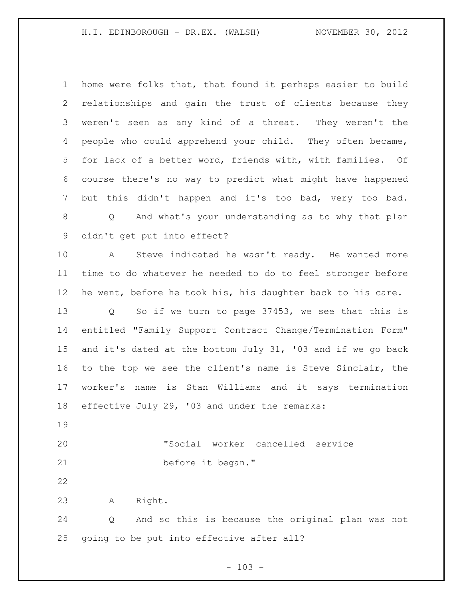home were folks that, that found it perhaps easier to build relationships and gain the trust of clients because they weren't seen as any kind of a threat. They weren't the people who could apprehend your child. They often became, for lack of a better word, friends with, with families. Of course there's no way to predict what might have happened but this didn't happen and it's too bad, very too bad. Q And what's your understanding as to why that plan didn't get put into effect? A Steve indicated he wasn't ready. He wanted more time to do whatever he needed to do to feel stronger before he went, before he took his, his daughter back to his care. Q So if we turn to page 37453, we see that this is entitled "Family Support Contract Change/Termination Form" and it's dated at the bottom July 31, '03 and if we go back to the top we see the client's name is Steve Sinclair, the worker's name is Stan Williams and it says termination effective July 29, '03 and under the remarks: "Social worker cancelled service before it began." A Right. Q And so this is because the original plan was not going to be put into effective after all?

 $- 103 -$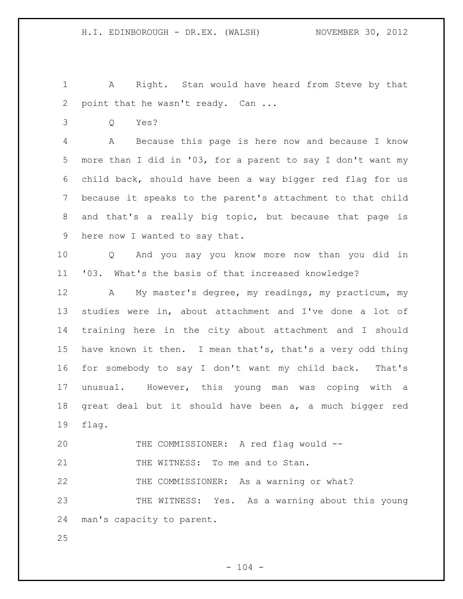A Right. Stan would have heard from Steve by that 2 point that he wasn't ready. Can ...

Q Yes?

 A Because this page is here now and because I know more than I did in '03, for a parent to say I don't want my child back, should have been a way bigger red flag for us because it speaks to the parent's attachment to that child and that's a really big topic, but because that page is here now I wanted to say that.

 Q And you say you know more now than you did in '03. What's the basis of that increased knowledge?

 A My master's degree, my readings, my practicum, my studies were in, about attachment and I've done a lot of training here in the city about attachment and I should have known it then. I mean that's, that's a very odd thing for somebody to say I don't want my child back. That's unusual. However, this young man was coping with a great deal but it should have been a, a much bigger red flag.

THE COMMISSIONER: A red flag would --

21 THE WITNESS: To me and to Stan.

THE COMMISSIONER: As a warning or what?

 THE WITNESS: Yes. As a warning about this young man's capacity to parent.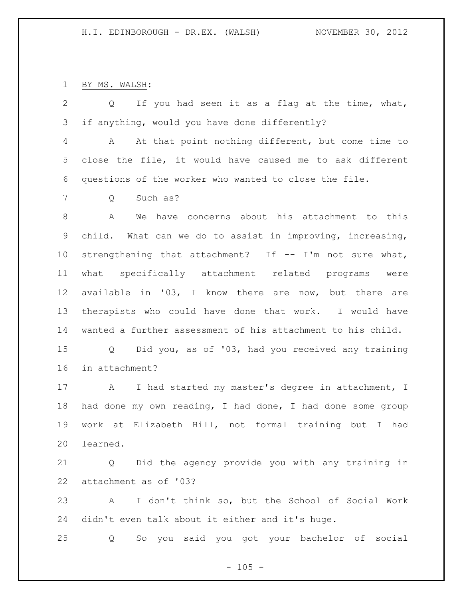BY MS. WALSH:

 Q If you had seen it as a flag at the time, what, if anything, would you have done differently? A At that point nothing different, but come time to close the file, it would have caused me to ask different questions of the worker who wanted to close the file. Q Such as? A We have concerns about his attachment to this child. What can we do to assist in improving, increasing, strengthening that attachment? If -- I'm not sure what, what specifically attachment related programs were available in '03, I know there are now, but there are therapists who could have done that work. I would have wanted a further assessment of his attachment to his child. Q Did you, as of '03, had you received any training in attachment? 17 A I had started my master's degree in attachment, I had done my own reading, I had done, I had done some group work at Elizabeth Hill, not formal training but I had learned. Q Did the agency provide you with any training in attachment as of '03? A I don't think so, but the School of Social Work

didn't even talk about it either and it's huge.

Q So you said you got your bachelor of social

 $- 105 -$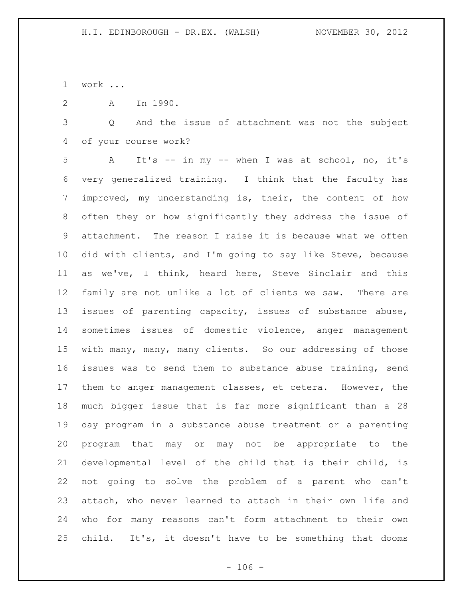work ...

A In 1990.

 Q And the issue of attachment was not the subject of your course work?

 A It's -- in my -- when I was at school, no, it's very generalized training. I think that the faculty has improved, my understanding is, their, the content of how often they or how significantly they address the issue of attachment. The reason I raise it is because what we often did with clients, and I'm going to say like Steve, because as we've, I think, heard here, Steve Sinclair and this family are not unlike a lot of clients we saw. There are issues of parenting capacity, issues of substance abuse, sometimes issues of domestic violence, anger management with many, many, many clients. So our addressing of those issues was to send them to substance abuse training, send them to anger management classes, et cetera. However, the much bigger issue that is far more significant than a 28 day program in a substance abuse treatment or a parenting program that may or may not be appropriate to the developmental level of the child that is their child, is not going to solve the problem of a parent who can't attach, who never learned to attach in their own life and who for many reasons can't form attachment to their own child. It's, it doesn't have to be something that dooms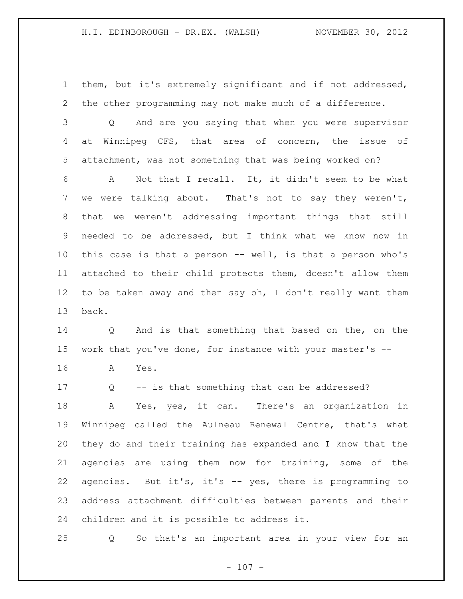them, but it's extremely significant and if not addressed, the other programming may not make much of a difference.

 Q And are you saying that when you were supervisor at Winnipeg CFS, that area of concern, the issue of attachment, was not something that was being worked on?

 A Not that I recall. It, it didn't seem to be what we were talking about. That's not to say they weren't, that we weren't addressing important things that still needed to be addressed, but I think what we know now in this case is that a person -- well, is that a person who's attached to their child protects them, doesn't allow them 12 to be taken away and then say oh, I don't really want them back.

 Q And is that something that based on the, on the work that you've done, for instance with your master's -- A Yes.

 Q -- is that something that can be addressed? A Yes, yes, it can. There's an organization in Winnipeg called the Aulneau Renewal Centre, that's what they do and their training has expanded and I know that the agencies are using them now for training, some of the agencies. But it's, it's -- yes, there is programming to address attachment difficulties between parents and their children and it is possible to address it.

Q So that's an important area in your view for an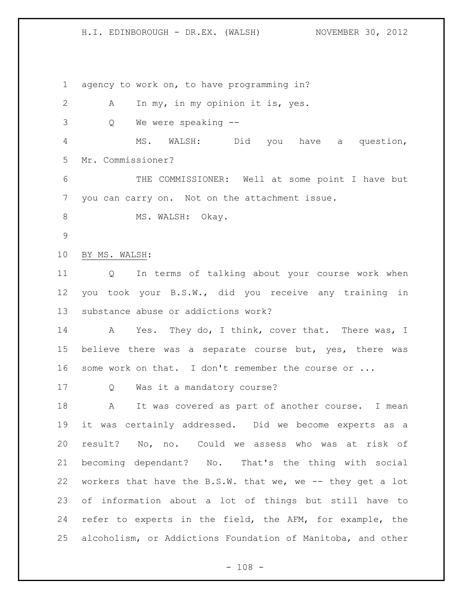agency to work on, to have programming in? A In my, in my opinion it is, yes. Q We were speaking -- MS. WALSH: Did you have a question, Mr. Commissioner? THE COMMISSIONER: Well at some point I have but you can carry on. Not on the attachment issue. 8 MS. WALSH: Okay. BY MS. WALSH: Q In terms of talking about your course work when you took your B.S.W., did you receive any training in substance abuse or addictions work? 14 A Yes. They do, I think, cover that. There was, I believe there was a separate course but, yes, there was 16 some work on that. I don't remember the course or ... Q Was it a mandatory course? A It was covered as part of another course. I mean it was certainly addressed. Did we become experts as a result? No, no. Could we assess who was at risk of becoming dependant? No. That's the thing with social 22 workers that have the B.S.W. that we, we -- they get a lot of information about a lot of things but still have to refer to experts in the field, the AFM, for example, the alcoholism, or Addictions Foundation of Manitoba, and other

 $- 108 -$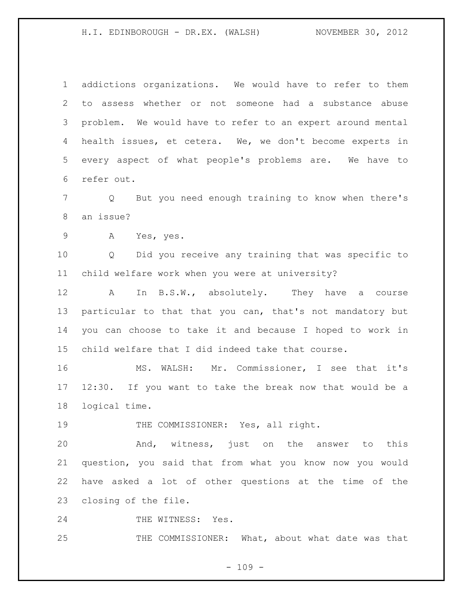addictions organizations. We would have to refer to them to assess whether or not someone had a substance abuse problem. We would have to refer to an expert around mental health issues, et cetera. We, we don't become experts in every aspect of what people's problems are. We have to refer out.

 Q But you need enough training to know when there's an issue?

A Yes, yes.

 Q Did you receive any training that was specific to child welfare work when you were at university?

12 A In B.S.W., absolutely. They have a course particular to that that you can, that's not mandatory but you can choose to take it and because I hoped to work in child welfare that I did indeed take that course.

 MS. WALSH: Mr. Commissioner, I see that it's 12:30. If you want to take the break now that would be a logical time.

19 THE COMMISSIONER: Yes, all right.

 And, witness, just on the answer to this question, you said that from what you know now you would have asked a lot of other questions at the time of the closing of the file.

24 THE WITNESS: Yes.

25 THE COMMISSIONER: What, about what date was that

 $- 109 -$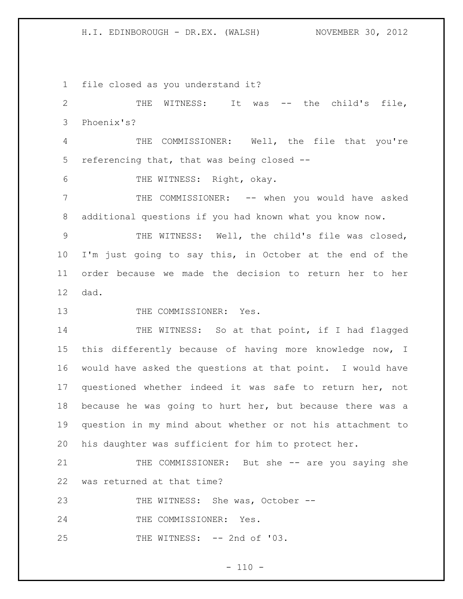file closed as you understand it?

 THE WITNESS: It was -- the child's file, Phoenix's? THE COMMISSIONER: Well, the file that you're referencing that, that was being closed -- THE WITNESS: Right, okay. THE COMMISSIONER: -- when you would have asked additional questions if you had known what you know now. THE WITNESS: Well, the child's file was closed, I'm just going to say this, in October at the end of the order because we made the decision to return her to her dad. 13 THE COMMISSIONER: Yes. 14 THE WITNESS: So at that point, if I had flagged this differently because of having more knowledge now, I would have asked the questions at that point. I would have questioned whether indeed it was safe to return her, not

 because he was going to hurt her, but because there was a question in my mind about whether or not his attachment to his daughter was sufficient for him to protect her.

21 THE COMMISSIONER: But she -- are you saying she was returned at that time?

23 THE WITNESS: She was, October --

24 THE COMMISSIONER: Yes.

THE WITNESS: -- 2nd of '03.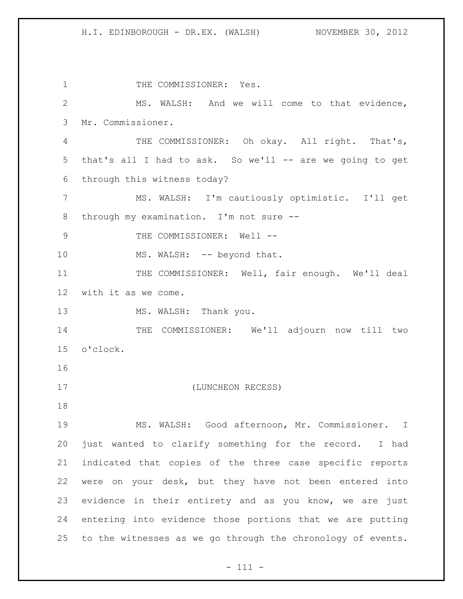1 THE COMMISSIONER: Yes. MS. WALSH: And we will come to that evidence, Mr. Commissioner. THE COMMISSIONER: Oh okay. All right. That's, that's all I had to ask. So we'll -- are we going to get through this witness today? MS. WALSH: I'm cautiously optimistic. I'll get through my examination. I'm not sure -- 9 THE COMMISSIONER: Well --10 MS. WALSH: -- beyond that. THE COMMISSIONER: Well, fair enough. We'll deal with it as we come. 13 MS. WALSH: Thank you. THE COMMISSIONER: We'll adjourn now till two o'clock. (LUNCHEON RECESS) MS. WALSH: Good afternoon, Mr. Commissioner. I just wanted to clarify something for the record. I had indicated that copies of the three case specific reports were on your desk, but they have not been entered into evidence in their entirety and as you know, we are just entering into evidence those portions that we are putting to the witnesses as we go through the chronology of events.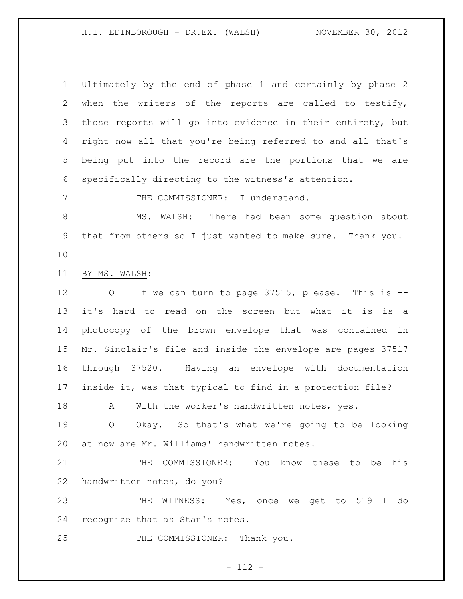Ultimately by the end of phase 1 and certainly by phase 2 when the writers of the reports are called to testify, those reports will go into evidence in their entirety, but right now all that you're being referred to and all that's being put into the record are the portions that we are specifically directing to the witness's attention. THE COMMISSIONER: I understand. MS. WALSH: There had been some question about that from others so I just wanted to make sure. Thank you. BY MS. WALSH: Q If we can turn to page 37515, please. This is -- it's hard to read on the screen but what it is is a photocopy of the brown envelope that was contained in Mr. Sinclair's file and inside the envelope are pages 37517 through 37520. Having an envelope with documentation inside it, was that typical to find in a protection file? 18 A With the worker's handwritten notes, yes. Q Okay. So that's what we're going to be looking at now are Mr. Williams' handwritten notes. THE COMMISSIONER: You know these to be his handwritten notes, do you? THE WITNESS: Yes, once we get to 519 I do recognize that as Stan's notes. 25 THE COMMISSIONER: Thank you.

- 112 -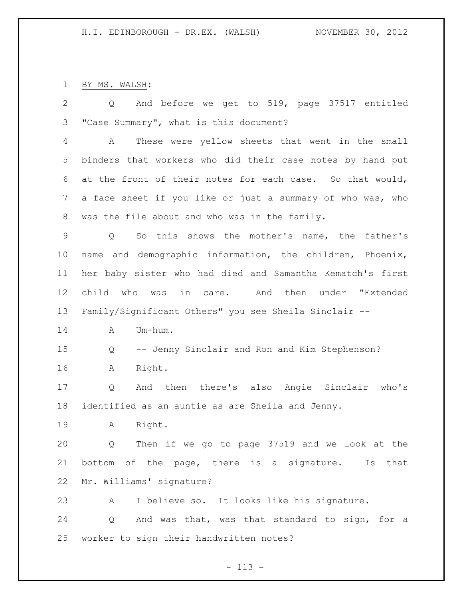BY MS. WALSH:

 Q And before we get to 519, page 37517 entitled "Case Summary", what is this document? A These were yellow sheets that went in the small binders that workers who did their case notes by hand put at the front of their notes for each case. So that would, a face sheet if you like or just a summary of who was, who was the file about and who was in the family. Q So this shows the mother's name, the father's name and demographic information, the children, Phoenix, her baby sister who had died and Samantha Kematch's first child who was in care. And then under "Extended Family/Significant Others" you see Sheila Sinclair -- A Um-hum. Q -- Jenny Sinclair and Ron and Kim Stephenson? A Right. Q And then there's also Angie Sinclair who's identified as an auntie as are Sheila and Jenny. A Right. Q Then if we go to page 37519 and we look at the bottom of the page, there is a signature. Is that Mr. Williams' signature? A I believe so. It looks like his signature. Q And was that, was that standard to sign, for a worker to sign their handwritten notes?

- 113 -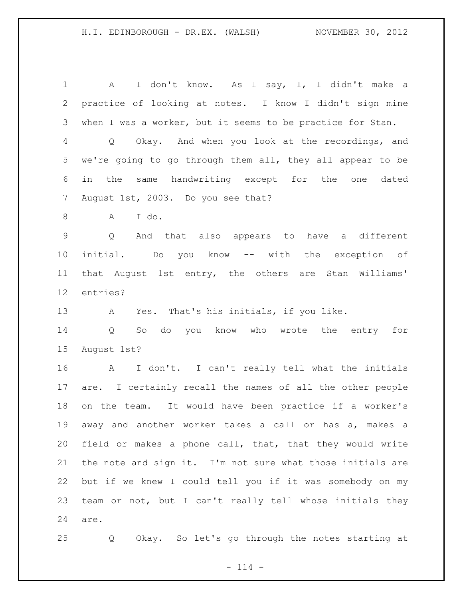A I don't know. As I say, I, I didn't make a practice of looking at notes. I know I didn't sign mine when I was a worker, but it seems to be practice for Stan. Q Okay. And when you look at the recordings, and we're going to go through them all, they all appear to be in the same handwriting except for the one dated August 1st, 2003. Do you see that? A I do. Q And that also appears to have a different initial. Do you know -- with the exception of that August 1st entry, the others are Stan Williams' entries? A Yes. That's his initials, if you like. Q So do you know who wrote the entry for August 1st? A I don't. I can't really tell what the initials are. I certainly recall the names of all the other people on the team. It would have been practice if a worker's away and another worker takes a call or has a, makes a field or makes a phone call, that, that they would write the note and sign it. I'm not sure what those initials are but if we knew I could tell you if it was somebody on my team or not, but I can't really tell whose initials they are.

Q Okay. So let's go through the notes starting at

 $- 114 -$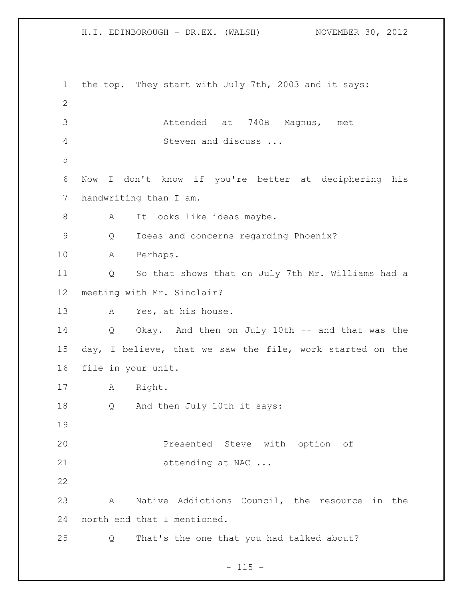H.I. EDINBOROUGH - DR.EX. (WALSH) NOVEMBER 30, 2012 the top. They start with July 7th, 2003 and it says: Attended at 740B Magnus, met Steven and discuss ... Now I don't know if you're better at deciphering his handwriting than I am. 8 A It looks like ideas maybe. Q Ideas and concerns regarding Phoenix? A Perhaps. Q So that shows that on July 7th Mr. Williams had a meeting with Mr. Sinclair? A Yes, at his house. Q Okay. And then on July 10th -- and that was the day, I believe, that we saw the file, work started on the file in your unit. A Right. Q And then July 10th it says: **Presented Steve with option of** 21 attending at NAC ... A Native Addictions Council, the resource in the north end that I mentioned. Q That's the one that you had talked about?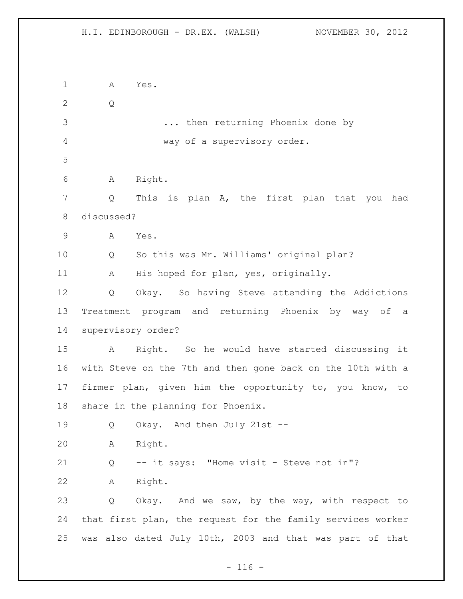A Yes. Q ... then returning Phoenix done by way of a supervisory order. A Right. Q This is plan A, the first plan that you had discussed? A Yes. Q So this was Mr. Williams' original plan? A His hoped for plan, yes, originally. Q Okay. So having Steve attending the Addictions Treatment program and returning Phoenix by way of a supervisory order? A Right. So he would have started discussing it with Steve on the 7th and then gone back on the 10th with a firmer plan, given him the opportunity to, you know, to share in the planning for Phoenix. Q Okay. And then July 21st -- A Right. Q -- it says: "Home visit - Steve not in"? A Right. Q Okay. And we saw, by the way, with respect to that first plan, the request for the family services worker was also dated July 10th, 2003 and that was part of that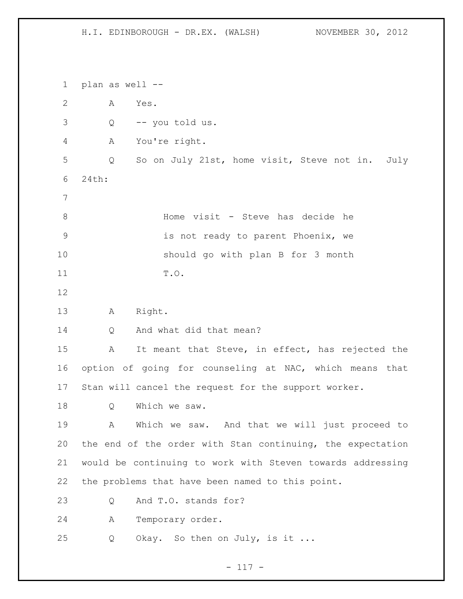plan as well -- A Yes. Q -- you told us. A You're right. Q So on July 21st, home visit, Steve not in. July 24th: Home visit - Steve has decide he is not ready to parent Phoenix, we should go with plan B for 3 month T.O. A Right. 14 Q And what did that mean? A It meant that Steve, in effect, has rejected the option of going for counseling at NAC, which means that Stan will cancel the request for the support worker. 18 Q Which we saw. A Which we saw. And that we will just proceed to the end of the order with Stan continuing, the expectation would be continuing to work with Steven towards addressing the problems that have been named to this point. Q And T.O. stands for? A Temporary order. 25 Q Okay. So then on July, is it ...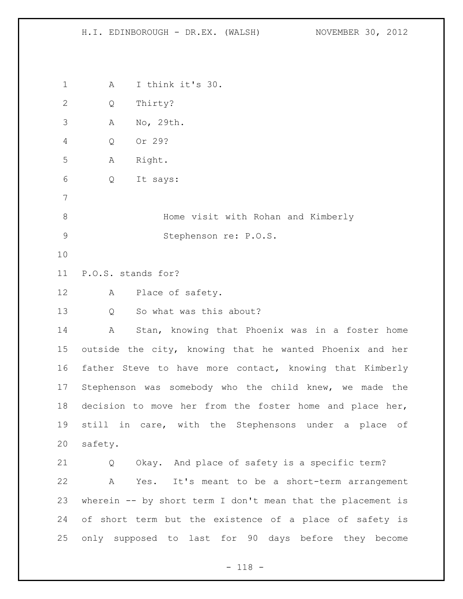A I think it's 30. Q Thirty? A No, 29th. Q Or 29? A Right. Q It says: Home visit with Rohan and Kimberly Stephenson re: P.O.S. P.O.S. stands for? A Place of safety. Q So what was this about? A Stan, knowing that Phoenix was in a foster home outside the city, knowing that he wanted Phoenix and her father Steve to have more contact, knowing that Kimberly Stephenson was somebody who the child knew, we made the decision to move her from the foster home and place her, still in care, with the Stephensons under a place of safety. Q Okay. And place of safety is a specific term? A Yes. It's meant to be a short-term arrangement wherein -- by short term I don't mean that the placement is of short term but the existence of a place of safety is only supposed to last for 90 days before they become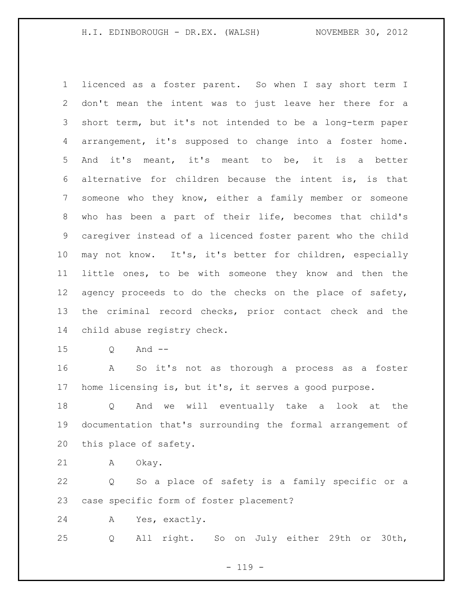licenced as a foster parent. So when I say short term I don't mean the intent was to just leave her there for a short term, but it's not intended to be a long-term paper arrangement, it's supposed to change into a foster home. And it's meant, it's meant to be, it is a better alternative for children because the intent is, is that someone who they know, either a family member or someone who has been a part of their life, becomes that child's caregiver instead of a licenced foster parent who the child may not know. It's, it's better for children, especially little ones, to be with someone they know and then the agency proceeds to do the checks on the place of safety, the criminal record checks, prior contact check and the child abuse registry check.

Q And --

 A So it's not as thorough a process as a foster home licensing is, but it's, it serves a good purpose.

 Q And we will eventually take a look at the documentation that's surrounding the formal arrangement of this place of safety.

A Okay.

 Q So a place of safety is a family specific or a case specific form of foster placement?

A Yes, exactly.

Q All right. So on July either 29th or 30th,

 $- 119 -$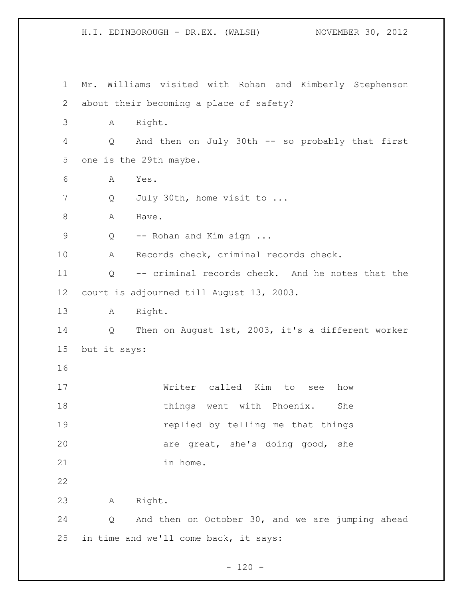H.I. EDINBOROUGH - DR.EX. (WALSH) NOVEMBER 30, 2012 Mr. Williams visited with Rohan and Kimberly Stephenson about their becoming a place of safety? A Right. Q And then on July 30th -- so probably that first one is the 29th maybe. A Yes. 7 Q July 30th, home visit to ... 8 A Have. 9 Q -- Rohan and Kim sign ... A Records check, criminal records check. Q -- criminal records check. And he notes that the court is adjourned till August 13, 2003. A Right. Q Then on August 1st, 2003, it's a different worker but it says: Writer called Kim to see how 18 things went with Phoenix. She replied by telling me that things are great, she's doing good, she 21 in home. A Right. Q And then on October 30, and we are jumping ahead in time and we'll come back, it says:

 $- 120 -$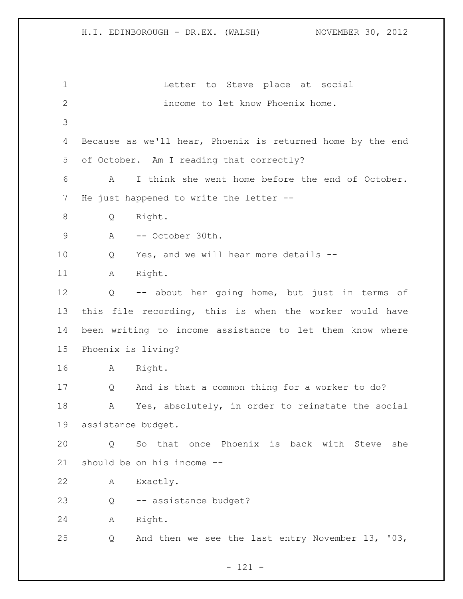Letter to Steve place at social income to let know Phoenix home. Because as we'll hear, Phoenix is returned home by the end of October. Am I reading that correctly? A I think she went home before the end of October. He just happened to write the letter -- Q Right. 9 A -- October 30th. Q Yes, and we will hear more details -- 11 A Right. Q -- about her going home, but just in terms of this file recording, this is when the worker would have been writing to income assistance to let them know where Phoenix is living? A Right. Q And is that a common thing for a worker to do? A Yes, absolutely, in order to reinstate the social assistance budget. Q So that once Phoenix is back with Steve she should be on his income -- A Exactly. Q -- assistance budget? A Right. Q And then we see the last entry November 13, '03,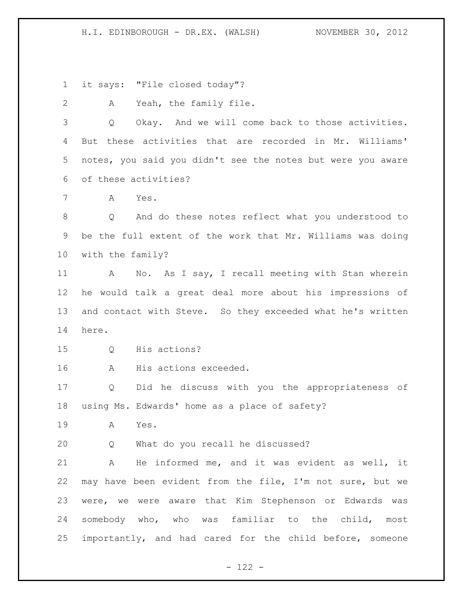it says: "File closed today"?

A Yeah, the family file.

 Q Okay. And we will come back to those activities. But these activities that are recorded in Mr. Williams' notes, you said you didn't see the notes but were you aware of these activities?

A Yes.

 Q And do these notes reflect what you understood to be the full extent of the work that Mr. Williams was doing with the family?

 A No. As I say, I recall meeting with Stan wherein he would talk a great deal more about his impressions of and contact with Steve. So they exceeded what he's written here.

Q His actions?

A His actions exceeded.

 Q Did he discuss with you the appropriateness of using Ms. Edwards' home as a place of safety?

A Yes.

Q What do you recall he discussed?

 A He informed me, and it was evident as well, it may have been evident from the file, I'm not sure, but we were, we were aware that Kim Stephenson or Edwards was somebody who, who was familiar to the child, most importantly, and had cared for the child before, someone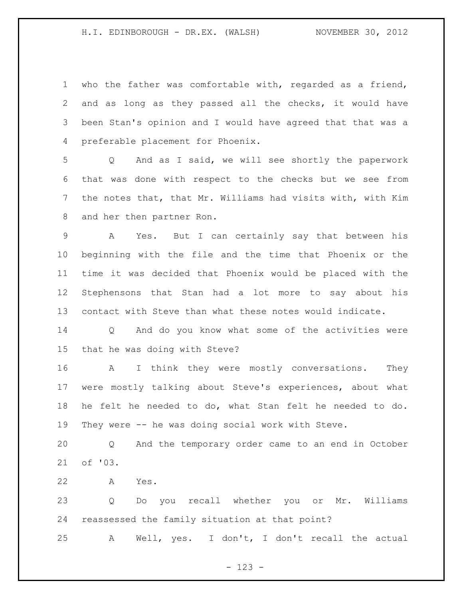who the father was comfortable with, regarded as a friend, and as long as they passed all the checks, it would have been Stan's opinion and I would have agreed that that was a preferable placement for Phoenix.

 Q And as I said, we will see shortly the paperwork that was done with respect to the checks but we see from the notes that, that Mr. Williams had visits with, with Kim and her then partner Ron.

 A Yes. But I can certainly say that between his beginning with the file and the time that Phoenix or the time it was decided that Phoenix would be placed with the Stephensons that Stan had a lot more to say about his contact with Steve than what these notes would indicate.

 Q And do you know what some of the activities were that he was doing with Steve?

16 A I think they were mostly conversations. They were mostly talking about Steve's experiences, about what he felt he needed to do, what Stan felt he needed to do. They were -- he was doing social work with Steve.

 Q And the temporary order came to an end in October of '03.

A Yes.

 Q Do you recall whether you or Mr. Williams reassessed the family situation at that point?

A Well, yes. I don't, I don't recall the actual

- 123 -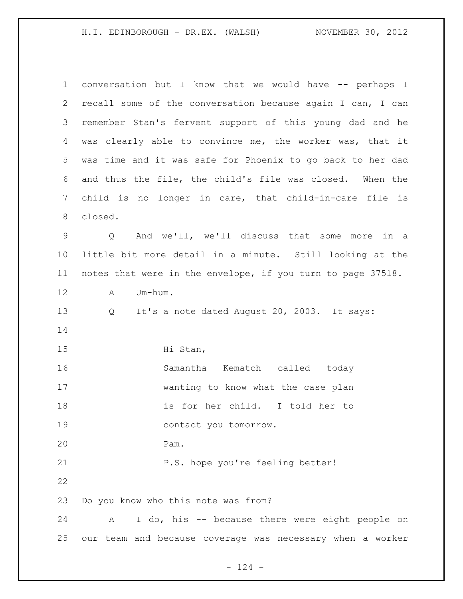| $\mathbf{1}$ | conversation but I know that we would have -- perhaps I           |  |  |  |
|--------------|-------------------------------------------------------------------|--|--|--|
| 2            | recall some of the conversation because again I can, I can        |  |  |  |
| 3            | remember Stan's fervent support of this young dad and he          |  |  |  |
| 4            | was clearly able to convince me, the worker was, that it          |  |  |  |
| 5            | was time and it was safe for Phoenix to go back to her dad        |  |  |  |
| 6            | and thus the file, the child's file was closed. When the          |  |  |  |
| 7            | child is no longer in care, that child-in-care file is            |  |  |  |
| 8            | closed.                                                           |  |  |  |
| 9            | And we'll, we'll discuss that some more in a<br>$Q \qquad \qquad$ |  |  |  |
| $10 \,$      | little bit more detail in a minute. Still looking at the          |  |  |  |
| 11           | notes that were in the envelope, if you turn to page 37518.       |  |  |  |
| 12           | Um-hum.<br>Α                                                      |  |  |  |
| 13           | It's a note dated August 20, 2003. It says:<br>Q                  |  |  |  |
| 14           |                                                                   |  |  |  |
| 15           | Hi Stan,                                                          |  |  |  |
| 16           | Samantha Kematch called today                                     |  |  |  |
| 17           | wanting to know what the case plan                                |  |  |  |
| 18           | is for her child. I told her to                                   |  |  |  |
| 19           | contact you tomorrow.                                             |  |  |  |
| 20           | Pam.                                                              |  |  |  |
| 21           | P.S. hope you're feeling better!                                  |  |  |  |
| 22           |                                                                   |  |  |  |
| 23           | Do you know who this note was from?                               |  |  |  |
| 24           | I do, his -- because there were eight people on<br>Α              |  |  |  |
| 25           | our team and because coverage was necessary when a worker         |  |  |  |

- 124 -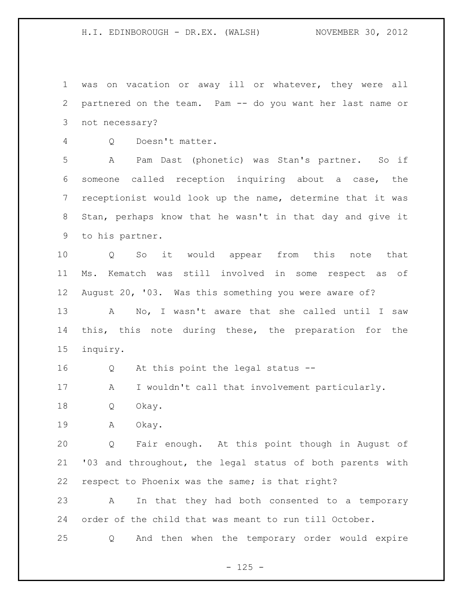was on vacation or away ill or whatever, they were all partnered on the team. Pam -- do you want her last name or not necessary?

Q Doesn't matter.

 A Pam Dast (phonetic) was Stan's partner. So if someone called reception inquiring about a case, the receptionist would look up the name, determine that it was Stan, perhaps know that he wasn't in that day and give it to his partner.

 Q So it would appear from this note that Ms. Kematch was still involved in some respect as of August 20, '03. Was this something you were aware of? A No, I wasn't aware that she called until I saw this, this note during these, the preparation for the inquiry.

Q At this point the legal status --

A I wouldn't call that involvement particularly.

Q Okay.

A Okay.

 Q Fair enough. At this point though in August of '03 and throughout, the legal status of both parents with respect to Phoenix was the same; is that right?

 A In that they had both consented to a temporary order of the child that was meant to run till October.

Q And then when the temporary order would expire

 $- 125 -$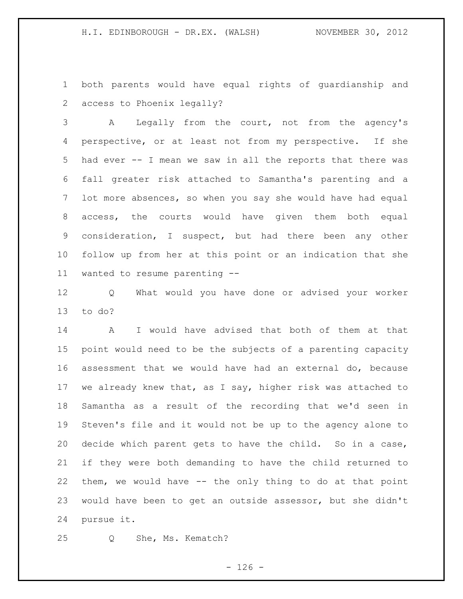both parents would have equal rights of guardianship and access to Phoenix legally?

 A Legally from the court, not from the agency's perspective, or at least not from my perspective. If she had ever -- I mean we saw in all the reports that there was fall greater risk attached to Samantha's parenting and a lot more absences, so when you say she would have had equal access, the courts would have given them both equal consideration, I suspect, but had there been any other follow up from her at this point or an indication that she wanted to resume parenting --

 Q What would you have done or advised your worker to do?

 A I would have advised that both of them at that point would need to be the subjects of a parenting capacity assessment that we would have had an external do, because we already knew that, as I say, higher risk was attached to Samantha as a result of the recording that we'd seen in Steven's file and it would not be up to the agency alone to decide which parent gets to have the child. So in a case, if they were both demanding to have the child returned to them, we would have -- the only thing to do at that point would have been to get an outside assessor, but she didn't pursue it.

Q She, Ms. Kematch?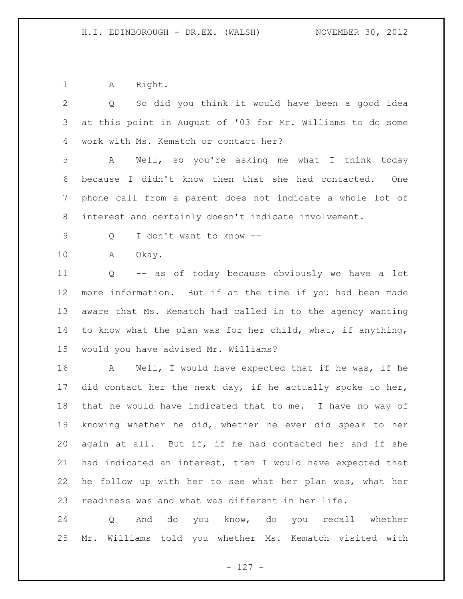1 A Right.

 Q So did you think it would have been a good idea at this point in August of '03 for Mr. Williams to do some work with Ms. Kematch or contact her? A Well, so you're asking me what I think today because I didn't know then that she had contacted. One phone call from a parent does not indicate a whole lot of interest and certainly doesn't indicate involvement. Q I don't want to know -- A Okay. Q -- as of today because obviously we have a lot more information. But if at the time if you had been made aware that Ms. Kematch had called in to the agency wanting to know what the plan was for her child, what, if anything, would you have advised Mr. Williams? A Well, I would have expected that if he was, if he did contact her the next day, if he actually spoke to her, that he would have indicated that to me. I have no way of knowing whether he did, whether he ever did speak to her again at all. But if, if he had contacted her and if she had indicated an interest, then I would have expected that he follow up with her to see what her plan was, what her readiness was and what was different in her life.

 Q And do you know, do you recall whether Mr. Williams told you whether Ms. Kematch visited with

 $- 127 -$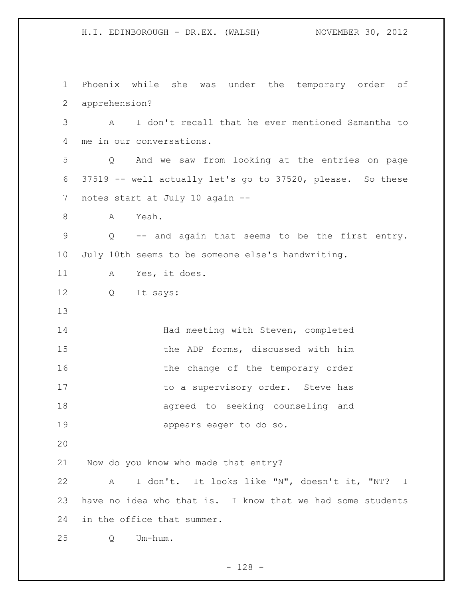H.I. EDINBOROUGH - DR.EX. (WALSH) NOVEMBER 30, 2012 Phoenix while she was under the temporary order of apprehension? A I don't recall that he ever mentioned Samantha to me in our conversations. Q And we saw from looking at the entries on page

 37519 -- well actually let's go to 37520, please. So these notes start at July 10 again --

A Yeah.

 Q -- and again that seems to be the first entry. July 10th seems to be someone else's handwriting.

A Yes, it does.

Q It says:

14 Had meeting with Steven, completed the ADP forms, discussed with him 16 the change of the temporary order 17 to a supervisory order. Steve has agreed to seeking counseling and appears eager to do so.

Now do you know who made that entry?

 A I don't. It looks like "N", doesn't it, "NT? I have no idea who that is. I know that we had some students in the office that summer.

Q Um-hum.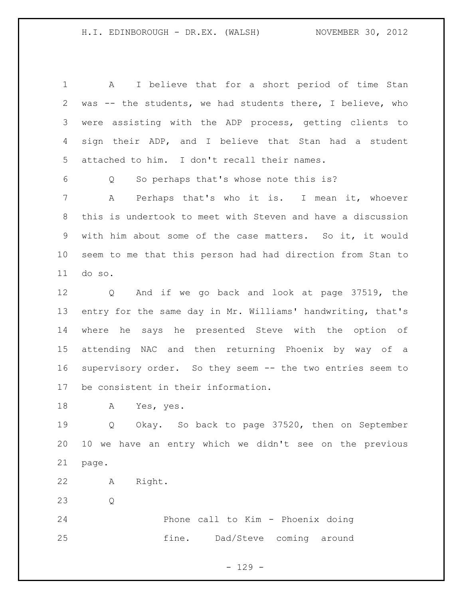A I believe that for a short period of time Stan was -- the students, we had students there, I believe, who were assisting with the ADP process, getting clients to sign their ADP, and I believe that Stan had a student attached to him. I don't recall their names.

Q So perhaps that's whose note this is?

 A Perhaps that's who it is. I mean it, whoever this is undertook to meet with Steven and have a discussion with him about some of the case matters. So it, it would seem to me that this person had had direction from Stan to do so.

 Q And if we go back and look at page 37519, the entry for the same day in Mr. Williams' handwriting, that's where he says he presented Steve with the option of attending NAC and then returning Phoenix by way of a supervisory order. So they seem -- the two entries seem to be consistent in their information.

A Yes, yes.

 Q Okay. So back to page 37520, then on September 10 we have an entry which we didn't see on the previous page.

- A Right.
- Q

 Phone call to Kim - Phoenix doing fine. Dad/Steve coming around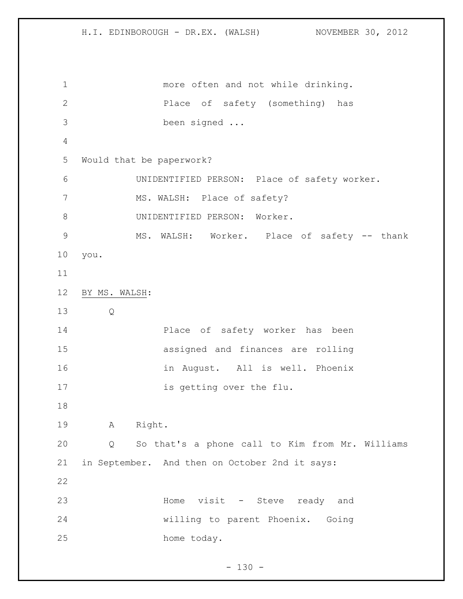more often and not while drinking. Place of safety (something) has been signed ... Would that be paperwork? UNIDENTIFIED PERSON: Place of safety worker. 7 MS. WALSH: Place of safety? 8 UNIDENTIFIED PERSON: Worker. MS. WALSH: Worker. Place of safety -- thank you. BY MS. WALSH: Q Place of safety worker has been assigned and finances are rolling in August. All is well. Phoenix 17 is getting over the flu. A Right. Q So that's a phone call to Kim from Mr. Williams in September. And then on October 2nd it says: 23 Home visit - Steve ready and willing to parent Phoenix. Going home today.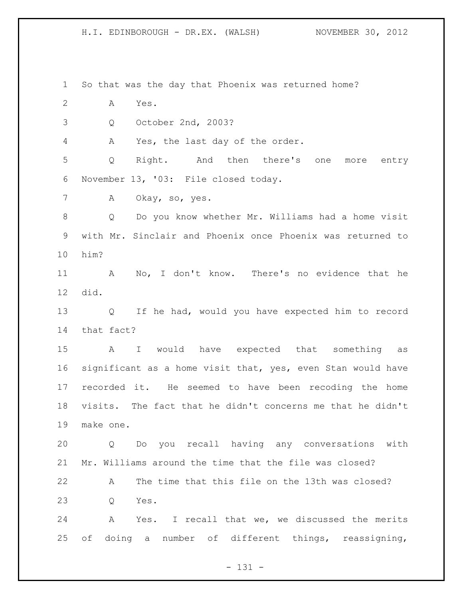So that was the day that Phoenix was returned home? A Yes. Q October 2nd, 2003? A Yes, the last day of the order. Q Right. And then there's one more entry November 13, '03: File closed today. A Okay, so, yes. Q Do you know whether Mr. Williams had a home visit with Mr. Sinclair and Phoenix once Phoenix was returned to him? A No, I don't know. There's no evidence that he did. Q If he had, would you have expected him to record that fact? A I would have expected that something as significant as a home visit that, yes, even Stan would have recorded it. He seemed to have been recoding the home visits. The fact that he didn't concerns me that he didn't make one. Q Do you recall having any conversations with Mr. Williams around the time that the file was closed? A The time that this file on the 13th was closed? Q Yes. A Yes. I recall that we, we discussed the merits of doing a number of different things, reassigning,

 $- 131 -$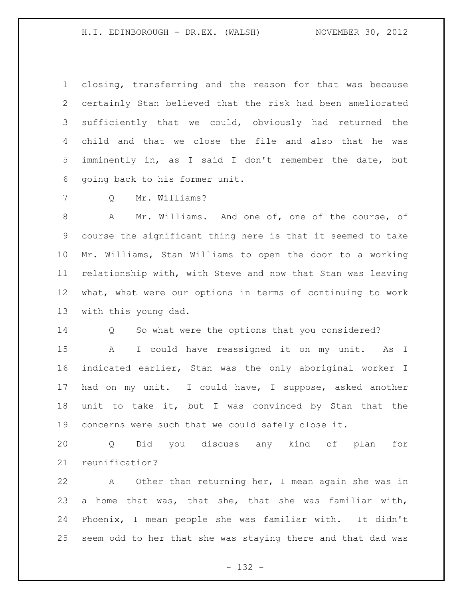closing, transferring and the reason for that was because certainly Stan believed that the risk had been ameliorated sufficiently that we could, obviously had returned the child and that we close the file and also that he was imminently in, as I said I don't remember the date, but going back to his former unit.

Q Mr. Williams?

 A Mr. Williams. And one of, one of the course, of course the significant thing here is that it seemed to take Mr. Williams, Stan Williams to open the door to a working relationship with, with Steve and now that Stan was leaving what, what were our options in terms of continuing to work with this young dad.

Q So what were the options that you considered?

 A I could have reassigned it on my unit. As I indicated earlier, Stan was the only aboriginal worker I had on my unit. I could have, I suppose, asked another unit to take it, but I was convinced by Stan that the concerns were such that we could safely close it.

 Q Did you discuss any kind of plan for reunification?

 A Other than returning her, I mean again she was in a home that was, that she, that she was familiar with, Phoenix, I mean people she was familiar with. It didn't seem odd to her that she was staying there and that dad was

- 132 -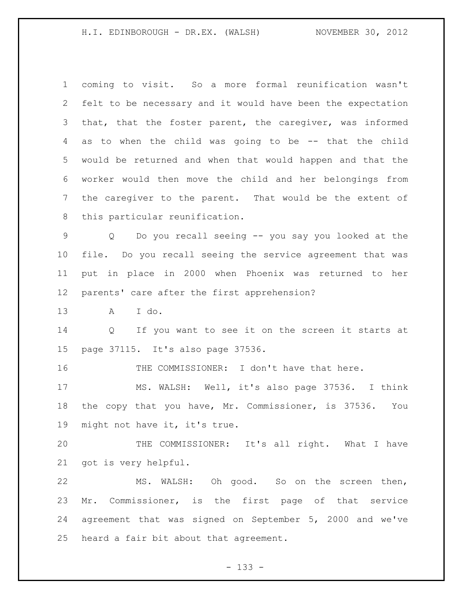coming to visit. So a more formal reunification wasn't felt to be necessary and it would have been the expectation that, that the foster parent, the caregiver, was informed as to when the child was going to be -- that the child would be returned and when that would happen and that the worker would then move the child and her belongings from the caregiver to the parent. That would be the extent of this particular reunification. Q Do you recall seeing -- you say you looked at the file. Do you recall seeing the service agreement that was put in place in 2000 when Phoenix was returned to her parents' care after the first apprehension? A I do. Q If you want to see it on the screen it starts at page 37115. It's also page 37536. THE COMMISSIONER: I don't have that here. MS. WALSH: Well, it's also page 37536. I think the copy that you have, Mr. Commissioner, is 37536. You might not have it, it's true. THE COMMISSIONER: It's all right. What I have got is very helpful. MS. WALSH: Oh good. So on the screen then, Mr. Commissioner, is the first page of that service agreement that was signed on September 5, 2000 and we've heard a fair bit about that agreement.

- 133 -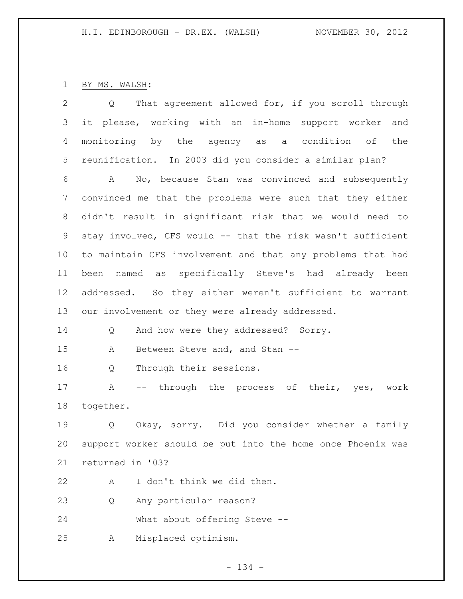## BY MS. WALSH:

| 2               | That agreement allowed for, if you scroll through<br>Q      |  |  |  |
|-----------------|-------------------------------------------------------------|--|--|--|
| 3               | it please, working with an in-home support worker<br>and    |  |  |  |
| 4               | monitoring by the agency as a condition of<br>the           |  |  |  |
| 5               | reunification. In 2003 did you consider a similar plan?     |  |  |  |
| 6               | A No, because Stan was convinced and subsequently           |  |  |  |
| 7               | convinced me that the problems were such that they either   |  |  |  |
| 8               | didn't result in significant risk that we would need to     |  |  |  |
| 9               | stay involved, CFS would -- that the risk wasn't sufficient |  |  |  |
| 10 <sub>o</sub> | to maintain CFS involvement and that any problems that had  |  |  |  |
| 11              | been named as specifically Steve's had already been         |  |  |  |
| 12              | addressed. So they either weren't sufficient to warrant     |  |  |  |
| 13              | our involvement or they were already addressed.             |  |  |  |
| 14              | And how were they addressed? Sorry.<br>Q                    |  |  |  |
| 15              | Between Steve and, and Stan --<br>Α                         |  |  |  |
| 16              | Through their sessions.<br>Q                                |  |  |  |
| 17              | -- through the process of their, yes, work<br>Α             |  |  |  |
| 18              | together.                                                   |  |  |  |
| 19              | Okay, sorry. Did you consider whether a family<br>Q         |  |  |  |
| 20              | support worker should be put into the home once Phoenix was |  |  |  |
| 21              | returned in '03?                                            |  |  |  |
| 22              | I don't think we did then.<br>Α                             |  |  |  |
| 23              | Any particular reason?<br>Q                                 |  |  |  |
| 24              | What about offering Steve --                                |  |  |  |
| 25              | Misplaced optimism.<br>Α                                    |  |  |  |
|                 |                                                             |  |  |  |

- 134 -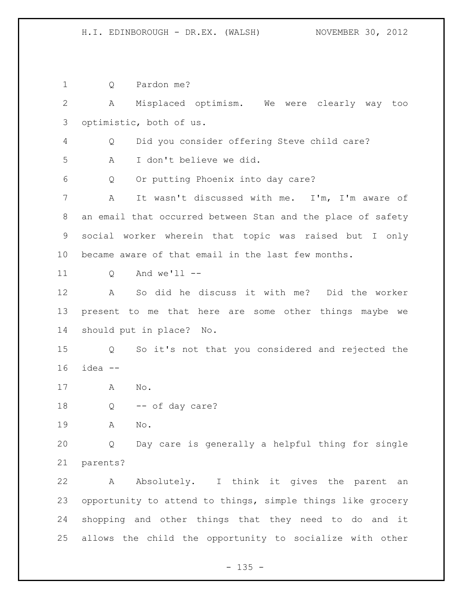Q Pardon me? A Misplaced optimism. We were clearly way too optimistic, both of us. Q Did you consider offering Steve child care? A I don't believe we did. Q Or putting Phoenix into day care? A It wasn't discussed with me. I'm, I'm aware of an email that occurred between Stan and the place of safety social worker wherein that topic was raised but I only became aware of that email in the last few months. Q And we'll -- A So did he discuss it with me? Did the worker present to me that here are some other things maybe we should put in place? No. Q So it's not that you considered and rejected the idea -- A No. Q -- of day care? A No. Q Day care is generally a helpful thing for single parents? A Absolutely. I think it gives the parent an opportunity to attend to things, simple things like grocery shopping and other things that they need to do and it allows the child the opportunity to socialize with other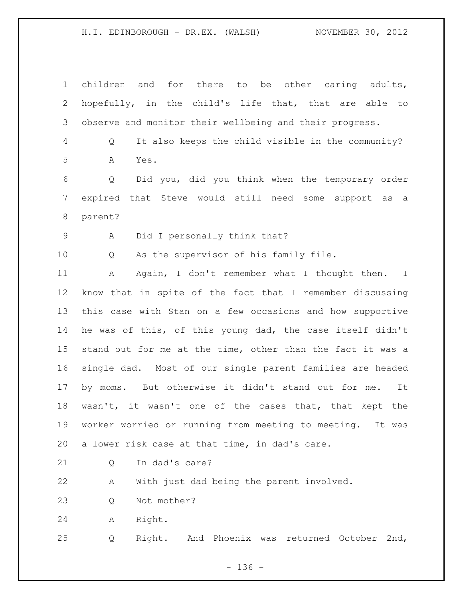children and for there to be other caring adults, hopefully, in the child's life that, that are able to observe and monitor their wellbeing and their progress. Q It also keeps the child visible in the community? A Yes. Q Did you, did you think when the temporary order expired that Steve would still need some support as a parent? A Did I personally think that? Q As the supervisor of his family file. A Again, I don't remember what I thought then. I know that in spite of the fact that I remember discussing this case with Stan on a few occasions and how supportive he was of this, of this young dad, the case itself didn't stand out for me at the time, other than the fact it was a single dad. Most of our single parent families are headed by moms. But otherwise it didn't stand out for me. It wasn't, it wasn't one of the cases that, that kept the worker worried or running from meeting to meeting. It was a lower risk case at that time, in dad's care. 21 0 In dad's care? A With just dad being the parent involved. Q Not mother? A Right. Q Right. And Phoenix was returned October 2nd,

 $- 136 -$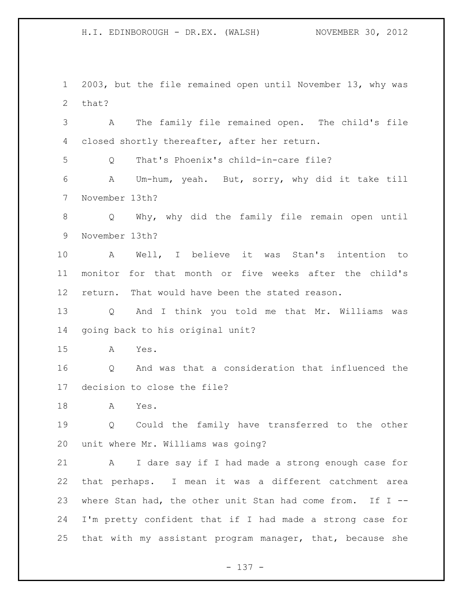2003, but the file remained open until November 13, why was that?

 A The family file remained open. The child's file closed shortly thereafter, after her return.

Q That's Phoenix's child-in-care file?

 A Um-hum, yeah. But, sorry, why did it take till November 13th?

 Q Why, why did the family file remain open until November 13th?

 A Well, I believe it was Stan's intention to monitor for that month or five weeks after the child's return. That would have been the stated reason.

 Q And I think you told me that Mr. Williams was going back to his original unit?

A Yes.

 Q And was that a consideration that influenced the decision to close the file?

A Yes.

 Q Could the family have transferred to the other unit where Mr. Williams was going?

 A I dare say if I had made a strong enough case for that perhaps. I mean it was a different catchment area where Stan had, the other unit Stan had come from. If I -- I'm pretty confident that if I had made a strong case for that with my assistant program manager, that, because she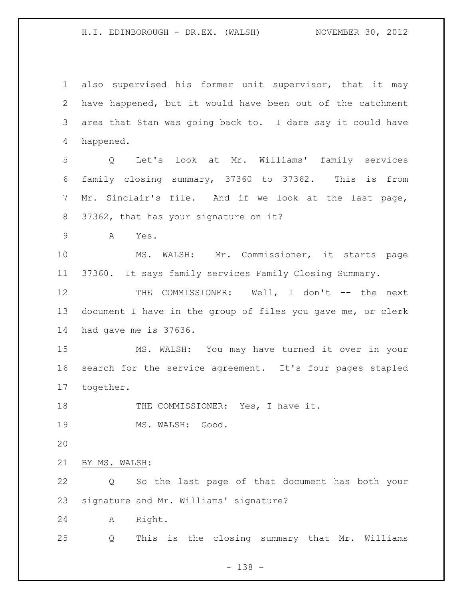also supervised his former unit supervisor, that it may have happened, but it would have been out of the catchment area that Stan was going back to. I dare say it could have happened.

 Q Let's look at Mr. Williams' family services family closing summary, 37360 to 37362. This is from Mr. Sinclair's file. And if we look at the last page, 37362, that has your signature on it?

A Yes.

 MS. WALSH: Mr. Commissioner, it starts page 37360. It says family services Family Closing Summary.

12 THE COMMISSIONER: Well, I don't -- the next document I have in the group of files you gave me, or clerk had gave me is 37636.

 MS. WALSH: You may have turned it over in your search for the service agreement. It's four pages stapled together.

18 THE COMMISSIONER: Yes, I have it.

19 MS. WALSH: Good.

BY MS. WALSH:

 Q So the last page of that document has both your signature and Mr. Williams' signature?

A Right.

Q This is the closing summary that Mr. Williams

- 138 -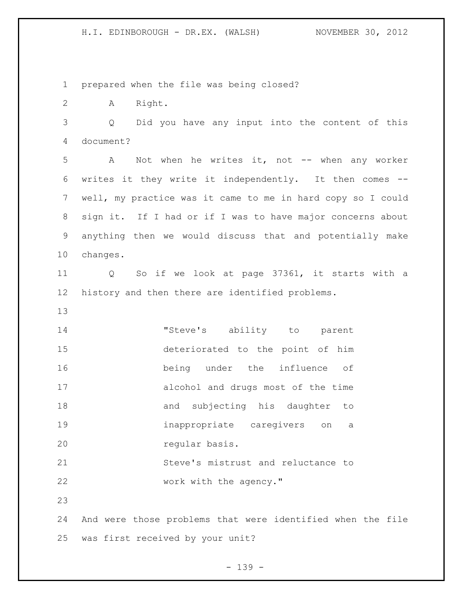prepared when the file was being closed?

A Right.

 Q Did you have any input into the content of this document?

 A Not when he writes it, not -- when any worker writes it they write it independently. It then comes -- well, my practice was it came to me in hard copy so I could sign it. If I had or if I was to have major concerns about anything then we would discuss that and potentially make changes.

 Q So if we look at page 37361, it starts with a history and then there are identified problems.

 "Steve's ability to parent deteriorated to the point of him being under the influence of alcohol and drugs most of the time 18 and subjecting his daughter to inappropriate caregivers on a regular basis. Steve's mistrust and reluctance to

22 work with the agency."

 And were those problems that were identified when the file was first received by your unit?

- 139 -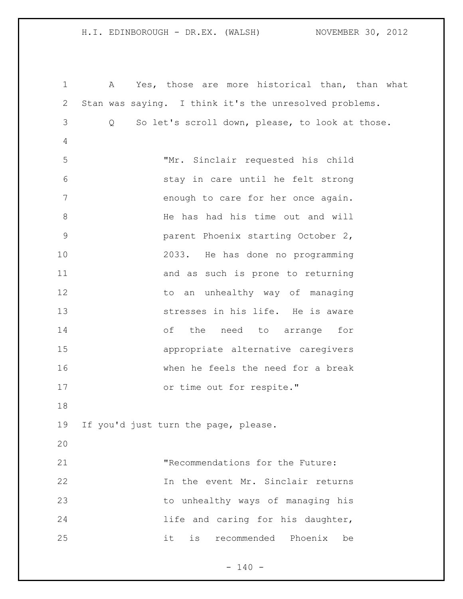A Yes, those are more historical than, than what Stan was saying. I think it's the unresolved problems. Q So let's scroll down, please, to look at those. "Mr. Sinclair requested his child stay in care until he felt strong **b** enough to care for her once again. 8 He has had his time out and will parent Phoenix starting October 2, 2033. He has done no programming and as such is prone to returning 12 to an unhealthy way of managing stresses in his life. He is aware of the need to arrange for appropriate alternative caregivers when he feels the need for a break 17 or time out for respite." If you'd just turn the page, please. "Recommendations for the Future: In the event Mr. Sinclair returns to unhealthy ways of managing his 24 1ife and caring for his daughter, it is recommended Phoenix be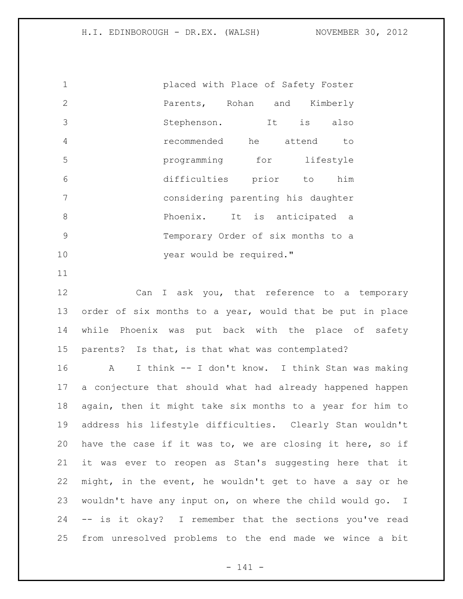| $\mathbf 1$   | placed with Place of Safety Foster |            |
|---------------|------------------------------------|------------|
| $\mathcal{L}$ | Parents, Rohan and Kimberly        |            |
| 3             | Stephenson. It                     | is<br>also |
| 4             | recommended he attend              | to         |
| 5             | programming for                    | lifestyle  |
| 6             | difficulties prior to              | him        |
| 7             | considering parenting his daughter |            |
| 8             | Phoenix. It is anticipated a       |            |
| 9             | Temporary Order of six months to a |            |
| 10            | year would be required."           |            |

12 Can I ask you, that reference to a temporary order of six months to a year, would that be put in place while Phoenix was put back with the place of safety parents? Is that, is that what was contemplated?

 A I think -- I don't know. I think Stan was making a conjecture that should what had already happened happen again, then it might take six months to a year for him to address his lifestyle difficulties. Clearly Stan wouldn't have the case if it was to, we are closing it here, so if it was ever to reopen as Stan's suggesting here that it might, in the event, he wouldn't get to have a say or he wouldn't have any input on, on where the child would go. I -- is it okay? I remember that the sections you've read from unresolved problems to the end made we wince a bit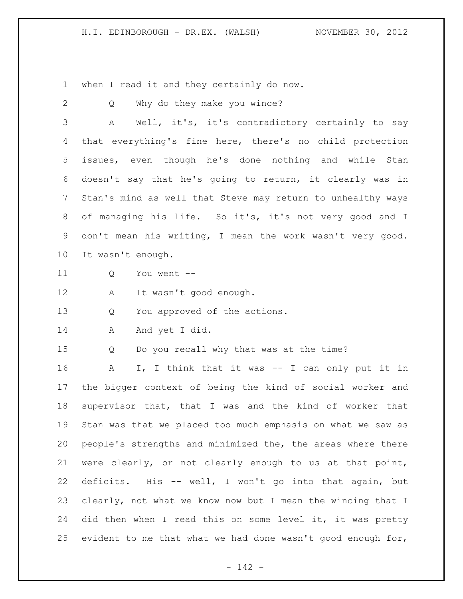when I read it and they certainly do now.

|                 | when I fead to dha chey correlating do                      |
|-----------------|-------------------------------------------------------------|
| 2               | Why do they make you wince?<br>Q                            |
| 3               | Well, it's, it's contradictory certainly to say<br>Α        |
| 4               | that everything's fine here, there's no child protection    |
| 5 <sup>5</sup>  | issues, even though he's done nothing and while Stan        |
| 6               | doesn't say that he's going to return, it clearly was in    |
| $7\phantom{.0}$ | Stan's mind as well that Steve may return to unhealthy ways |
| 8               | of managing his life. So it's, it's not very good and I     |
| 9               | don't mean his writing, I mean the work wasn't very good.   |
| 10              | It wasn't enough.                                           |
| 11              | You went --<br>Q                                            |
| 12              | It wasn't good enough.<br>A                                 |
| 13              | You approved of the actions.<br>Q                           |
| 14              | And yet I did.<br>A                                         |
| 15              | Do you recall why that was at the time?<br>Q                |
| 16              | I, I think that it was -- I can only put it in<br>A         |
| 17              | the bigger context of being the kind of social worker and   |
| 18              | supervisor that, that I was and the kind of worker that     |
| 19              | Stan was that we placed too much emphasis on what we saw as |
| 20              | people's strengths and minimized the, the areas where there |
| 21              | were clearly, or not clearly enough to us at that point,    |
| 22              | deficits. His -- well, I won't go into that again, but      |
| 23              | clearly, not what we know now but I mean the wincing that I |
| 24              | did then when I read this on some level it, it was pretty   |
| 25              | evident to me that what we had done wasn't good enough for, |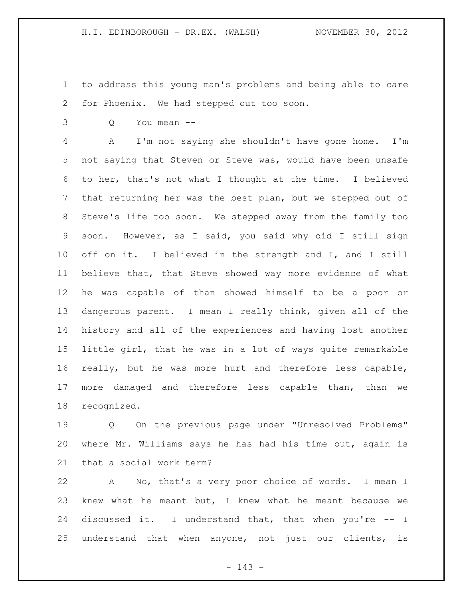to address this young man's problems and being able to care for Phoenix. We had stepped out too soon.

Q You mean --

 A I'm not saying she shouldn't have gone home. I'm not saying that Steven or Steve was, would have been unsafe to her, that's not what I thought at the time. I believed that returning her was the best plan, but we stepped out of Steve's life too soon. We stepped away from the family too soon. However, as I said, you said why did I still sign off on it. I believed in the strength and I, and I still believe that, that Steve showed way more evidence of what he was capable of than showed himself to be a poor or dangerous parent. I mean I really think, given all of the history and all of the experiences and having lost another little girl, that he was in a lot of ways quite remarkable really, but he was more hurt and therefore less capable, more damaged and therefore less capable than, than we recognized.

 Q On the previous page under "Unresolved Problems" where Mr. Williams says he has had his time out, again is that a social work term?

 A No, that's a very poor choice of words. I mean I knew what he meant but, I knew what he meant because we discussed it. I understand that, that when you're -- I understand that when anyone, not just our clients, is

- 143 -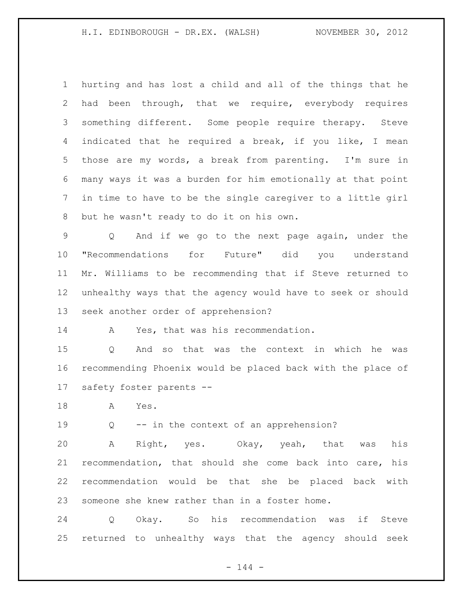hurting and has lost a child and all of the things that he had been through, that we require, everybody requires something different. Some people require therapy. Steve indicated that he required a break, if you like, I mean those are my words, a break from parenting. I'm sure in many ways it was a burden for him emotionally at that point in time to have to be the single caregiver to a little girl but he wasn't ready to do it on his own.

 Q And if we go to the next page again, under the "Recommendations for Future" did you understand Mr. Williams to be recommending that if Steve returned to unhealthy ways that the agency would have to seek or should seek another order of apprehension?

A Yes, that was his recommendation.

 Q And so that was the context in which he was recommending Phoenix would be placed back with the place of safety foster parents --

A Yes.

Q -- in the context of an apprehension?

 A Right, yes. Okay, yeah, that was his recommendation, that should she come back into care, his recommendation would be that she be placed back with someone she knew rather than in a foster home.

 Q Okay. So his recommendation was if Steve returned to unhealthy ways that the agency should seek

 $- 144 -$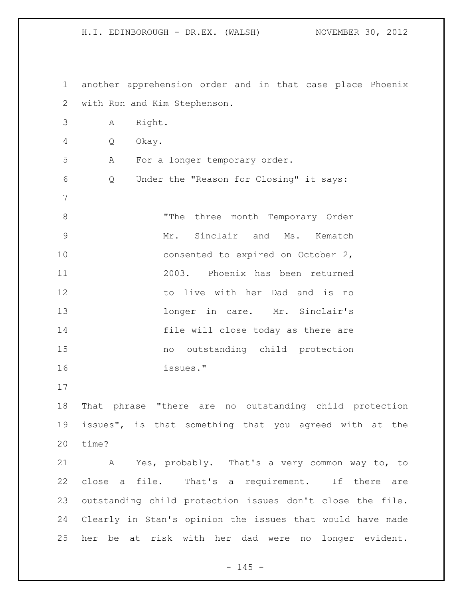another apprehension order and in that case place Phoenix with Ron and Kim Stephenson. A Right. Q Okay. A For a longer temporary order. Q Under the "Reason for Closing" it says: "The three month Temporary Order Mr. Sinclair and Ms. Kematch 10 consented to expired on October 2, 2003. Phoenix has been returned to live with her Dad and is no 13 13 longer in care. Mr. Sinclair's file will close today as there are no outstanding child protection issues." That phrase "there are no outstanding child protection issues", is that something that you agreed with at the time? A Yes, probably. That's a very common way to, to close a file. That's a requirement. If there are outstanding child protection issues don't close the file. Clearly in Stan's opinion the issues that would have made her be at risk with her dad were no longer evident.

H.I. EDINBOROUGH - DR.EX. (WALSH) NOVEMBER 30, 2012

 $- 145 -$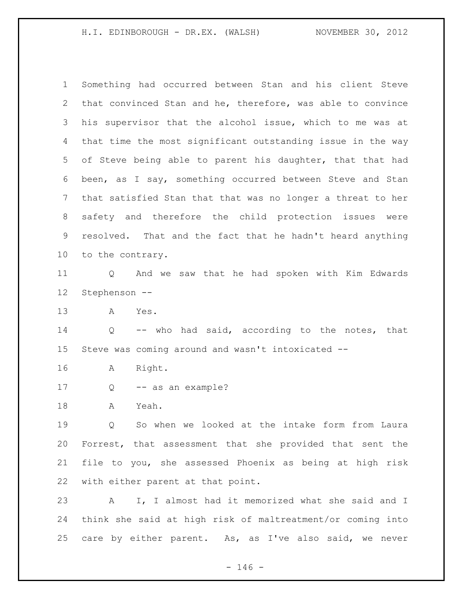Something had occurred between Stan and his client Steve that convinced Stan and he, therefore, was able to convince his supervisor that the alcohol issue, which to me was at that time the most significant outstanding issue in the way of Steve being able to parent his daughter, that that had been, as I say, something occurred between Steve and Stan that satisfied Stan that that was no longer a threat to her safety and therefore the child protection issues were resolved. That and the fact that he hadn't heard anything to the contrary.

 Q And we saw that he had spoken with Kim Edwards Stephenson --

A Yes.

 Q -- who had said, according to the notes, that Steve was coming around and wasn't intoxicated --

A Right.

Q -- as an example?

A Yeah.

 Q So when we looked at the intake form from Laura Forrest, that assessment that she provided that sent the file to you, she assessed Phoenix as being at high risk with either parent at that point.

 A I, I almost had it memorized what she said and I think she said at high risk of maltreatment/or coming into care by either parent. As, as I've also said, we never

 $- 146 -$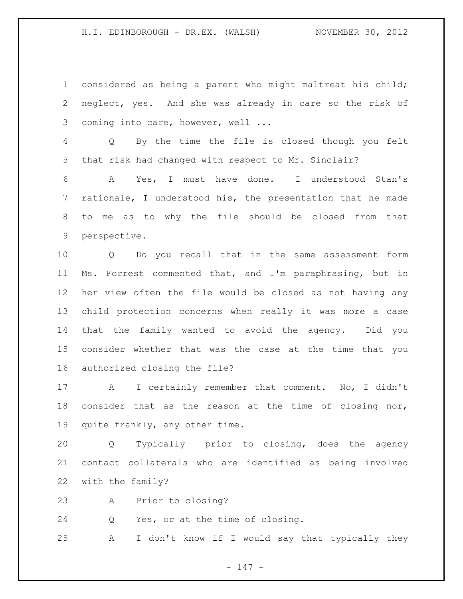considered as being a parent who might maltreat his child; neglect, yes. And she was already in care so the risk of 3 coming into care, however, well ...

 Q By the time the file is closed though you felt that risk had changed with respect to Mr. Sinclair?

 A Yes, I must have done. I understood Stan's rationale, I understood his, the presentation that he made to me as to why the file should be closed from that perspective.

 Q Do you recall that in the same assessment form Ms. Forrest commented that, and I'm paraphrasing, but in her view often the file would be closed as not having any child protection concerns when really it was more a case that the family wanted to avoid the agency. Did you consider whether that was the case at the time that you authorized closing the file?

 A I certainly remember that comment. No, I didn't consider that as the reason at the time of closing nor, quite frankly, any other time.

 Q Typically prior to closing, does the agency contact collaterals who are identified as being involved with the family?

A Prior to closing?

Q Yes, or at the time of closing.

A I don't know if I would say that typically they

- 147 -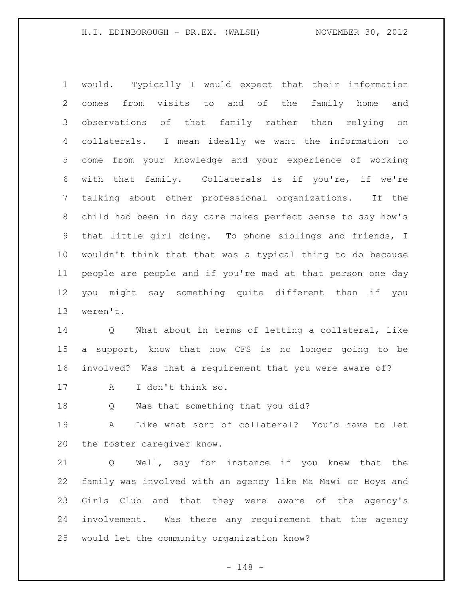would. Typically I would expect that their information comes from visits to and of the family home and observations of that family rather than relying on collaterals. I mean ideally we want the information to come from your knowledge and your experience of working with that family. Collaterals is if you're, if we're talking about other professional organizations. If the child had been in day care makes perfect sense to say how's that little girl doing. To phone siblings and friends, I wouldn't think that that was a typical thing to do because people are people and if you're mad at that person one day you might say something quite different than if you weren't.

 Q What about in terms of letting a collateral, like a support, know that now CFS is no longer going to be involved? Was that a requirement that you were aware of?

A I don't think so.

Q Was that something that you did?

 A Like what sort of collateral? You'd have to let the foster caregiver know.

 Q Well, say for instance if you knew that the family was involved with an agency like Ma Mawi or Boys and Girls Club and that they were aware of the agency's involvement. Was there any requirement that the agency would let the community organization know?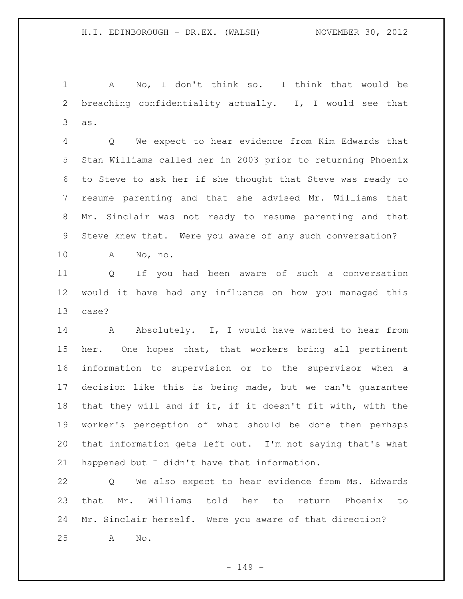A No, I don't think so. I think that would be breaching confidentiality actually. I, I would see that as.

 Q We expect to hear evidence from Kim Edwards that Stan Williams called her in 2003 prior to returning Phoenix to Steve to ask her if she thought that Steve was ready to resume parenting and that she advised Mr. Williams that Mr. Sinclair was not ready to resume parenting and that Steve knew that. Were you aware of any such conversation?

A No, no.

 Q If you had been aware of such a conversation would it have had any influence on how you managed this case?

14 Absolutely. I, I would have wanted to hear from her. One hopes that, that workers bring all pertinent information to supervision or to the supervisor when a decision like this is being made, but we can't guarantee that they will and if it, if it doesn't fit with, with the worker's perception of what should be done then perhaps that information gets left out. I'm not saying that's what happened but I didn't have that information.

 Q We also expect to hear evidence from Ms. Edwards that Mr. Williams told her to return Phoenix to Mr. Sinclair herself. Were you aware of that direction? A No.

 $- 149 -$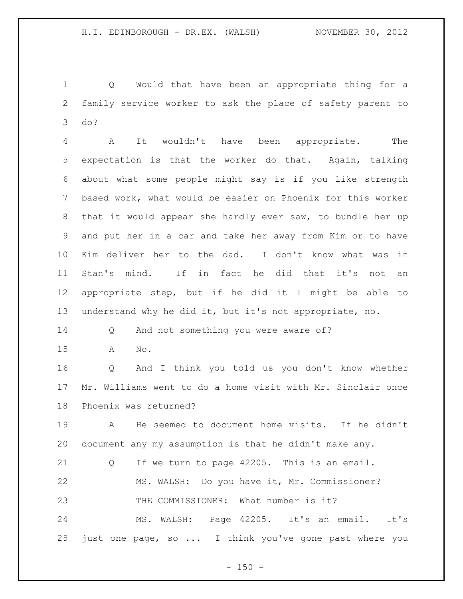Q Would that have been an appropriate thing for a family service worker to ask the place of safety parent to do?

 A It wouldn't have been appropriate. The expectation is that the worker do that. Again, talking about what some people might say is if you like strength based work, what would be easier on Phoenix for this worker that it would appear she hardly ever saw, to bundle her up and put her in a car and take her away from Kim or to have Kim deliver her to the dad. I don't know what was in Stan's mind. If in fact he did that it's not an appropriate step, but if he did it I might be able to understand why he did it, but it's not appropriate, no.

Q And not something you were aware of?

A No.

 Q And I think you told us you don't know whether Mr. Williams went to do a home visit with Mr. Sinclair once Phoenix was returned?

 A He seemed to document home visits. If he didn't document any my assumption is that he didn't make any.

 Q If we turn to page 42205. This is an email. MS. WALSH: Do you have it, Mr. Commissioner? THE COMMISSIONER: What number is it? MS. WALSH: Page 42205. It's an email. It's

just one page, so ... I think you've gone past where you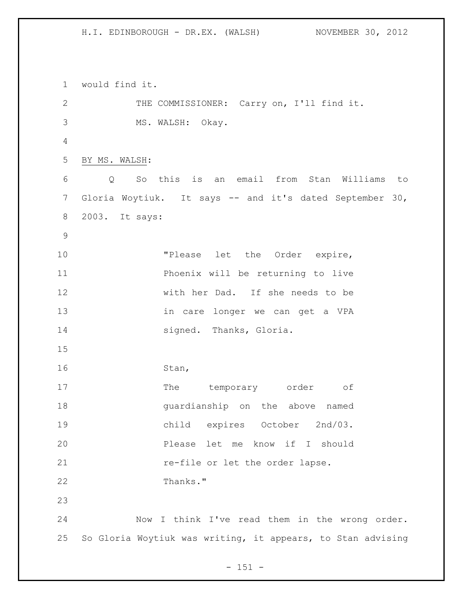would find it. 2 THE COMMISSIONER: Carry on, I'll find it. MS. WALSH: Okay. BY MS. WALSH: Q So this is an email from Stan Williams to Gloria Woytiuk. It says -- and it's dated September 30, 2003. It says: 10 TPlease let the Order expire, Phoenix will be returning to live with her Dad. If she needs to be in care longer we can get a VPA 14 signed. Thanks, Gloria. Stan, 17 The temporary order of guardianship on the above named child expires October 2nd/03. Please let me know if I should **re-file or let the order lapse.**  Thanks." Now I think I've read them in the wrong order. So Gloria Woytiuk was writing, it appears, to Stan advising

 $- 151 -$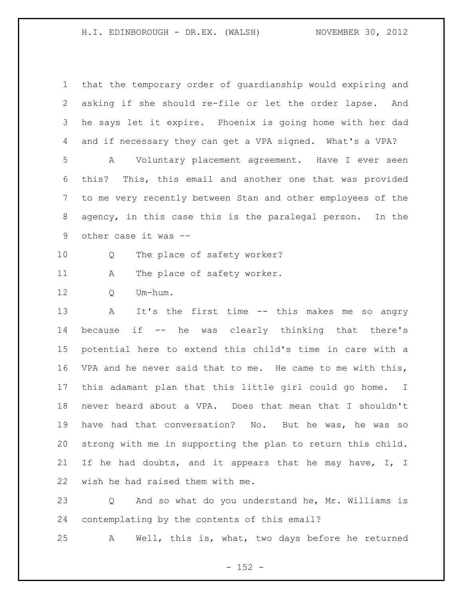that the temporary order of guardianship would expiring and asking if she should re-file or let the order lapse. And he says let it expire. Phoenix is going home with her dad and if necessary they can get a VPA signed. What's a VPA? A Voluntary placement agreement. Have I ever seen this? This, this email and another one that was provided to me very recently between Stan and other employees of the agency, in this case this is the paralegal person. In the other case it was -- Q The place of safety worker? 11 A The place of safety worker. Q Um-hum. A It's the first time -- this makes me so angry because if -- he was clearly thinking that there's potential here to extend this child's time in care with a VPA and he never said that to me. He came to me with this, this adamant plan that this little girl could go home. I never heard about a VPA. Does that mean that I shouldn't have had that conversation? No. But he was, he was so strong with me in supporting the plan to return this child. If he had doubts, and it appears that he may have, I, I wish he had raised them with me.

 Q And so what do you understand he, Mr. Williams is contemplating by the contents of this email?

A Well, this is, what, two days before he returned

 $- 152 -$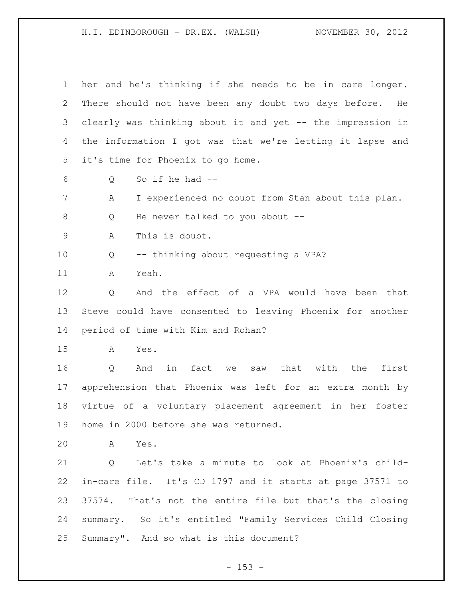her and he's thinking if she needs to be in care longer. There should not have been any doubt two days before. He clearly was thinking about it and yet -- the impression in the information I got was that we're letting it lapse and it's time for Phoenix to go home. Q So if he had -- A I experienced no doubt from Stan about this plan. 8 Q He never talked to you about -- A This is doubt. Q -- thinking about requesting a VPA? A Yeah. Q And the effect of a VPA would have been that Steve could have consented to leaving Phoenix for another period of time with Kim and Rohan? A Yes. Q And in fact we saw that with the first apprehension that Phoenix was left for an extra month by virtue of a voluntary placement agreement in her foster home in 2000 before she was returned. A Yes. Q Let's take a minute to look at Phoenix's child- in-care file. It's CD 1797 and it starts at page 37571 to 37574. That's not the entire file but that's the closing summary. So it's entitled "Family Services Child Closing Summary". And so what is this document?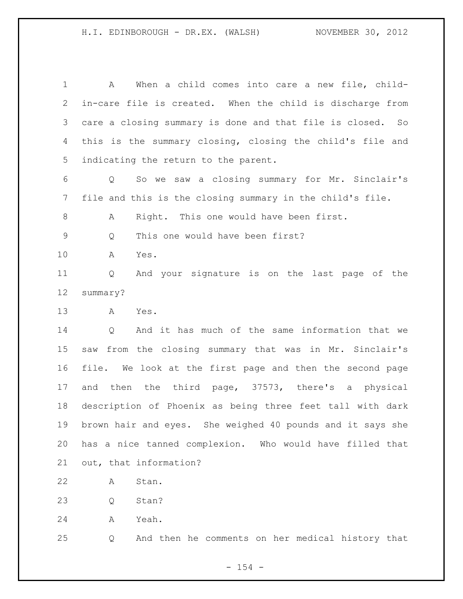A When a child comes into care a new file, child- in-care file is created. When the child is discharge from care a closing summary is done and that file is closed. So this is the summary closing, closing the child's file and indicating the return to the parent. Q So we saw a closing summary for Mr. Sinclair's file and this is the closing summary in the child's file. A Right. This one would have been first. Q This one would have been first? A Yes. Q And your signature is on the last page of the summary? A Yes. Q And it has much of the same information that we saw from the closing summary that was in Mr. Sinclair's file. We look at the first page and then the second page and then the third page, 37573, there's a physical description of Phoenix as being three feet tall with dark brown hair and eyes. She weighed 40 pounds and it says she has a nice tanned complexion. Who would have filled that out, that information? A Stan. 23 O Stan? A Yeah.

Q And then he comments on her medical history that

 $- 154 -$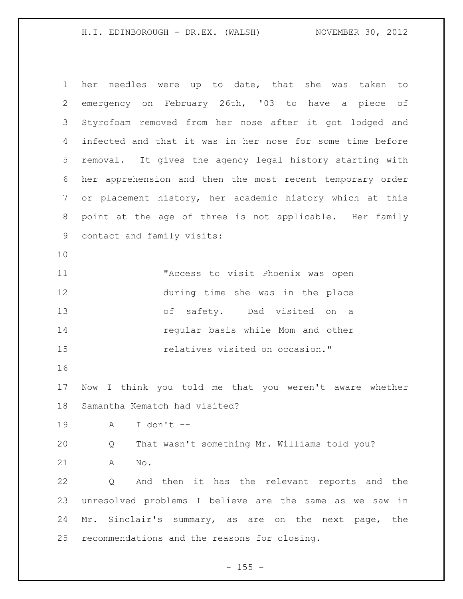her needles were up to date, that she was taken to emergency on February 26th, '03 to have a piece of Styrofoam removed from her nose after it got lodged and infected and that it was in her nose for some time before removal. It gives the agency legal history starting with her apprehension and then the most recent temporary order or placement history, her academic history which at this point at the age of three is not applicable. Her family contact and family visits: "Access to visit Phoenix was open during time she was in the place of safety. Dad visited on a regular basis while Mom and other relatives visited on occasion." Now I think you told me that you weren't aware whether Samantha Kematch had visited? A I don't -- Q That wasn't something Mr. Williams told you? A No. Q And then it has the relevant reports and the unresolved problems I believe are the same as we saw in 24 Mr. Sinclair's summary, as are on the next page, the recommendations and the reasons for closing.

 $- 155 -$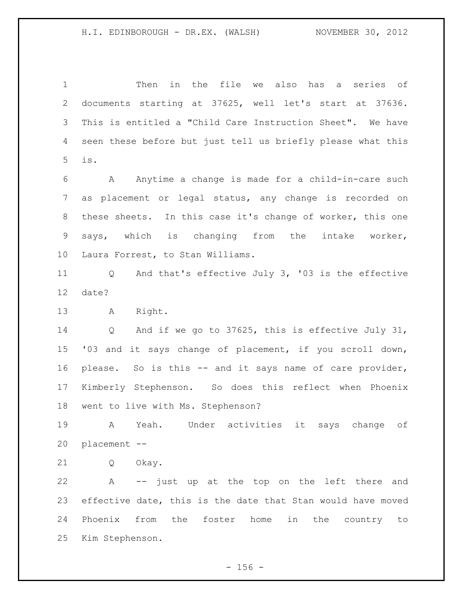Then in the file we also has a series of documents starting at 37625, well let's start at 37636. This is entitled a "Child Care Instruction Sheet". We have seen these before but just tell us briefly please what this is.

 A Anytime a change is made for a child-in-care such as placement or legal status, any change is recorded on these sheets. In this case it's change of worker, this one says, which is changing from the intake worker, Laura Forrest, to Stan Williams.

 Q And that's effective July 3, '03 is the effective date?

A Right.

 Q And if we go to 37625, this is effective July 31, '03 and it says change of placement, if you scroll down, please. So is this -- and it says name of care provider, Kimberly Stephenson. So does this reflect when Phoenix went to live with Ms. Stephenson?

 A Yeah. Under activities it says change of placement --

Q Okay.

 A -- just up at the top on the left there and effective date, this is the date that Stan would have moved Phoenix from the foster home in the country to Kim Stephenson.

 $- 156 -$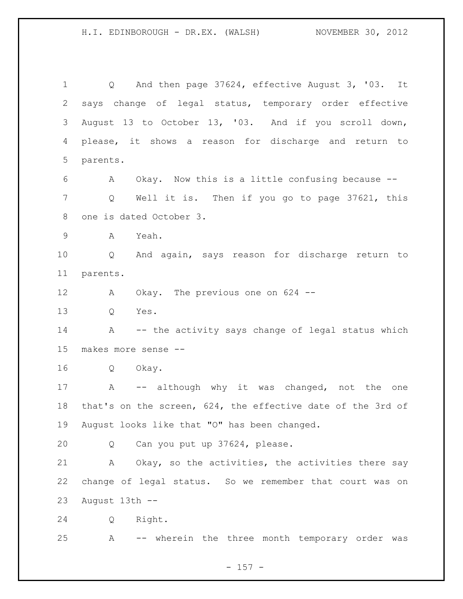Q And then page 37624, effective August 3, '03. It says change of legal status, temporary order effective August 13 to October 13, '03. And if you scroll down, please, it shows a reason for discharge and return to parents. A Okay. Now this is a little confusing because -- Q Well it is. Then if you go to page 37621, this one is dated October 3. A Yeah. Q And again, says reason for discharge return to parents. A Okay. The previous one on 624 -- Q Yes. 14 A -- the activity says change of legal status which makes more sense -- Q Okay. 17 A -- although why it was changed, not the one that's on the screen, 624, the effective date of the 3rd of August looks like that "O" has been changed. Q Can you put up 37624, please. A Okay, so the activities, the activities there say change of legal status. So we remember that court was on August 13th -- Q Right. A -- wherein the three month temporary order was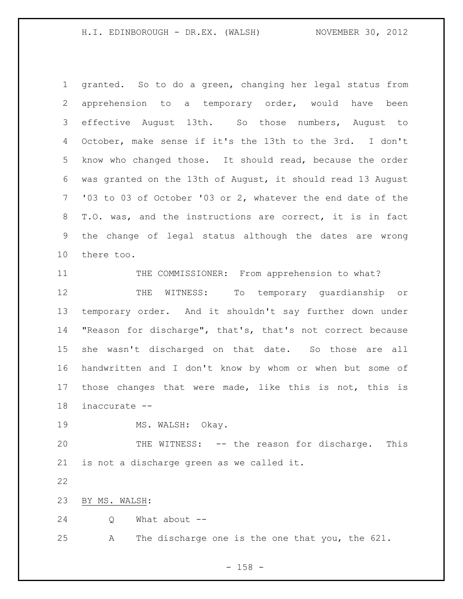granted. So to do a green, changing her legal status from apprehension to a temporary order, would have been effective August 13th. So those numbers, August to October, make sense if it's the 13th to the 3rd. I don't know who changed those. It should read, because the order was granted on the 13th of August, it should read 13 August '03 to 03 of October '03 or 2, whatever the end date of the T.O. was, and the instructions are correct, it is in fact the change of legal status although the dates are wrong there too.

11 THE COMMISSIONER: From apprehension to what? THE WITNESS: To temporary guardianship or temporary order. And it shouldn't say further down under "Reason for discharge", that's, that's not correct because she wasn't discharged on that date. So those are all handwritten and I don't know by whom or when but some of those changes that were made, like this is not, this is inaccurate --

19 MS. WALSH: Okay.

 THE WITNESS: -- the reason for discharge. This is not a discharge green as we called it.

BY MS. WALSH:

Q What about --

A The discharge one is the one that you, the 621.

- 158 -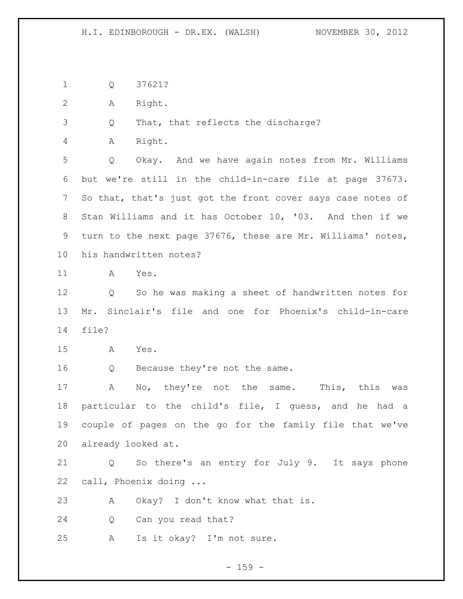Q 37621?

A Right.

Q That, that reflects the discharge?

A Right.

 Q Okay. And we have again notes from Mr. Williams but we're still in the child-in-care file at page 37673. So that, that's just got the front cover says case notes of Stan Williams and it has October 10, '03. And then if we turn to the next page 37676, these are Mr. Williams' notes, his handwritten notes?

A Yes.

 Q So he was making a sheet of handwritten notes for Mr. Sinclair's file and one for Phoenix's child-in-care file?

A Yes.

16 Q Because they're not the same.

 A No, they're not the same. This, this was particular to the child's file, I guess, and he had a couple of pages on the go for the family file that we've already looked at.

 Q So there's an entry for July 9. It says phone call, Phoenix doing ...

A Okay? I don't know what that is.

Q Can you read that?

A Is it okay? I'm not sure.

 $- 159 -$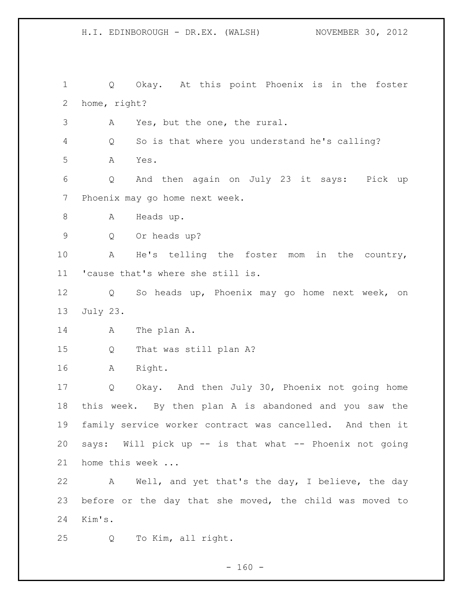H.I. EDINBOROUGH - DR.EX. (WALSH) NOVEMBER 30, 2012 Q Okay. At this point Phoenix is in the foster home, right? A Yes, but the one, the rural. Q So is that where you understand he's calling? A Yes. Q And then again on July 23 it says: Pick up Phoenix may go home next week. 8 A Heads up. Q Or heads up? A He's telling the foster mom in the country, 'cause that's where she still is. Q So heads up, Phoenix may go home next week, on July 23. 14 A The plan A. Q That was still plan A? A Right. Q Okay. And then July 30, Phoenix not going home this week. By then plan A is abandoned and you saw the family service worker contract was cancelled. And then it says: Will pick up -- is that what -- Phoenix not going home this week ... A Well, and yet that's the day, I believe, the day before or the day that she moved, the child was moved to Kim's. Q To Kim, all right.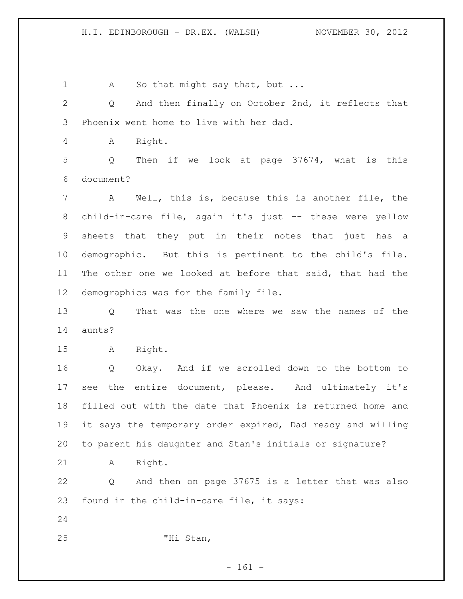1 A So that might say that, but ... Q And then finally on October 2nd, it reflects that Phoenix went home to live with her dad. A Right. Q Then if we look at page 37674, what is this document? A Well, this is, because this is another file, the child-in-care file, again it's just -- these were yellow sheets that they put in their notes that just has a demographic. But this is pertinent to the child's file. The other one we looked at before that said, that had the demographics was for the family file. Q That was the one where we saw the names of the aunts? A Right. Q Okay. And if we scrolled down to the bottom to see the entire document, please. And ultimately it's filled out with the date that Phoenix is returned home and it says the temporary order expired, Dad ready and willing to parent his daughter and Stan's initials or signature? A Right. Q And then on page 37675 is a letter that was also found in the child-in-care file, it says: "Hi Stan,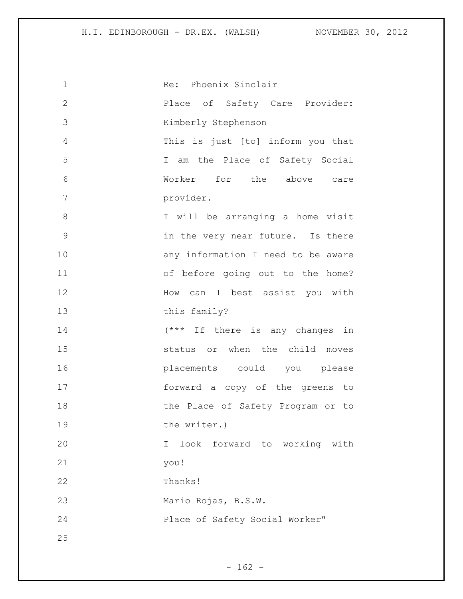| $\mathbf 1$    | Re: Phoenix Sinclair               |
|----------------|------------------------------------|
| $\mathbf{2}$   | Place of Safety Care Provider:     |
| 3              | Kimberly Stephenson                |
| $\overline{4}$ | This is just [to] inform you that  |
| 5              | I am the Place of Safety Social    |
| 6              | Worker for the above care          |
| 7              | provider.                          |
| 8              | I will be arranging a home visit   |
| $\mathcal{G}$  | in the very near future. Is there  |
| 10             | any information I need to be aware |
| 11             | of before going out to the home?   |
| 12             | How can I best assist you with     |
| 13             | this family?                       |
| 14             | (*** If there is any changes in    |
| 15             | status or when the child moves     |
| 16             | placements could you please        |
| 17             | forward a copy of the greens to    |
| 18             | the Place of Safety Program or to  |
| 19             | the writer.)                       |
| 20             | look forward to working with<br>I. |
| 21             | you!                               |
| 22             | Thanks!                            |
| 23             | Mario Rojas, B.S.W.                |
| 24             | Place of Safety Social Worker"     |
| 25             |                                    |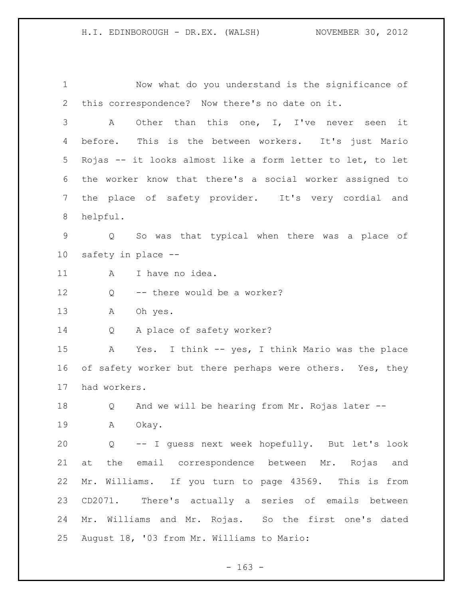Now what do you understand is the significance of this correspondence? Now there's no date on it. A Other than this one, I, I've never seen it before. This is the between workers. It's just Mario Rojas -- it looks almost like a form letter to let, to let the worker know that there's a social worker assigned to the place of safety provider. It's very cordial and helpful. Q So was that typical when there was a place of safety in place -- 11 A I have no idea. Q -- there would be a worker? A Oh yes. Q A place of safety worker? A Yes. I think -- yes, I think Mario was the place 16 of safety worker but there perhaps were others. Yes, they had workers. Q And we will be hearing from Mr. Rojas later -- A Okay. Q -- I guess next week hopefully. But let's look at the email correspondence between Mr. Rojas and Mr. Williams. If you turn to page 43569. This is from CD2071. There's actually a series of emails between Mr. Williams and Mr. Rojas. So the first one's dated August 18, '03 from Mr. Williams to Mario:

 $- 163 -$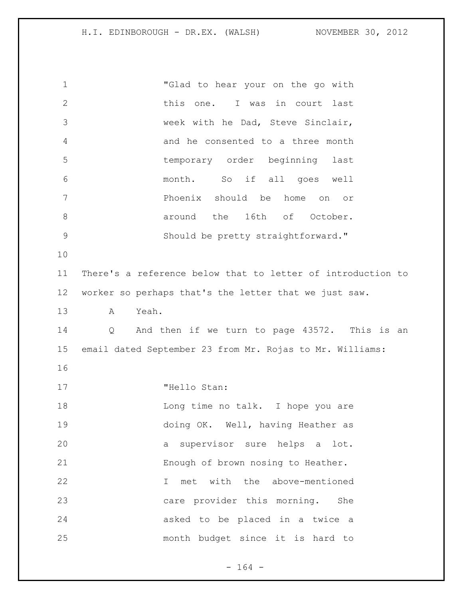"Glad to hear your on the go with 2 this one. I was in court last week with he Dad, Steve Sinclair, and he consented to a three month temporary order beginning last month. So if all goes well Phoenix should be home on or 8 around the 16th of October. Should be pretty straightforward." There's a reference below that to letter of introduction to worker so perhaps that's the letter that we just saw. A Yeah. Q And then if we turn to page 43572. This is an email dated September 23 from Mr. Rojas to Mr. Williams: 17 THello Stan: 18 Long time no talk. I hope you are doing OK. Well, having Heather as a supervisor sure helps a lot. Enough of brown nosing to Heather. I met with the above-mentioned care provider this morning. She asked to be placed in a twice a month budget since it is hard to

- 164 -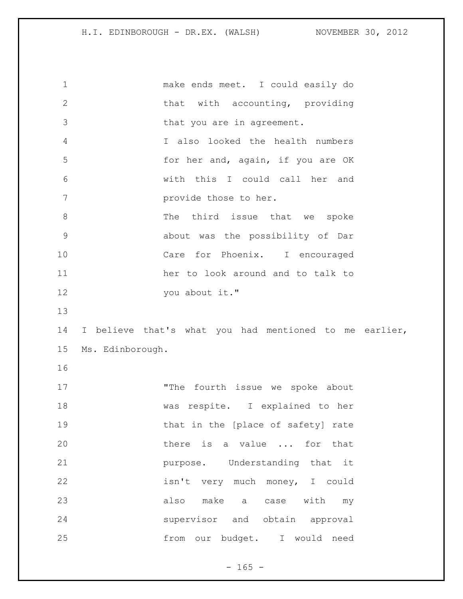| $\mathbf 1$   | make ends meet. I could easily do                      |  |
|---------------|--------------------------------------------------------|--|
| $\mathbf{2}$  | that with accounting, providing                        |  |
| 3             | that you are in agreement.                             |  |
| 4             | I also looked the health numbers                       |  |
| 5             | for her and, again, if you are OK                      |  |
| 6             | with this I could call her and                         |  |
| 7             | provide those to her.                                  |  |
| 8             | The third issue that we spoke                          |  |
| $\mathcal{G}$ | about was the possibility of Dar                       |  |
| 10            | Care for Phoenix. I encouraged                         |  |
| 11            | her to look around and to talk to                      |  |
| 12            | you about it."                                         |  |
|               |                                                        |  |
| 13            |                                                        |  |
| 14            | I believe that's what you had mentioned to me earlier, |  |
| 15            | Ms. Edinborough.                                       |  |
| 16            |                                                        |  |
| 17            | "The fourth issue we spoke about                       |  |
| 18            | respite. I explained to her<br>was                     |  |
| 19            | that in the [place of safety] rate                     |  |
| 20            | there is a value  for that                             |  |
| 21            | purpose. Understanding that it                         |  |
| 22            | isn't very much money, I could                         |  |
| 23            | also make a<br>case with<br>my                         |  |
| 24            | supervisor and obtain approval                         |  |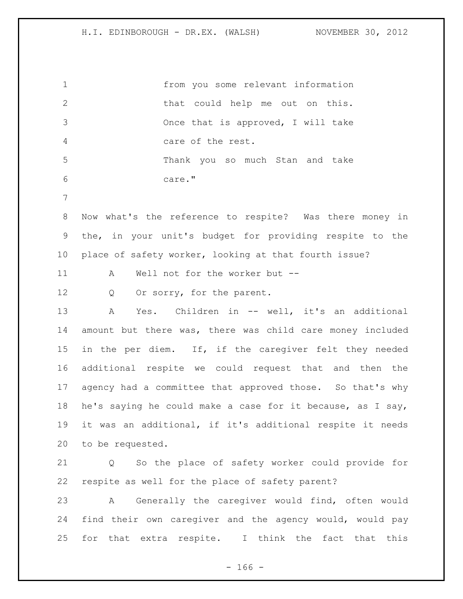from you some relevant information 2 that could help me out on this. Once that is approved, I will take care of the rest. Thank you so much Stan and take care." Now what's the reference to respite? Was there money in the, in your unit's budget for providing respite to the place of safety worker, looking at that fourth issue? A Well not for the worker but -- 12 Q Or sorry, for the parent. 13 A Yes. Children in -- well, it's an additional amount but there was, there was child care money included 15 in the per diem. If, if the caregiver felt they needed additional respite we could request that and then the agency had a committee that approved those. So that's why he's saying he could make a case for it because, as I say, it was an additional, if it's additional respite it needs to be requested. Q So the place of safety worker could provide for respite as well for the place of safety parent? A Generally the caregiver would find, often would find their own caregiver and the agency would, would pay for that extra respite. I think the fact that this

- 166 -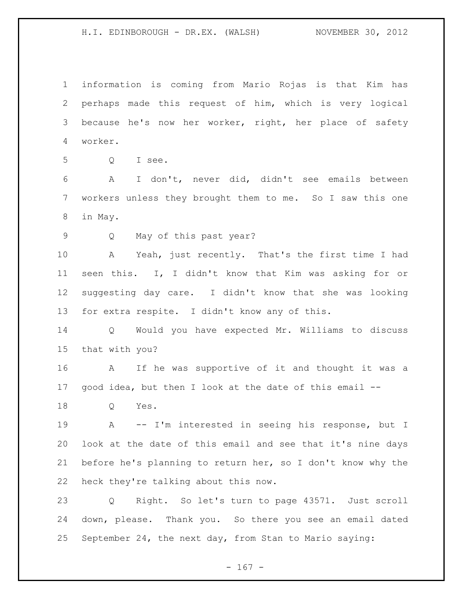information is coming from Mario Rojas is that Kim has perhaps made this request of him, which is very logical because he's now her worker, right, her place of safety worker.

Q I see.

 A I don't, never did, didn't see emails between workers unless they brought them to me. So I saw this one in May.

Q May of this past year?

 A Yeah, just recently. That's the first time I had seen this. I, I didn't know that Kim was asking for or suggesting day care. I didn't know that she was looking for extra respite. I didn't know any of this.

 Q Would you have expected Mr. Williams to discuss that with you?

 A If he was supportive of it and thought it was a good idea, but then I look at the date of this email --

Q Yes.

 A -- I'm interested in seeing his response, but I look at the date of this email and see that it's nine days before he's planning to return her, so I don't know why the heck they're talking about this now.

 Q Right. So let's turn to page 43571. Just scroll down, please. Thank you. So there you see an email dated September 24, the next day, from Stan to Mario saying:

- 167 -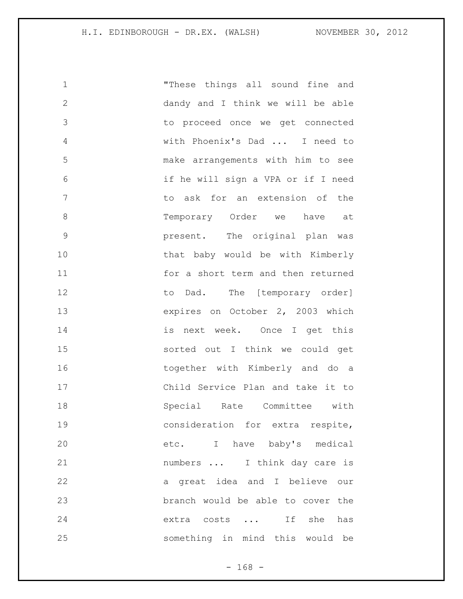| 1             | "These things all sound fine and   |
|---------------|------------------------------------|
| $\mathbf{2}$  | dandy and I think we will be able  |
| 3             | to proceed once we get connected   |
| 4             | with Phoenix's Dad  I need to      |
| 5             | make arrangements with him to see  |
| 6             | if he will sign a VPA or if I need |
| 7             | to ask for an extension of the     |
| 8             | Temporary Order we have at         |
| $\mathcal{G}$ | present. The original plan was     |
| 10            | that baby would be with Kimberly   |
| 11            | for a short term and then returned |
| 12            | to Dad. The [temporary order]      |
| 13            | expires on October 2, 2003 which   |
| 14            | is next week. Once I get this      |
| 15            | sorted out I think we could get    |
| 16            | together with Kimberly and do a    |
| 17            | Child Service Plan and take it to  |
| 18            | Special Rate Committee with        |
| 19            | consideration for extra respite,   |
| 20            | etc. I have baby's medical         |
| 21            | numbers  I think day care is       |
| 22            | a great idea and I believe our     |
| 23            | branch would be able to cover the  |
| 24            | extra costs  If she<br>has         |
| 25            | something in mind this would be    |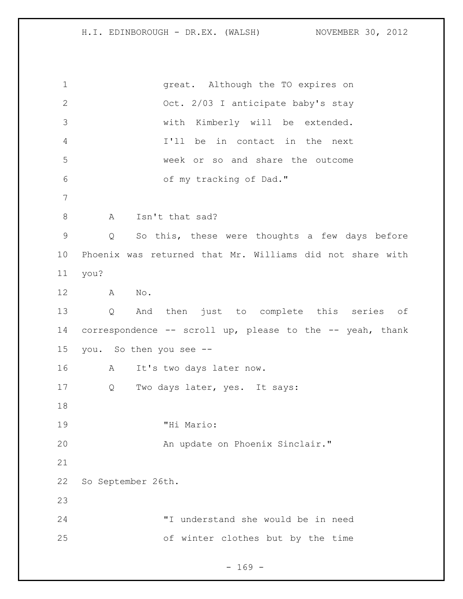great. Although the TO expires on Oct. 2/03 I anticipate baby's stay with Kimberly will be extended. I'll be in contact in the next week or so and share the outcome of my tracking of Dad." 8 A Isn't that sad? Q So this, these were thoughts a few days before Phoenix was returned that Mr. Williams did not share with you? A No. Q And then just to complete this series of correspondence -- scroll up, please to the -- yeah, thank you. So then you see -- A It's two days later now. Q Two days later, yes. It says: "Hi Mario: An update on Phoenix Sinclair." So September 26th. "I understand she would be in need of winter clothes but by the time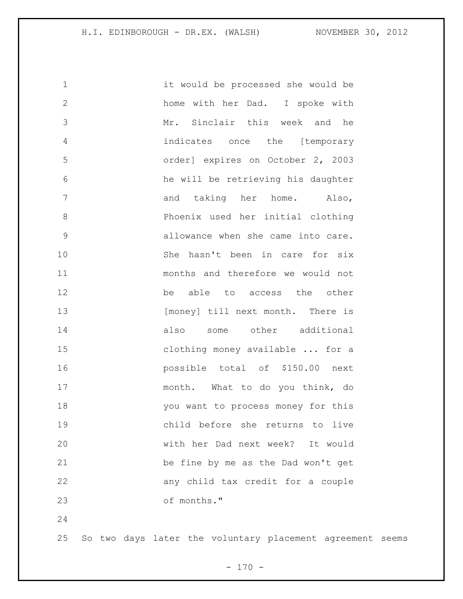| $\mathbf 1$  | it would be processed she would be                        |
|--------------|-----------------------------------------------------------|
| $\mathbf{2}$ | home with her Dad. I spoke with                           |
| 3            | Mr. Sinclair this week and he                             |
| 4            | indicates once the [temporary                             |
| 5            | order] expires on October 2, 2003                         |
| 6            | he will be retrieving his daughter                        |
| 7            | and taking her home. Also,                                |
| $\,8\,$      | Phoenix used her initial clothing                         |
| $\mathsf 9$  | allowance when she came into care.                        |
| 10           | She hasn't been in care for six                           |
| 11           | months and therefore we would not                         |
| 12           | able to access the other<br>be                            |
| 13           | [money] till next month. There is                         |
| 14           | some other additional<br>also                             |
| 15           | clothing money available  for a                           |
| 16           | possible total of \$150.00 next                           |
| 17           | month. What to do you think, do                           |
| 18           | you want to process money for this                        |
| 19           | child before she returns to live                          |
| 20           | with her Dad next week? It would                          |
| 21           | be fine by me as the Dad won't get                        |
| 22           | any child tax credit for a couple                         |
| 23           | of months."                                               |
| 24           |                                                           |
| 25           | So two days later the voluntary placement agreement seems |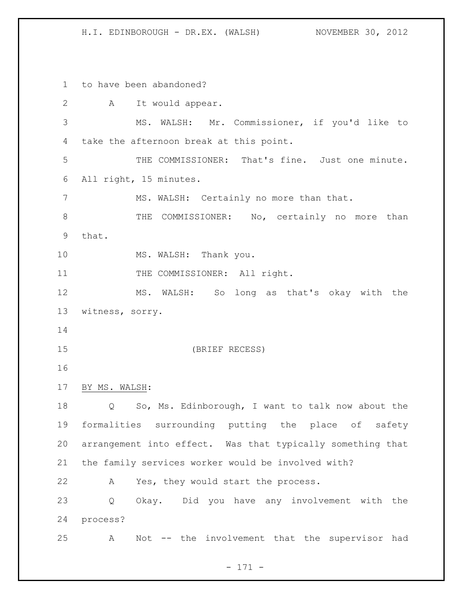to have been abandoned? A It would appear. MS. WALSH: Mr. Commissioner, if you'd like to take the afternoon break at this point. THE COMMISSIONER: That's fine. Just one minute. All right, 15 minutes. MS. WALSH: Certainly no more than that. 8 THE COMMISSIONER: No, certainly no more than that. 10 MS. WALSH: Thank you. 11 THE COMMISSIONER: All right. MS. WALSH: So long as that's okay with the witness, sorry. (BRIEF RECESS) BY MS. WALSH: Q So, Ms. Edinborough, I want to talk now about the formalities surrounding putting the place of safety arrangement into effect. Was that typically something that the family services worker would be involved with? A Yes, they would start the process. Q Okay. Did you have any involvement with the process? A Not -- the involvement that the supervisor had

- 171 -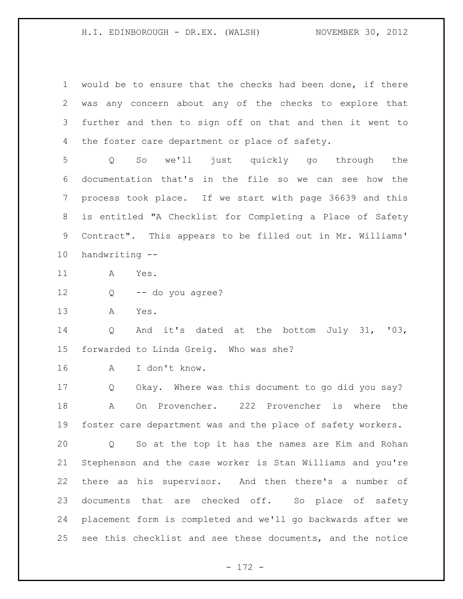would be to ensure that the checks had been done, if there was any concern about any of the checks to explore that further and then to sign off on that and then it went to 4 the foster care department or place of safety.

 Q So we'll just quickly go through the documentation that's in the file so we can see how the process took place. If we start with page 36639 and this is entitled "A Checklist for Completing a Place of Safety Contract". This appears to be filled out in Mr. Williams' handwriting --

A Yes.

Q -- do you agree?

A Yes.

 Q And it's dated at the bottom July 31, '03, forwarded to Linda Greig. Who was she?

A I don't know.

 Q Okay. Where was this document to go did you say? A On Provencher. 222 Provencher is where the foster care department was and the place of safety workers.

 Q So at the top it has the names are Kim and Rohan Stephenson and the case worker is Stan Williams and you're there as his supervisor. And then there's a number of documents that are checked off. So place of safety placement form is completed and we'll go backwards after we see this checklist and see these documents, and the notice

- 172 -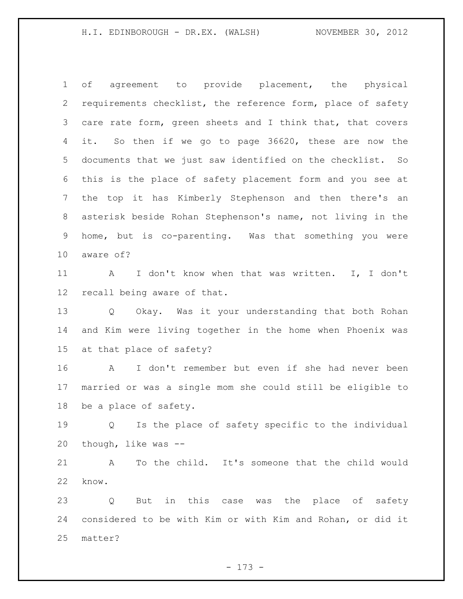of agreement to provide placement, the physical requirements checklist, the reference form, place of safety care rate form, green sheets and I think that, that covers it. So then if we go to page 36620, these are now the documents that we just saw identified on the checklist. So this is the place of safety placement form and you see at the top it has Kimberly Stephenson and then there's an asterisk beside Rohan Stephenson's name, not living in the home, but is co-parenting. Was that something you were aware of?

 A I don't know when that was written. I, I don't recall being aware of that.

 Q Okay. Was it your understanding that both Rohan and Kim were living together in the home when Phoenix was at that place of safety?

 A I don't remember but even if she had never been married or was a single mom she could still be eligible to be a place of safety.

 Q Is the place of safety specific to the individual though, like was --

 A To the child. It's someone that the child would know.

 Q But in this case was the place of safety considered to be with Kim or with Kim and Rohan, or did it matter?

- 173 -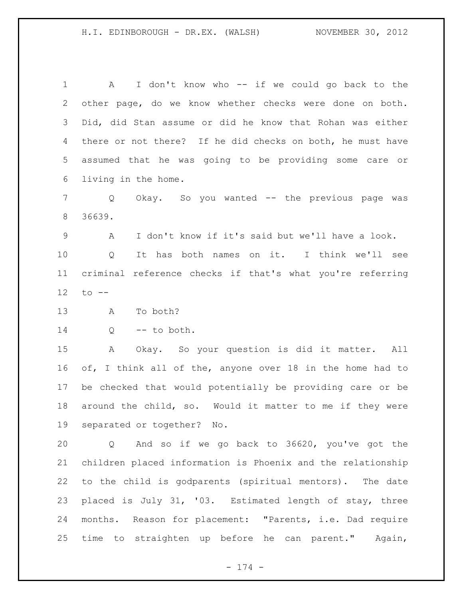1 A I don't know who -- if we could go back to the other page, do we know whether checks were done on both. Did, did Stan assume or did he know that Rohan was either there or not there? If he did checks on both, he must have assumed that he was going to be providing some care or living in the home. Q Okay. So you wanted -- the previous page was 36639. A I don't know if it's said but we'll have a look. Q It has both names on it. I think we'll see criminal reference checks if that's what you're referring to -- A To both? Q -- to both. A Okay. So your question is did it matter. All of, I think all of the, anyone over 18 in the home had to be checked that would potentially be providing care or be around the child, so. Would it matter to me if they were separated or together? No. Q And so if we go back to 36620, you've got the children placed information is Phoenix and the relationship to the child is godparents (spiritual mentors). The date placed is July 31, '03. Estimated length of stay, three months. Reason for placement: "Parents, i.e. Dad require time to straighten up before he can parent." Again,

- 174 -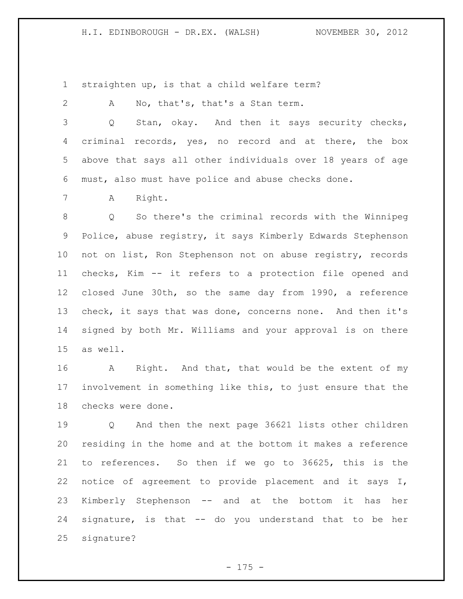straighten up, is that a child welfare term?

A No, that's, that's a Stan term.

 Q Stan, okay. And then it says security checks, criminal records, yes, no record and at there, the box above that says all other individuals over 18 years of age must, also must have police and abuse checks done.

A Right.

 Q So there's the criminal records with the Winnipeg Police, abuse registry, it says Kimberly Edwards Stephenson not on list, Ron Stephenson not on abuse registry, records checks, Kim -- it refers to a protection file opened and closed June 30th, so the same day from 1990, a reference check, it says that was done, concerns none. And then it's signed by both Mr. Williams and your approval is on there as well.

16 A Right. And that, that would be the extent of my involvement in something like this, to just ensure that the checks were done.

 Q And then the next page 36621 lists other children residing in the home and at the bottom it makes a reference to references. So then if we go to 36625, this is the notice of agreement to provide placement and it says I, Kimberly Stephenson -- and at the bottom it has her signature, is that -- do you understand that to be her signature?

- 175 -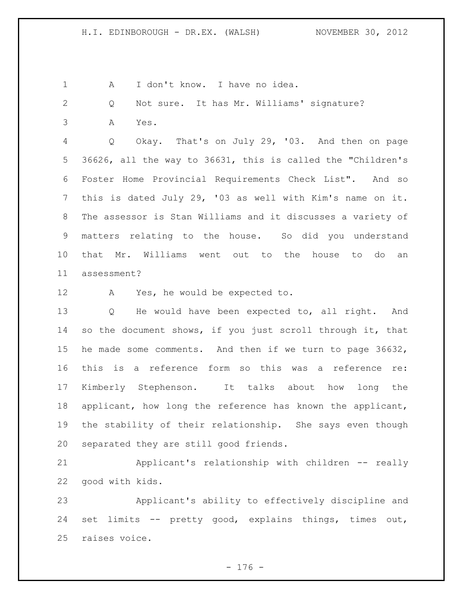1 A I don't know. I have no idea.

Q Not sure. It has Mr. Williams' signature?

A Yes.

 Q Okay. That's on July 29, '03. And then on page 36626, all the way to 36631, this is called the "Children's Foster Home Provincial Requirements Check List". And so this is dated July 29, '03 as well with Kim's name on it. The assessor is Stan Williams and it discusses a variety of matters relating to the house. So did you understand that Mr. Williams went out to the house to do an assessment?

A Yes, he would be expected to.

 Q He would have been expected to, all right. And so the document shows, if you just scroll through it, that he made some comments. And then if we turn to page 36632, this is a reference form so this was a reference re: Kimberly Stephenson. It talks about how long the applicant, how long the reference has known the applicant, the stability of their relationship. She says even though separated they are still good friends.

 Applicant's relationship with children -- really good with kids.

 Applicant's ability to effectively discipline and set limits -- pretty good, explains things, times out, raises voice.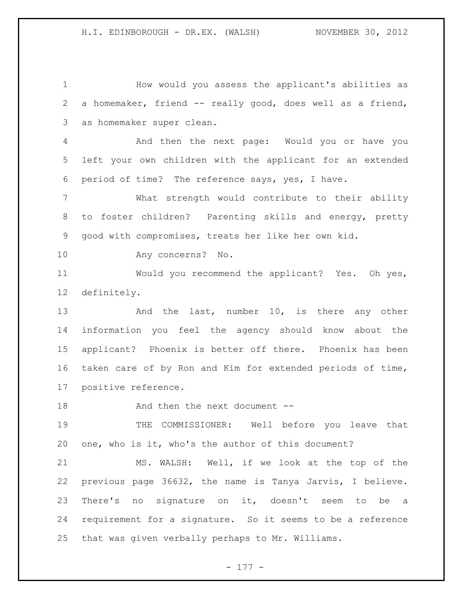How would you assess the applicant's abilities as a homemaker, friend -- really good, does well as a friend, as homemaker super clean.

 And then the next page: Would you or have you left your own children with the applicant for an extended period of time? The reference says, yes, I have.

 What strength would contribute to their ability to foster children? Parenting skills and energy, pretty good with compromises, treats her like her own kid.

Any concerns? No.

 Would you recommend the applicant? Yes. Oh yes, definitely.

13 And the last, number 10, is there any other information you feel the agency should know about the applicant? Phoenix is better off there. Phoenix has been taken care of by Ron and Kim for extended periods of time, positive reference.

18 And then the next document --

 THE COMMISSIONER: Well before you leave that one, who is it, who's the author of this document?

 MS. WALSH: Well, if we look at the top of the previous page 36632, the name is Tanya Jarvis, I believe. There's no signature on it, doesn't seem to be a requirement for a signature. So it seems to be a reference that was given verbally perhaps to Mr. Williams.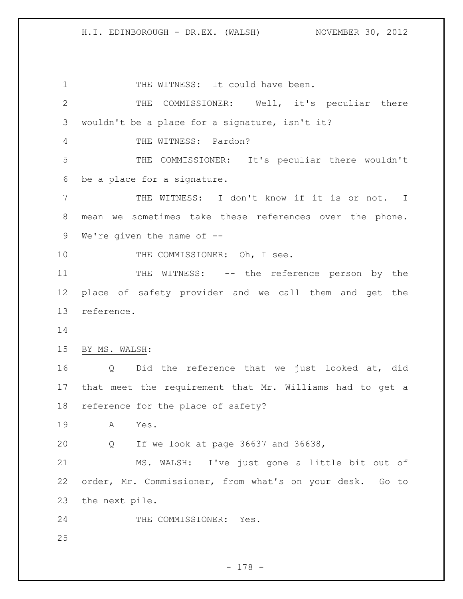1 THE WITNESS: It could have been. THE COMMISSIONER: Well, it's peculiar there wouldn't be a place for a signature, isn't it? THE WITNESS: Pardon? THE COMMISSIONER: It's peculiar there wouldn't be a place for a signature. THE WITNESS: I don't know if it is or not. I mean we sometimes take these references over the phone. We're given the name of -- 10 THE COMMISSIONER: Oh, I see. 11 THE WITNESS: -- the reference person by the place of safety provider and we call them and get the reference. BY MS. WALSH: Q Did the reference that we just looked at, did that meet the requirement that Mr. Williams had to get a reference for the place of safety? A Yes. Q If we look at page 36637 and 36638, MS. WALSH: I've just gone a little bit out of order, Mr. Commissioner, from what's on your desk. Go to the next pile. 24 THE COMMISSIONER: Yes.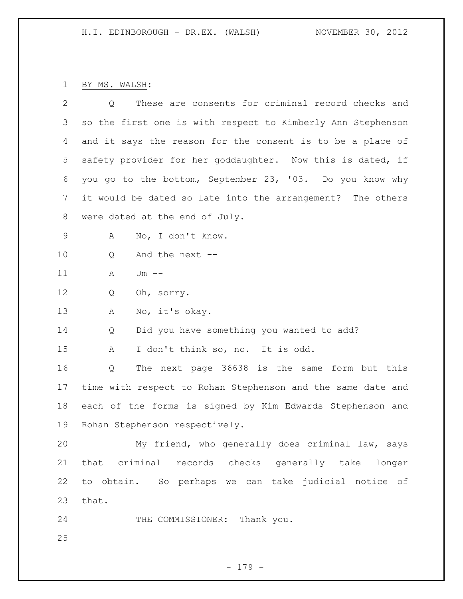BY MS. WALSH:

| $\overline{2}$ | These are consents for criminal record checks and<br>Q      |
|----------------|-------------------------------------------------------------|
| 3              | so the first one is with respect to Kimberly Ann Stephenson |
| 4              | and it says the reason for the consent is to be a place of  |
| 5              | safety provider for her goddaughter. Now this is dated, if  |
| 6              | you go to the bottom, September 23, '03. Do you know why    |
| 7              | it would be dated so late into the arrangement? The others  |
| 8              | were dated at the end of July.                              |
| 9              | No, I don't know.<br>Α                                      |
| 10             | And the next --<br>Q                                        |
| 11             | Α<br>$Um$ $--$                                              |
| 12             | Q<br>Oh, sorry.                                             |
| 13             | No, it's okay.<br>Α                                         |
| 14             | Did you have something you wanted to add?<br>Q              |
| 15             | I don't think so, no. It is odd.<br>Α                       |
| 16             | The next page 36638 is the same form but this<br>Q          |
| 17             | time with respect to Rohan Stephenson and the same date and |
| 18             | each of the forms is signed by Kim Edwards Stephenson and   |
| 19             | Rohan Stephenson respectively.                              |
| 20             | My friend, who generally does criminal law, says            |
| 21             | that criminal records checks generally take longer          |
| 22             | to obtain. So perhaps we can take judicial notice of        |
| 23             | that.                                                       |
| 24             | THE COMMISSIONER: Thank you.                                |
| 25             |                                                             |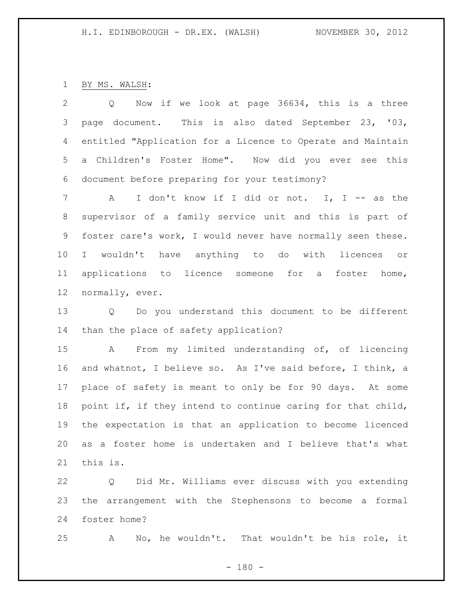BY MS. WALSH:

 Q Now if we look at page 36634, this is a three page document. This is also dated September 23, '03, entitled "Application for a Licence to Operate and Maintain a Children's Foster Home". Now did you ever see this document before preparing for your testimony?

 A I don't know if I did or not. I, I -- as the supervisor of a family service unit and this is part of foster care's work, I would never have normally seen these. I wouldn't have anything to do with licences or applications to licence someone for a foster home, normally, ever.

 Q Do you understand this document to be different than the place of safety application?

 A From my limited understanding of, of licencing and whatnot, I believe so. As I've said before, I think, a place of safety is meant to only be for 90 days. At some point if, if they intend to continue caring for that child, the expectation is that an application to become licenced as a foster home is undertaken and I believe that's what this is.

 Q Did Mr. Williams ever discuss with you extending the arrangement with the Stephensons to become a formal foster home?

A No, he wouldn't. That wouldn't be his role, it

 $- 180 -$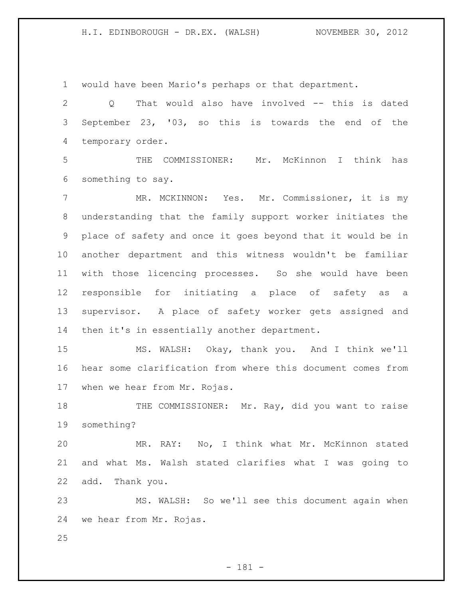would have been Mario's perhaps or that department.

 Q That would also have involved -- this is dated September 23, '03, so this is towards the end of the temporary order.

 THE COMMISSIONER: Mr. McKinnon I think has something to say.

 MR. MCKINNON: Yes. Mr. Commissioner, it is my understanding that the family support worker initiates the place of safety and once it goes beyond that it would be in another department and this witness wouldn't be familiar with those licencing processes. So she would have been responsible for initiating a place of safety as a supervisor. A place of safety worker gets assigned and then it's in essentially another department.

 MS. WALSH: Okay, thank you. And I think we'll hear some clarification from where this document comes from when we hear from Mr. Rojas.

18 THE COMMISSIONER: Mr. Ray, did you want to raise something?

 MR. RAY: No, I think what Mr. McKinnon stated and what Ms. Walsh stated clarifies what I was going to add. Thank you.

 MS. WALSH: So we'll see this document again when we hear from Mr. Rojas.

- 181 -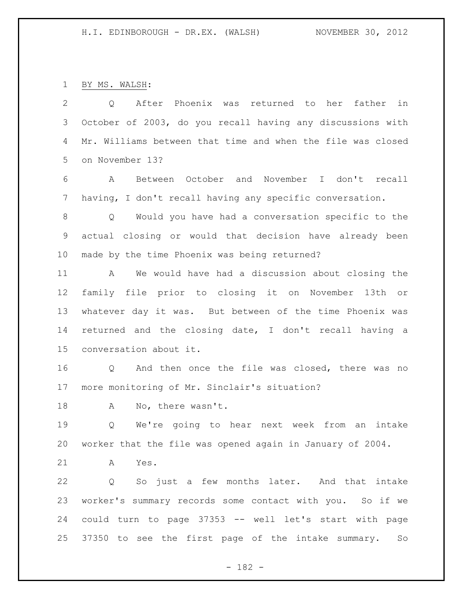BY MS. WALSH:

 Q After Phoenix was returned to her father in October of 2003, do you recall having any discussions with Mr. Williams between that time and when the file was closed on November 13?

 A Between October and November I don't recall having, I don't recall having any specific conversation.

 Q Would you have had a conversation specific to the actual closing or would that decision have already been made by the time Phoenix was being returned?

 A We would have had a discussion about closing the family file prior to closing it on November 13th or whatever day it was. But between of the time Phoenix was returned and the closing date, I don't recall having a conversation about it.

 Q And then once the file was closed, there was no more monitoring of Mr. Sinclair's situation?

A No, there wasn't.

 Q We're going to hear next week from an intake worker that the file was opened again in January of 2004.

A Yes.

 Q So just a few months later. And that intake worker's summary records some contact with you. So if we could turn to page 37353 -- well let's start with page 37350 to see the first page of the intake summary. So

- 182 -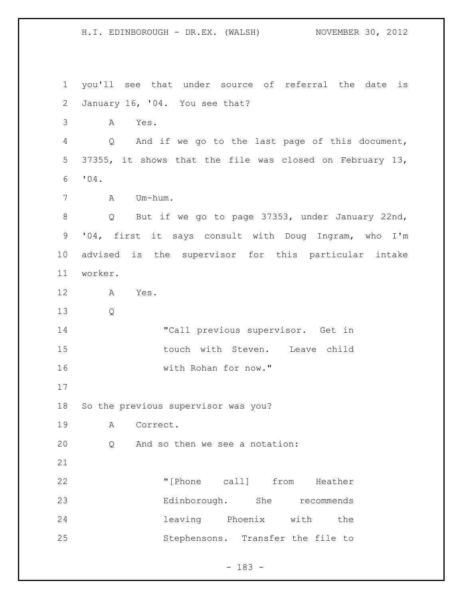H.I. EDINBOROUGH - DR.EX. (WALSH) NOVEMBER 30, 2012 you'll see that under source of referral the date is January 16, '04. You see that? A Yes. Q And if we go to the last page of this document, 37355, it shows that the file was closed on February 13, '04. A Um-hum. Q But if we go to page 37353, under January 22nd, '04, first it says consult with Doug Ingram, who I'm advised is the supervisor for this particular intake worker. A Yes. Q "Call previous supervisor. Get in 15 touch with Steven. Leave child with Rohan for now." So the previous supervisor was you? A Correct. Q And so then we see a notation: "[Phone call] from Heather Edinborough. She recommends leaving Phoenix with the Stephensons. Transfer the file to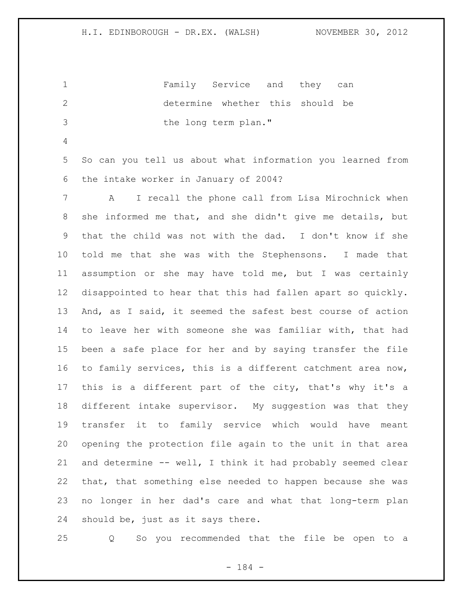Family Service and they can determine whether this should be the long term plan."

 So can you tell us about what information you learned from the intake worker in January of 2004?

 A I recall the phone call from Lisa Mirochnick when she informed me that, and she didn't give me details, but that the child was not with the dad. I don't know if she told me that she was with the Stephensons. I made that assumption or she may have told me, but I was certainly disappointed to hear that this had fallen apart so quickly. And, as I said, it seemed the safest best course of action to leave her with someone she was familiar with, that had been a safe place for her and by saying transfer the file to family services, this is a different catchment area now, this is a different part of the city, that's why it's a different intake supervisor. My suggestion was that they transfer it to family service which would have meant opening the protection file again to the unit in that area and determine -- well, I think it had probably seemed clear that, that something else needed to happen because she was no longer in her dad's care and what that long-term plan should be, just as it says there.

Q So you recommended that the file be open to a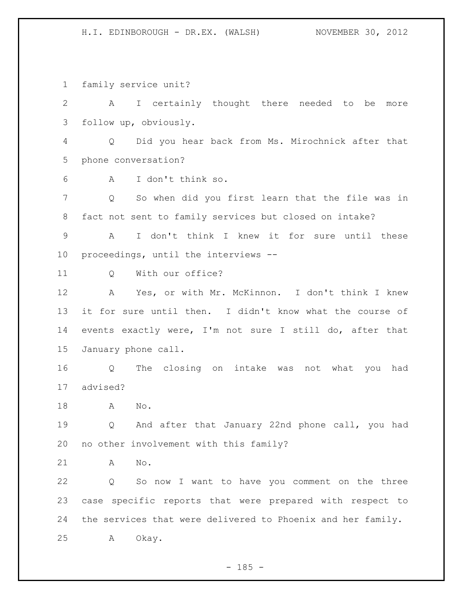H.I. EDINBOROUGH - DR.EX. (WALSH) NOVEMBER 30, 2012

family service unit?

 A I certainly thought there needed to be more follow up, obviously.

 Q Did you hear back from Ms. Mirochnick after that phone conversation?

A I don't think so.

 Q So when did you first learn that the file was in fact not sent to family services but closed on intake?

 A I don't think I knew it for sure until these proceedings, until the interviews --

11 0 With our office?

 A Yes, or with Mr. McKinnon. I don't think I knew it for sure until then. I didn't know what the course of events exactly were, I'm not sure I still do, after that January phone call.

 Q The closing on intake was not what you had advised?

A No.

 Q And after that January 22nd phone call, you had no other involvement with this family?

A No.

 Q So now I want to have you comment on the three case specific reports that were prepared with respect to the services that were delivered to Phoenix and her family. A Okay.

 $- 185 -$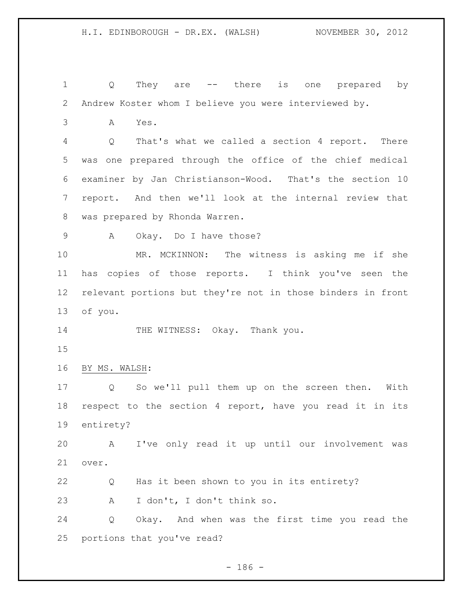Q They are -- there is one prepared by Andrew Koster whom I believe you were interviewed by.

A Yes.

 Q That's what we called a section 4 report. There was one prepared through the office of the chief medical examiner by Jan Christianson-Wood. That's the section 10 report. And then we'll look at the internal review that was prepared by Rhonda Warren.

A Okay. Do I have those?

 MR. MCKINNON: The witness is asking me if she has copies of those reports. I think you've seen the relevant portions but they're not in those binders in front of you.

14 THE WITNESS: Okay. Thank you.

BY MS. WALSH:

 Q So we'll pull them up on the screen then. With respect to the section 4 report, have you read it in its entirety?

 A I've only read it up until our involvement was over.

 Q Has it been shown to you in its entirety? A I don't, I don't think so.

 Q Okay. And when was the first time you read the portions that you've read?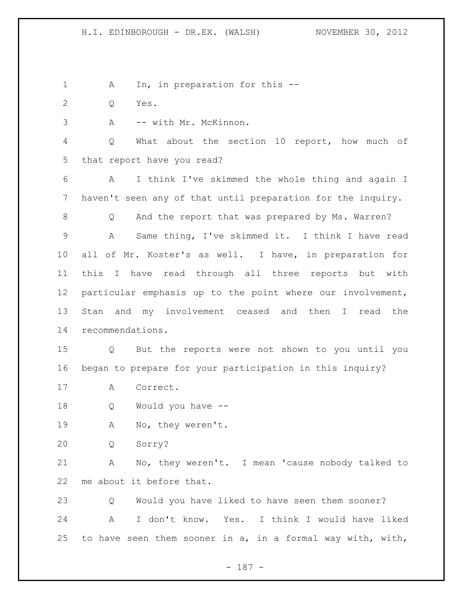1 A In, in preparation for this --

Q Yes.

A -- with Mr. McKinnon.

 Q What about the section 10 report, how much of that report have you read?

 A I think I've skimmed the whole thing and again I haven't seen any of that until preparation for the inquiry.

8 Q And the report that was prepared by Ms. Warren? A Same thing, I've skimmed it. I think I have read all of Mr. Koster's as well. I have, in preparation for this I have read through all three reports but with particular emphasis up to the point where our involvement, Stan and my involvement ceased and then I read the recommendations.

 Q But the reports were not shown to you until you began to prepare for your participation in this inquiry?

A Correct.

Q Would you have --

A No, they weren't.

Q Sorry?

 A No, they weren't. I mean 'cause nobody talked to me about it before that.

 Q Would you have liked to have seen them sooner? A I don't know. Yes. I think I would have liked to have seen them sooner in a, in a formal way with, with,

- 187 -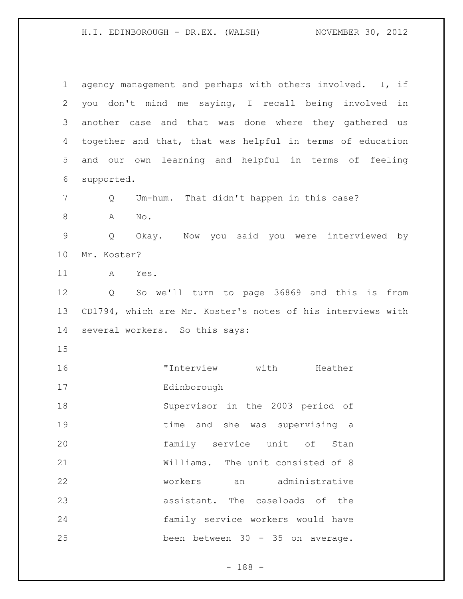H.I. EDINBOROUGH - DR.EX. (WALSH) NOVEMBER 30, 2012

| 1            | agency management and perhaps with others involved.<br>I, if |
|--------------|--------------------------------------------------------------|
| $\mathbf{2}$ | you don't mind me saying, I recall being involved<br>in      |
| 3            | another case and that was done where they gathered us        |
| 4            | together and that, that was helpful in terms of education    |
| 5            | own learning and helpful in terms of feeling<br>and our      |
| 6            | supported.                                                   |
| 7            | Um-hum. That didn't happen in this case?<br>Q                |
| $8\,$        | No.<br>A                                                     |
| $\mathsf 9$  | Okay. Now you said you were interviewed by<br>Q              |
| 10           | Mr. Koster?                                                  |
| 11           | Α<br>Yes.                                                    |
| 12           | So we'll turn to page 36869 and this is from<br>Q            |
| 13           | CD1794, which are Mr. Koster's notes of his interviews with  |
| 14           | several workers. So this says:                               |
| 15           |                                                              |
| 16           | "Interview<br>with<br>Heather                                |
| 17           | Edinborough                                                  |
| 18           | Supervisor in the 2003 period of                             |
| 19           | time and she was supervising a                               |
| 20           | family service unit of Stan                                  |
| 21           | Williams. The unit consisted of 8                            |
| 22           | workers an administrative                                    |
| 23           | assistant. The caseloads of the                              |
| 24           | family service workers would have                            |
| 25           | been between 30 - 35 on average.                             |

- 188 -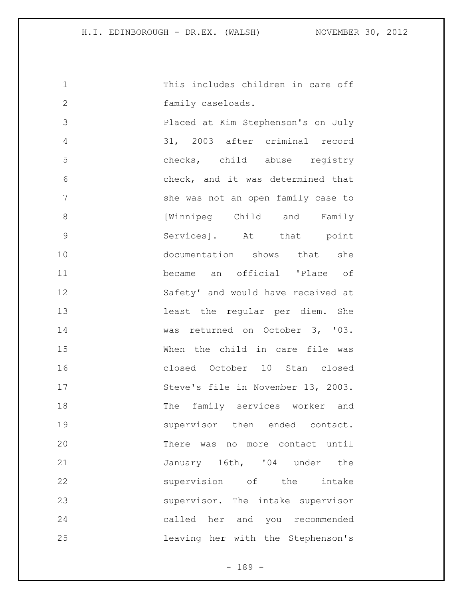This includes children in care off family caseloads. Placed at Kim Stephenson's on July 31, 2003 after criminal record checks, child abuse registry check, and it was determined that 7 She was not an open family case to 8 [Winnipeg Child and Family Services]. At that point documentation shows that she became an official 'Place of Safety' and would have received at least the regular per diem. She was returned on October 3, '03. When the child in care file was closed October 10 Stan closed 17 Steve's file in November 13, 2003. The family services worker and supervisor then ended contact. There was no more contact until 21 January 16th, '04 under the supervision of the intake supervisor. The intake supervisor called her and you recommended leaving her with the Stephenson's

 $- 189 -$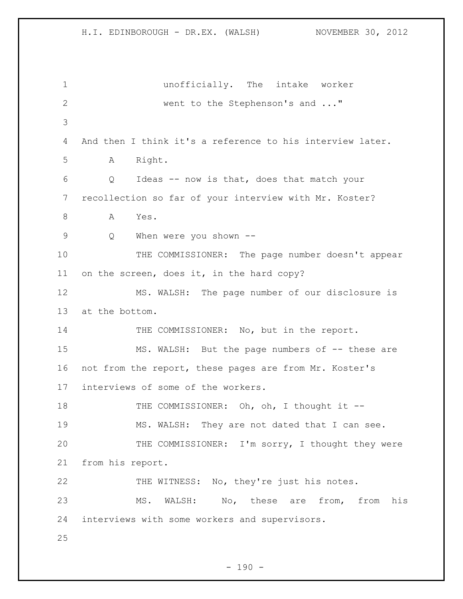unofficially. The intake worker went to the Stephenson's and ..." 4 And then I think it's a reference to his interview later. A Right. Q Ideas -- now is that, does that match your recollection so far of your interview with Mr. Koster? 8 A Yes. Q When were you shown -- THE COMMISSIONER: The page number doesn't appear on the screen, does it, in the hard copy? MS. WALSH: The page number of our disclosure is at the bottom. 14 THE COMMISSIONER: No, but in the report. 15 MS. WALSH: But the page numbers of -- these are not from the report, these pages are from Mr. Koster's interviews of some of the workers. 18 THE COMMISSIONER: Oh, oh, I thought it -- MS. WALSH: They are not dated that I can see. 20 THE COMMISSIONER: I'm sorry, I thought they were from his report. THE WITNESS: No, they're just his notes. MS. WALSH: No, these are from, from his interviews with some workers and supervisors. 

 $- 190 -$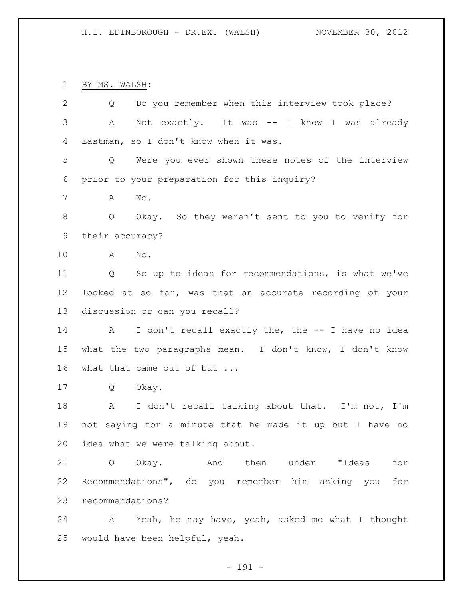BY MS. WALSH:

| $\mathbf{2}$ | Do you remember when this interview took place?<br>Q            |  |  |
|--------------|-----------------------------------------------------------------|--|--|
| 3            | Not exactly. It was -- I know I was already<br>A                |  |  |
| 4            | Eastman, so I don't know when it was.                           |  |  |
| 5            | Were you ever shown these notes of the interview<br>$Q \qquad$  |  |  |
| 6            | prior to your preparation for this inquiry?                     |  |  |
| 7            | Α<br>No.                                                        |  |  |
| 8            | Q Okay. So they weren't sent to you to verify for               |  |  |
| 9            | their accuracy?                                                 |  |  |
| 10           | No.<br>A                                                        |  |  |
| 11           | Q So up to ideas for recommendations, is what we've             |  |  |
| 12           | looked at so far, was that an accurate recording of your        |  |  |
| 13           | discussion or can you recall?                                   |  |  |
| 14           | A I don't recall exactly the, the -- I have no idea             |  |  |
| 15           | what the two paragraphs mean. I don't know, I don't know        |  |  |
| 16           | what that came out of but                                       |  |  |
| 17           | $\mathsf{Q}$<br>Okay.                                           |  |  |
| 18           | I don't recall talking about that. I'm not, I'm<br>$\mathbf{A}$ |  |  |
| 19           | not saying for a minute that he made it up but I have no        |  |  |
| 20           | idea what we were talking about.                                |  |  |
| 21           | then under "Ideas<br>for<br>Okay.<br>And<br>Q                   |  |  |
| 22           | Recommendations", do you remember him asking you for            |  |  |
| 23           | recommendations?                                                |  |  |
| 24           | A Yeah, he may have, yeah, asked me what I thought              |  |  |
| 25           | would have been helpful, yeah.                                  |  |  |

- 191 -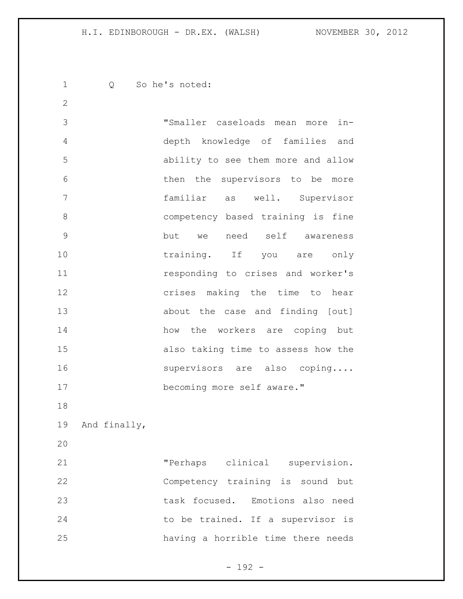Q So he's noted: "Smaller caseloads mean more in- depth knowledge of families and ability to see them more and allow then the supervisors to be more familiar as well. Supervisor competency based training is fine but we need self awareness 10 training. If you are only responding to crises and worker's crises making the time to hear about the case and finding [out] how the workers are coping but also taking time to assess how the 16 supervisors are also coping.... becoming more self aware." And finally, "Perhaps clinical supervision. Competency training is sound but task focused. Emotions also need 24 to be trained. If a supervisor is having a horrible time there needs

- 192 -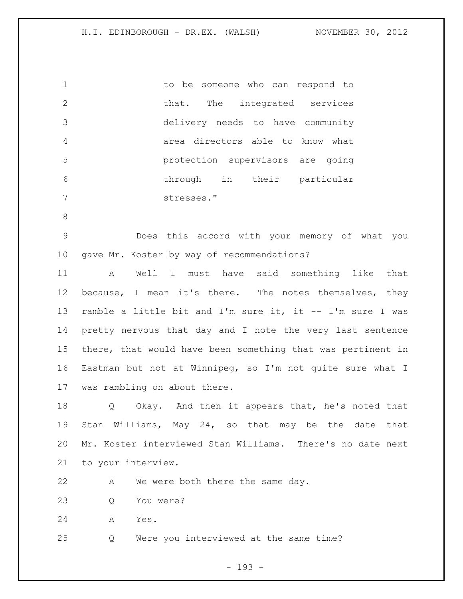to be someone who can respond to 2 that. The integrated services delivery needs to have community area directors able to know what protection supervisors are going through in their particular stresses."

 Does this accord with your memory of what you gave Mr. Koster by way of recommendations?

 A Well I must have said something like that 12 because, I mean it's there. The notes themselves, they ramble a little bit and I'm sure it, it -- I'm sure I was pretty nervous that day and I note the very last sentence there, that would have been something that was pertinent in Eastman but not at Winnipeg, so I'm not quite sure what I was rambling on about there.

 Q Okay. And then it appears that, he's noted that Stan Williams, May 24, so that may be the date that Mr. Koster interviewed Stan Williams. There's no date next to your interview.

22 A We were both there the same day.

Q You were?

A Yes.

Q Were you interviewed at the same time?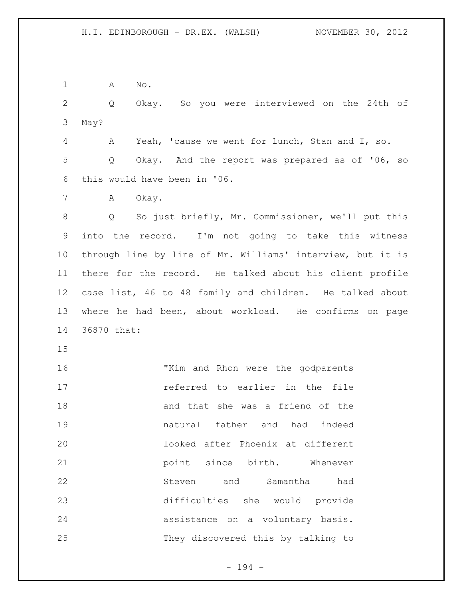A No.

 Q Okay. So you were interviewed on the 24th of May?

 A Yeah, 'cause we went for lunch, Stan and I, so. Q Okay. And the report was prepared as of '06, so this would have been in '06.

7 A Okay.

 Q So just briefly, Mr. Commissioner, we'll put this into the record. I'm not going to take this witness through line by line of Mr. Williams' interview, but it is there for the record. He talked about his client profile case list, 46 to 48 family and children. He talked about where he had been, about workload. He confirms on page 36870 that:

 "Kim and Rhon were the godparents referred to earlier in the file and that she was a friend of the natural father and had indeed looked after Phoenix at different **point** since birth. Whenever Steven and Samantha had difficulties she would provide assistance on a voluntary basis. They discovered this by talking to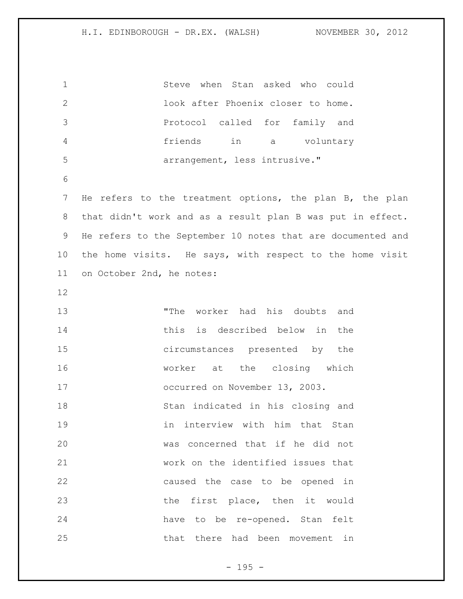| $\mathbf 1$    | Steve when Stan asked who could                             |
|----------------|-------------------------------------------------------------|
| $\mathbf{2}$   | look after Phoenix closer to home.                          |
| 3              | Protocol called for family and                              |
| 4              | friends<br>in a<br>voluntary                                |
| 5              | arrangement, less intrusive."                               |
| 6              |                                                             |
| $\overline{7}$ | He refers to the treatment options, the plan B, the plan    |
| 8              | that didn't work and as a result plan B was put in effect.  |
| 9              | He refers to the September 10 notes that are documented and |
| 10             | the home visits. He says, with respect to the home visit    |
| 11             | on October 2nd, he notes:                                   |
| 12             |                                                             |
| 13             | "The worker had his doubts and                              |
| 14             | this is described below in<br>the                           |
| 15             | circumstances presented by<br>the                           |
| 16             | at the closing which<br>worker                              |
| 17             | occurred on November 13, 2003.                              |
| 18             | Stan indicated in his closing and                           |
| 19             | interview with him that Stan<br>in                          |
| 20             | was concerned that if he did not                            |
| 21             | work on the identified issues that                          |
| 22             | caused the case to be opened in                             |
| 23             | the first place, then it would                              |
| 24             | have to be re-opened. Stan felt                             |
| 25             | that there had been movement in                             |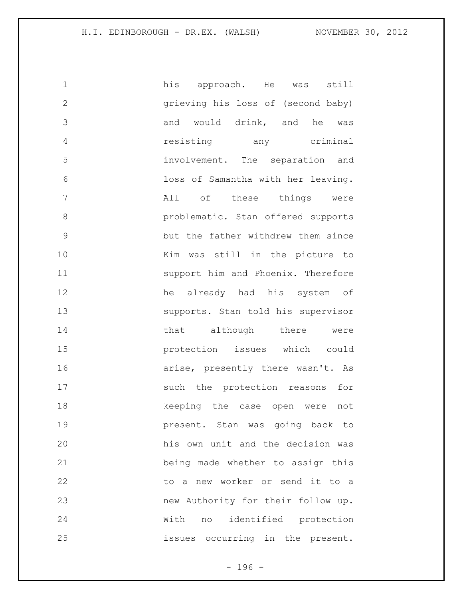| $\mathbf 1$   | his approach. He was still         |
|---------------|------------------------------------|
| $\mathbf{2}$  | grieving his loss of (second baby) |
| 3             | and would drink, and he was        |
| 4             | resisting any criminal             |
| 5             | involvement. The separation and    |
| 6             | loss of Samantha with her leaving. |
| 7             | All of these things were           |
| 8             | problematic. Stan offered supports |
| $\mathcal{G}$ | but the father withdrew them since |
| 10            | Kim was still in the picture to    |
| 11            | support him and Phoenix. Therefore |
| 12            | he already had his system of       |
| 13            | supports. Stan told his supervisor |
| 14            | that although there were           |
| 15            | protection issues which could      |
| 16            | arise, presently there wasn't. As  |
| 17            | such the protection reasons for    |
| 18            | keeping the case open were not     |
| 19            | present. Stan was going back to    |
| 20            | his own unit and the decision was  |
| 21            | being made whether to assign this  |
| 22            | to a new worker or send it to a    |
| 23            | new Authority for their follow up. |
| 24            | With no identified protection      |
| 25            | issues occurring in the present.   |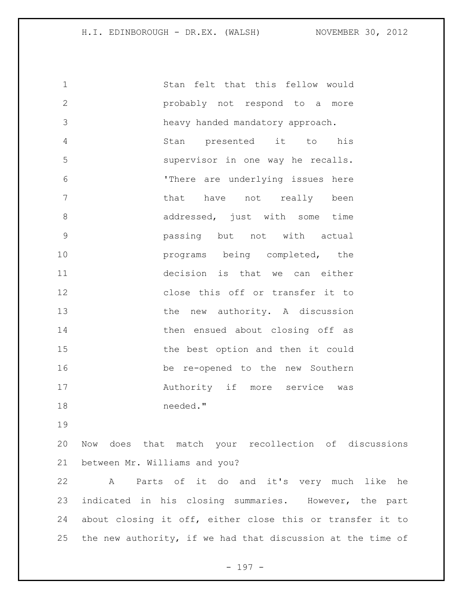Stan felt that this fellow would probably not respond to a more heavy handed mandatory approach. Stan presented it to his supervisor in one way he recalls. 'There are underlying issues here 7 been that have not really been 8 addressed, just with some time passing but not with actual **programs** being completed, the decision is that we can either close this off or transfer it to 13 the new authority. A discussion 14 then ensued about closing off as the best option and then it could be re-opened to the new Southern 17 Muthority if more service was needed."

 Now does that match your recollection of discussions between Mr. Williams and you?

 A Parts of it do and it's very much like he indicated in his closing summaries. However, the part about closing it off, either close this or transfer it to the new authority, if we had that discussion at the time of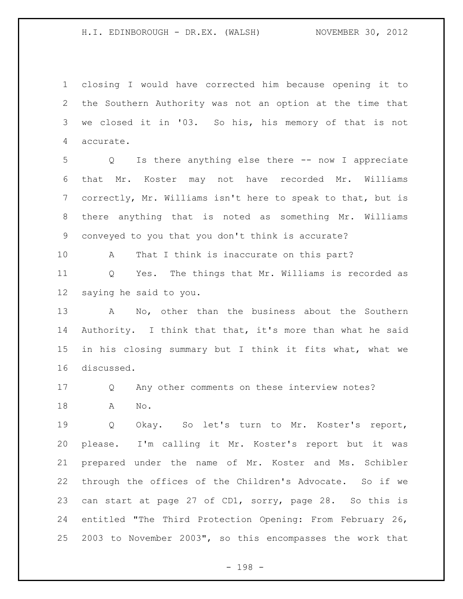closing I would have corrected him because opening it to the Southern Authority was not an option at the time that we closed it in '03. So his, his memory of that is not accurate.

 Q Is there anything else there -- now I appreciate that Mr. Koster may not have recorded Mr. Williams correctly, Mr. Williams isn't here to speak to that, but is there anything that is noted as something Mr. Williams conveyed to you that you don't think is accurate?

A That I think is inaccurate on this part?

 Q Yes. The things that Mr. Williams is recorded as saying he said to you.

 A No, other than the business about the Southern Authority. I think that that, it's more than what he said in his closing summary but I think it fits what, what we discussed.

Q Any other comments on these interview notes?

A No.

19 0 Okay. So let's turn to Mr. Koster's report, please. I'm calling it Mr. Koster's report but it was prepared under the name of Mr. Koster and Ms. Schibler through the offices of the Children's Advocate. So if we can start at page 27 of CD1, sorry, page 28. So this is entitled "The Third Protection Opening: From February 26, 2003 to November 2003", so this encompasses the work that

- 198 -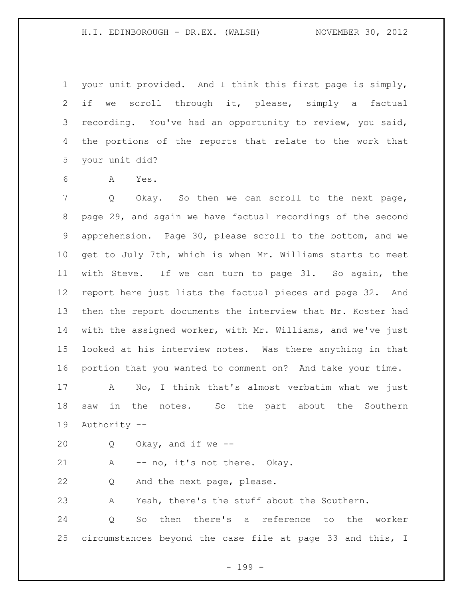your unit provided. And I think this first page is simply, if we scroll through it, please, simply a factual recording. You've had an opportunity to review, you said, the portions of the reports that relate to the work that your unit did?

A Yes.

 Q Okay. So then we can scroll to the next page, page 29, and again we have factual recordings of the second apprehension. Page 30, please scroll to the bottom, and we get to July 7th, which is when Mr. Williams starts to meet with Steve. If we can turn to page 31. So again, the report here just lists the factual pieces and page 32. And then the report documents the interview that Mr. Koster had with the assigned worker, with Mr. Williams, and we've just looked at his interview notes. Was there anything in that portion that you wanted to comment on? And take your time. A No, I think that's almost verbatim what we just

 saw in the notes. So the part about the Southern Authority --

Q Okay, and if we --

21 A -- no, it's not there. Okay.

Q And the next page, please.

A Yeah, there's the stuff about the Southern.

 Q So then there's a reference to the worker circumstances beyond the case file at page 33 and this, I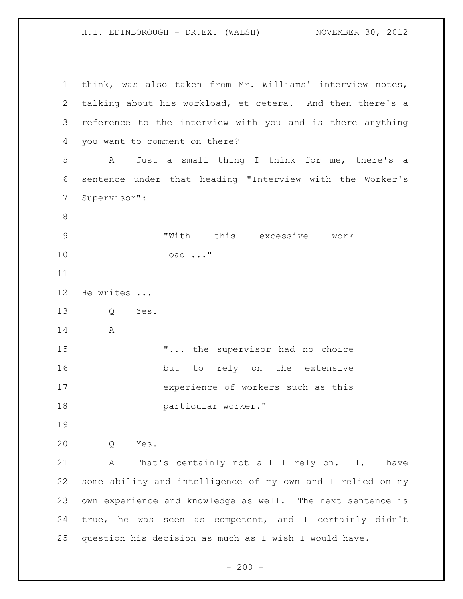H.I. EDINBOROUGH - DR.EX. (WALSH) NOVEMBER 30, 2012

 think, was also taken from Mr. Williams' interview notes, talking about his workload, et cetera. And then there's a reference to the interview with you and is there anything you want to comment on there? A Just a small thing I think for me, there's a sentence under that heading "Interview with the Worker's Supervisor": "With this excessive work load ..." He writes ... Q Yes. A **"...** the supervisor had no choice 16 but to rely on the extensive experience of workers such as this particular worker." Q Yes. A That's certainly not all I rely on. I, I have some ability and intelligence of my own and I relied on my own experience and knowledge as well. The next sentence is true, he was seen as competent, and I certainly didn't question his decision as much as I wish I would have.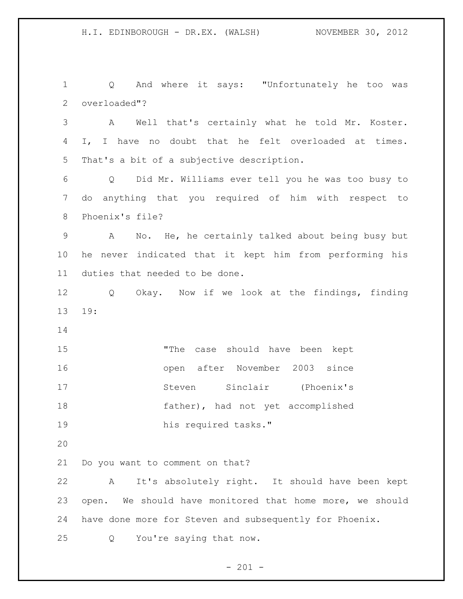Q And where it says: "Unfortunately he too was overloaded"? A Well that's certainly what he told Mr. Koster. I, I have no doubt that he felt overloaded at times. That's a bit of a subjective description. Q Did Mr. Williams ever tell you he was too busy to do anything that you required of him with respect to Phoenix's file? A No. He, he certainly talked about being busy but he never indicated that it kept him from performing his duties that needed to be done. Q Okay. Now if we look at the findings, finding 19: "The case should have been kept open after November 2003 since Steven Sinclair (Phoenix's father), had not yet accomplished his required tasks." Do you want to comment on that? A It's absolutely right. It should have been kept open. We should have monitored that home more, we should have done more for Steven and subsequently for Phoenix. Q You're saying that now.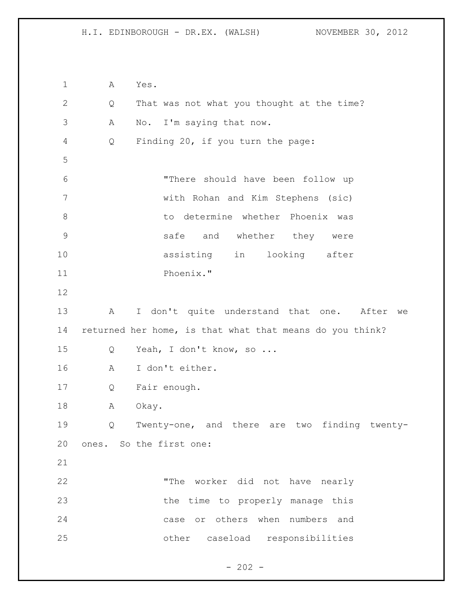A Yes. Q That was not what you thought at the time? A No. I'm saying that now. Q Finding 20, if you turn the page: "There should have been follow up with Rohan and Kim Stephens (sic) to determine whether Phoenix was safe and whether they were assisting in looking after Phoenix." A I don't quite understand that one. After we returned her home, is that what that means do you think? Q Yeah, I don't know, so ... A I don't either. Q Fair enough. 18 A Okay. Q Twenty-one, and there are two finding twenty- ones. So the first one: "The worker did not have nearly 23 the time to properly manage this case or others when numbers and other caseload responsibilities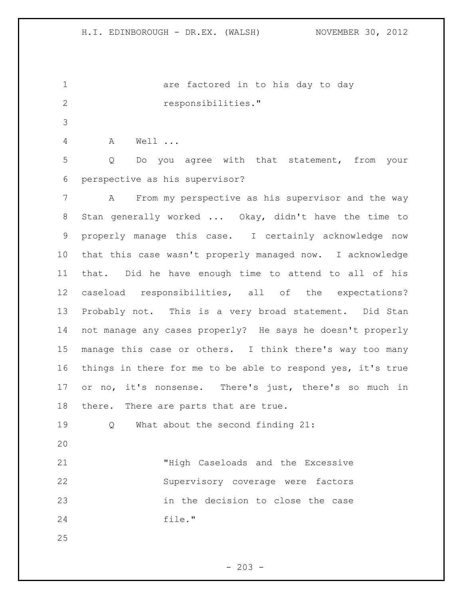1 are factored in to his day to day responsibilities."

A Well ...

 Q Do you agree with that statement, from your perspective as his supervisor?

 A From my perspective as his supervisor and the way Stan generally worked ... Okay, didn't have the time to properly manage this case. I certainly acknowledge now that this case wasn't properly managed now. I acknowledge that. Did he have enough time to attend to all of his caseload responsibilities, all of the expectations? Probably not. This is a very broad statement. Did Stan not manage any cases properly? He says he doesn't properly manage this case or others. I think there's way too many things in there for me to be able to respond yes, it's true or no, it's nonsense. There's just, there's so much in there. There are parts that are true.

Q What about the second finding 21:

 "High Caseloads and the Excessive Supervisory coverage were factors in the decision to close the case file."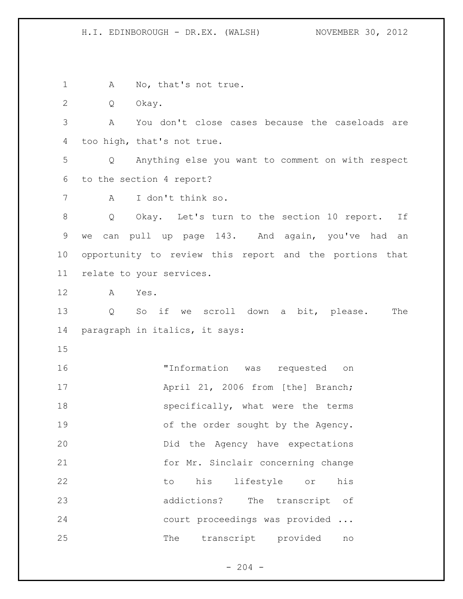H.I. EDINBOROUGH - DR.EX. (WALSH) NOVEMBER 30, 2012

1 A No, that's not true.

Q Okay.

 A You don't close cases because the caseloads are too high, that's not true.

 Q Anything else you want to comment on with respect to the section 4 report?

A I don't think so.

 Q Okay. Let's turn to the section 10 report. If we can pull up page 143. And again, you've had an opportunity to review this report and the portions that relate to your services.

A Yes.

 Q So if we scroll down a bit, please. The paragraph in italics, it says:

 "Information was requested on **April 21, 2006 from [the] Branch;** 18 specifically, what were the terms 19 of the order sought by the Agency. Did the Agency have expectations for Mr. Sinclair concerning change to his lifestyle or his addictions? The transcript of court proceedings was provided ... The transcript provided no

 $- 204 -$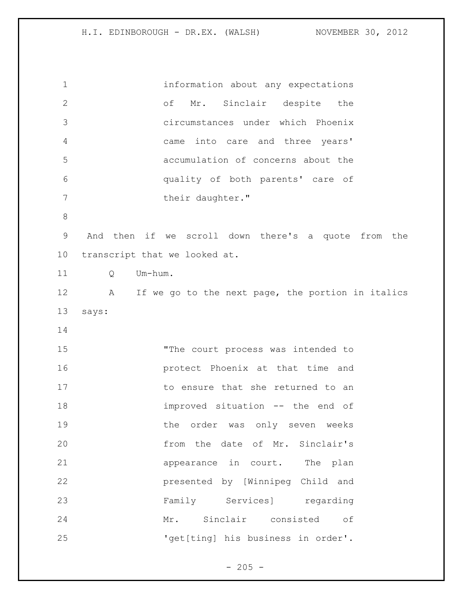information about any expectations of Mr. Sinclair despite the circumstances under which Phoenix came into care and three years' accumulation of concerns about the quality of both parents' care of 7 their daughter." And then if we scroll down there's a quote from the transcript that we looked at. Q Um-hum. 12 A If we go to the next page, the portion in italics says: 15 The court process was intended to protect Phoenix at that time and to ensure that she returned to an improved situation -- the end of 19 the order was only seven weeks from the date of Mr. Sinclair's 21 appearance in court. The plan presented by [Winnipeg Child and Family Services] regarding Mr. Sinclair consisted of 25 'get[ting] his business in order'.

 $- 205 -$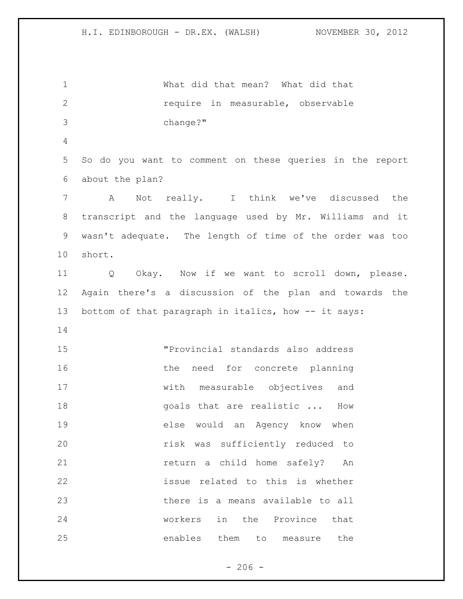What did that mean? What did that require in measurable, observable change?" So do you want to comment on these queries in the report about the plan? A Not really. I think we've discussed the transcript and the language used by Mr. Williams and it wasn't adequate. The length of time of the order was too short. Q Okay. Now if we want to scroll down, please. Again there's a discussion of the plan and towards the 13 bottom of that paragraph in italics, how -- it says: "Provincial standards also address 16 the need for concrete planning with measurable objectives and **goals** that are realistic ... How else would an Agency know when risk was sufficiently reduced to return a child home safely? An issue related to this is whether there is a means available to all workers in the Province that enables them to measure the

 $-206 -$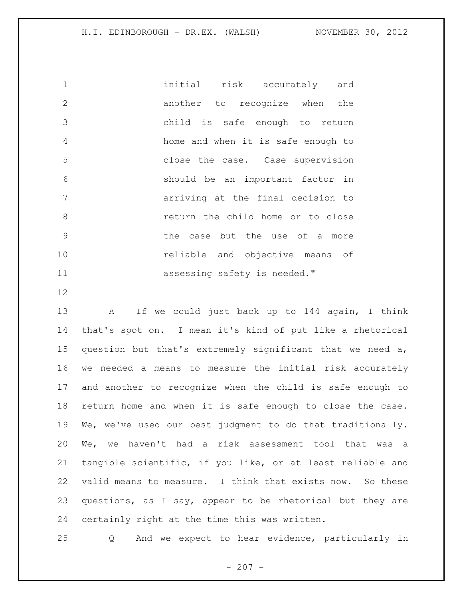initial risk accurately and 2 another to recognize when the child is safe enough to return home and when it is safe enough to close the case. Case supervision should be an important factor in arriving at the final decision to return the child home or to close the case but the use of a more reliable and objective means of **assessing safety is needed.**"

 A If we could just back up to 144 again, I think that's spot on. I mean it's kind of put like a rhetorical question but that's extremely significant that we need a, we needed a means to measure the initial risk accurately and another to recognize when the child is safe enough to return home and when it is safe enough to close the case. We, we've used our best judgment to do that traditionally. We, we haven't had a risk assessment tool that was a tangible scientific, if you like, or at least reliable and valid means to measure. I think that exists now. So these questions, as I say, appear to be rhetorical but they are certainly right at the time this was written.

Q And we expect to hear evidence, particularly in

 $- 207 -$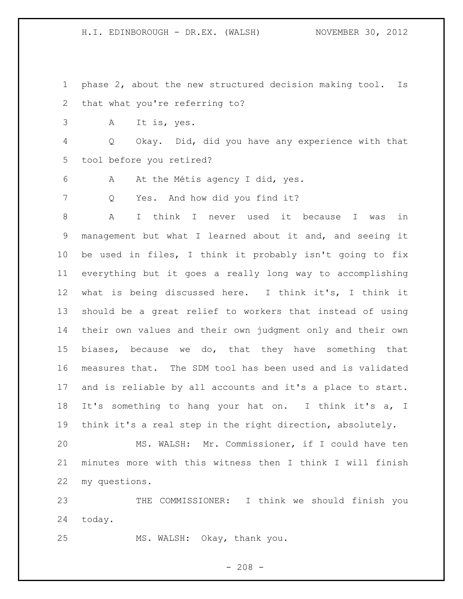H.I. EDINBOROUGH - DR.EX. (WALSH) NOVEMBER 30, 2012

- phase 2, about the new structured decision making tool. Is that what you're referring to?
- A It is, yes.

 Q Okay. Did, did you have any experience with that tool before you retired?

A At the Métis agency I did, yes.

Q Yes. And how did you find it?

 A I think I never used it because I was in management but what I learned about it and, and seeing it be used in files, I think it probably isn't going to fix everything but it goes a really long way to accomplishing what is being discussed here. I think it's, I think it should be a great relief to workers that instead of using their own values and their own judgment only and their own biases, because we do, that they have something that measures that. The SDM tool has been used and is validated and is reliable by all accounts and it's a place to start. It's something to hang your hat on. I think it's a, I think it's a real step in the right direction, absolutely.

 MS. WALSH: Mr. Commissioner, if I could have ten minutes more with this witness then I think I will finish my questions.

 THE COMMISSIONER: I think we should finish you today.

MS. WALSH: Okay, thank you.

 $- 208 -$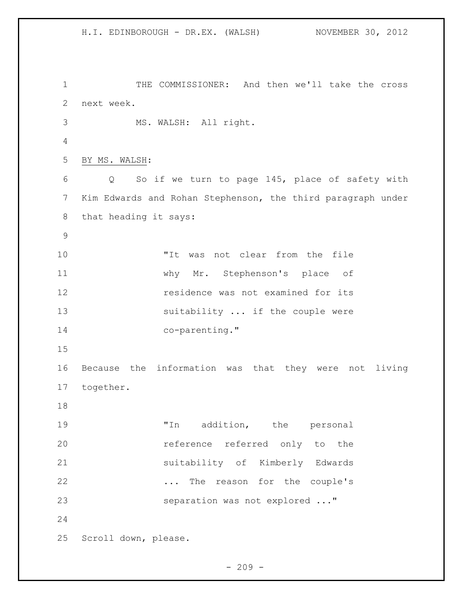H.I. EDINBOROUGH - DR.EX. (WALSH) NOVEMBER 30, 2012 THE COMMISSIONER: And then we'll take the cross next week. MS. WALSH: All right. BY MS. WALSH: Q So if we turn to page 145, place of safety with Kim Edwards and Rohan Stephenson, the third paragraph under that heading it says: "It was not clear from the file why Mr. Stephenson's place of residence was not examined for its 13 suitability ... if the couple were 14 co-parenting." Because the information was that they were not living together. 19 Th addition, the personal reference referred only to the suitability of Kimberly Edwards ... The reason for the couple's separation was not explored ..." Scroll down, please.

 $-209 -$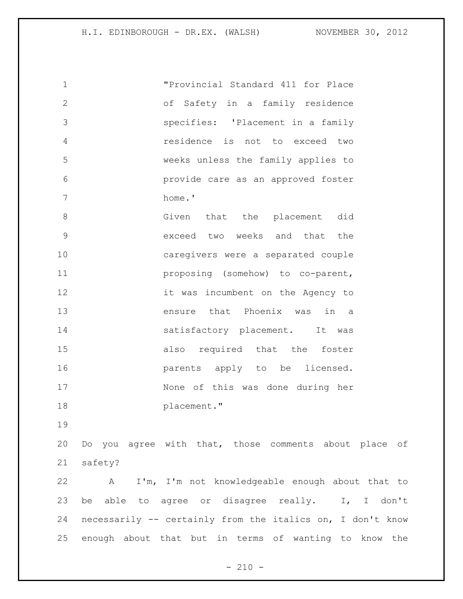| $\mathbf 1$    |         | "Provincial Standard 411 for Place                         |
|----------------|---------|------------------------------------------------------------|
| $\overline{2}$ |         | of Safety in a family residence                            |
| 3              |         | specifies: 'Placement in a family                          |
| $\overline{4}$ |         | residence is not to exceed two                             |
| 5              |         | weeks unless the family applies to                         |
| 6              |         | provide care as an approved foster                         |
| 7              |         | home.'                                                     |
| $8\,$          |         | Given that the placement did                               |
| $\mathsf 9$    |         | exceed two weeks and that the                              |
| 10             |         | caregivers were a separated couple                         |
| 11             |         | proposing (somehow) to co-parent,                          |
| 12             |         | it was incumbent on the Agency to                          |
| 13             |         | ensure that Phoenix was in a                               |
| 14             |         | satisfactory placement. It was                             |
| 15             |         | also required that the foster                              |
| 16             |         | parents apply to be licensed.                              |
| 17             |         | None of this was done during her                           |
| 18             |         | placement."                                                |
| 19             |         |                                                            |
| 20             |         | Do you agree with that, those comments about place of      |
| 21             | safety? |                                                            |
| 22             | A       | I'm, I'm not knowledgeable enough about that to            |
| 23             |         | be able to agree or disagree really.<br>I, I don't         |
| 24             |         | necessarily -- certainly from the italics on, I don't know |
| 25             |         | enough about that but in terms of wanting to know the      |

- 210 -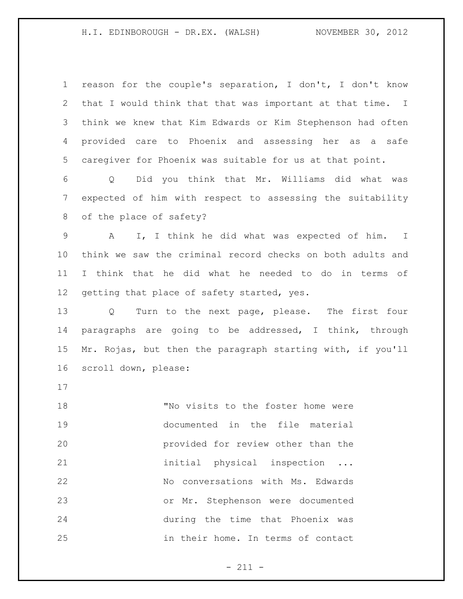reason for the couple's separation, I don't, I don't know that I would think that that was important at that time. I think we knew that Kim Edwards or Kim Stephenson had often provided care to Phoenix and assessing her as a safe caregiver for Phoenix was suitable for us at that point.

 Q Did you think that Mr. Williams did what was expected of him with respect to assessing the suitability of the place of safety?

 A I, I think he did what was expected of him. I think we saw the criminal record checks on both adults and I think that he did what he needed to do in terms of 12 getting that place of safety started, yes.

 Q Turn to the next page, please. The first four paragraphs are going to be addressed, I think, through Mr. Rojas, but then the paragraph starting with, if you'll scroll down, please:

 "No visits to the foster home were documented in the file material provided for review other than the 21 initial physical inspection ... No conversations with Ms. Edwards or Mr. Stephenson were documented during the time that Phoenix was in their home. In terms of contact

 $- 211 -$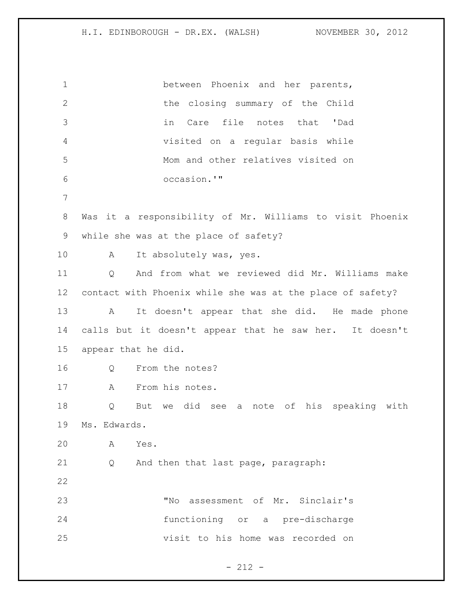between Phoenix and her parents, 2 the closing summary of the Child in Care file notes that 'Dad visited on a regular basis while Mom and other relatives visited on occasion.'" Was it a responsibility of Mr. Williams to visit Phoenix while she was at the place of safety? 10 A It absolutely was, yes. Q And from what we reviewed did Mr. Williams make contact with Phoenix while she was at the place of safety? A It doesn't appear that she did. He made phone calls but it doesn't appear that he saw her. It doesn't appear that he did. Q From the notes? A From his notes. Q But we did see a note of his speaking with Ms. Edwards. A Yes. Q And then that last page, paragraph: "No assessment of Mr. Sinclair's functioning or a pre-discharge visit to his home was recorded on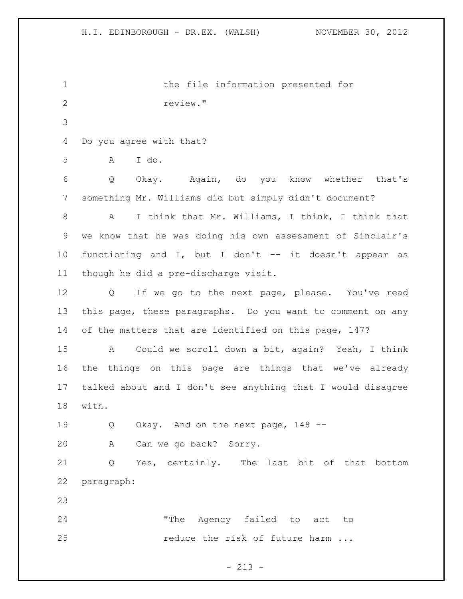the file information presented for review." Do you agree with that? A I do. Q Okay. Again, do you know whether that's something Mr. Williams did but simply didn't document? A I think that Mr. Williams, I think, I think that we know that he was doing his own assessment of Sinclair's functioning and I, but I don't -- it doesn't appear as though he did a pre-discharge visit. Q If we go to the next page, please. You've read this page, these paragraphs. Do you want to comment on any of the matters that are identified on this page, 147? A Could we scroll down a bit, again? Yeah, I think the things on this page are things that we've already talked about and I don't see anything that I would disagree with. Q Okay. And on the next page, 148 -- A Can we go back? Sorry. Q Yes, certainly. The last bit of that bottom paragraph: "The Agency failed to act to 25 reduce the risk of future harm ...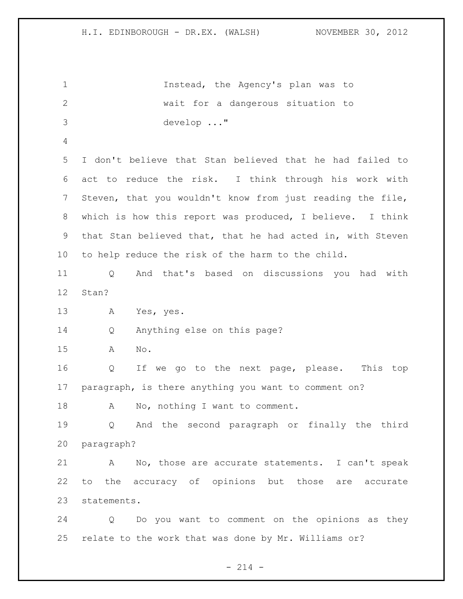Instead, the Agency's plan was to wait for a dangerous situation to develop ..." I don't believe that Stan believed that he had failed to act to reduce the risk. I think through his work with Steven, that you wouldn't know from just reading the file, which is how this report was produced, I believe. I think that Stan believed that, that he had acted in, with Steven to help reduce the risk of the harm to the child. Q And that's based on discussions you had with Stan? A Yes, yes. Q Anything else on this page? A No. Q If we go to the next page, please. This top paragraph, is there anything you want to comment on? 18 A No, nothing I want to comment. Q And the second paragraph or finally the third paragraph? A No, those are accurate statements. I can't speak to the accuracy of opinions but those are accurate statements. Q Do you want to comment on the opinions as they relate to the work that was done by Mr. Williams or?

 $- 214 -$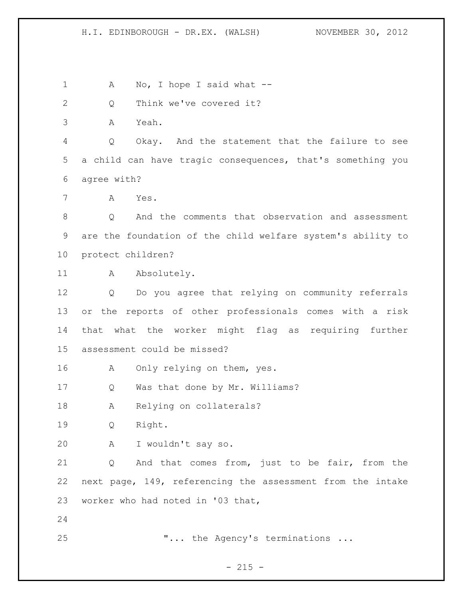1 A No, I hope I said what --

Q Think we've covered it?

A Yeah.

 Q Okay. And the statement that the failure to see a child can have tragic consequences, that's something you agree with?

A Yes.

 Q And the comments that observation and assessment are the foundation of the child welfare system's ability to protect children?

11 A Absolutely.

 Q Do you agree that relying on community referrals or the reports of other professionals comes with a risk that what the worker might flag as requiring further assessment could be missed?

16 A Only relying on them, yes.

Q Was that done by Mr. Williams?

18 A Relying on collaterals?

Q Right.

A I wouldn't say so.

 Q And that comes from, just to be fair, from the next page, 149, referencing the assessment from the intake worker who had noted in '03 that,

25 T... the Agency's terminations ...

 $- 215 -$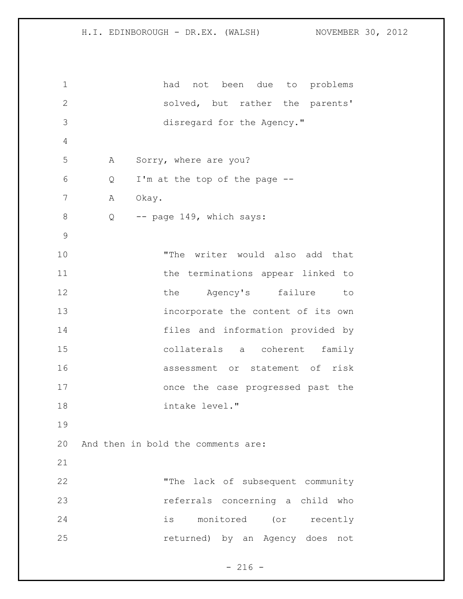had not been due to problems solved, but rather the parents' disregard for the Agency." A Sorry, where are you? Q I'm at the top of the page -- 7 A Okay. 8 Q -- page 149, which says: "The writer would also add that 11 the terminations appear linked to 12 the Agency's failure to incorporate the content of its own files and information provided by collaterals a coherent family assessment or statement of risk once the case progressed past the intake level." And then in bold the comments are: "The lack of subsequent community referrals concerning a child who is monitored (or recently returned) by an Agency does not

 $- 216 -$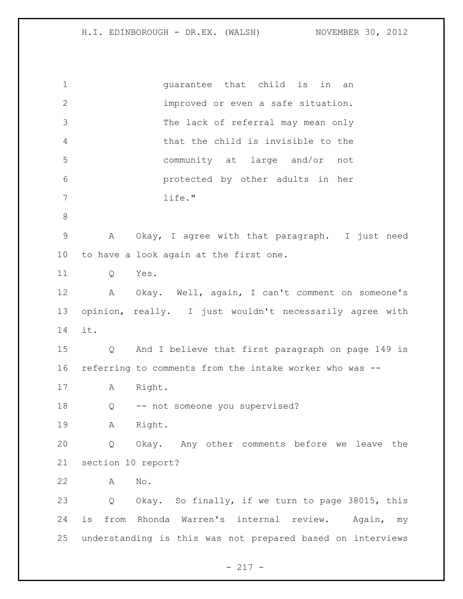| $\mathbf 1$     | quarantee that child is in<br>an                           |
|-----------------|------------------------------------------------------------|
| $\mathbf{2}$    | improved or even a safe situation.                         |
| 3               | The lack of referral may mean only                         |
| 4               | that the child is invisible to the                         |
| 5               | community at large and/or not                              |
| 6               | protected by other adults in her                           |
| 7               | life."                                                     |
| $\,8\,$         |                                                            |
| $\mathsf 9$     | Okay, I agree with that paragraph. I just need<br>Α        |
| 10 <sub>o</sub> | to have a look again at the first one.                     |
| 11              | Yes.<br>Q                                                  |
| 12              | A Okay. Well, again, I can't comment on someone's          |
| 13              | opinion, really. I just wouldn't necessarily agree with    |
| 14              | it.                                                        |
| 15              | And I believe that first paragraph on page 149 is<br>Q     |
| 16              | referring to comments from the intake worker who was --    |
| 17              | Right.<br>A                                                |
| 18              | -- not someone you supervised?<br>Q                        |
| 19              | Right.<br>Α                                                |
| 20              | Okay. Any other comments before we leave the<br>Q          |
| 21              | section 10 report?                                         |
| 22              | No.<br>Α                                                   |
| 23              | Q Okay. So finally, if we turn to page 38015, this         |
| 24              | from Rhonda Warren's internal review. Again,<br>is<br>my   |
| 25              | understanding is this was not prepared based on interviews |

- 217 -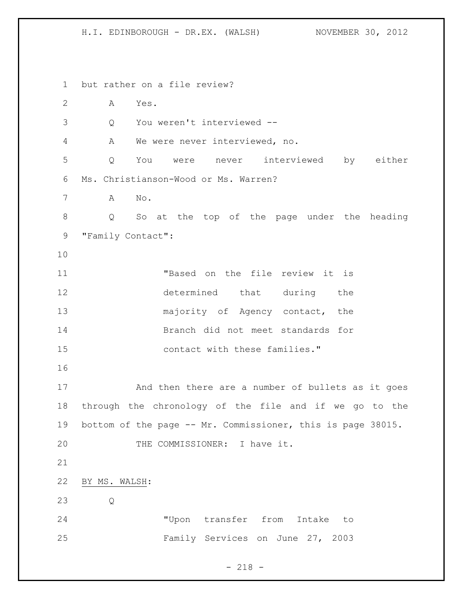H.I. EDINBOROUGH - DR.EX. (WALSH) NOVEMBER 30, 2012

 but rather on a file review? A Yes. Q You weren't interviewed -- A We were never interviewed, no. Q You were never interviewed by either Ms. Christianson-Wood or Ms. Warren? A No. Q So at the top of the page under the heading "Family Contact": "Based on the file review it is determined that during the 13 majority of Agency contact, the Branch did not meet standards for contact with these families." And then there are a number of bullets as it goes through the chronology of the file and if we go to the bottom of the page -- Mr. Commissioner, this is page 38015. 20 THE COMMISSIONER: I have it. BY MS. WALSH: Q "Upon transfer from Intake to Family Services on June 27, 2003

 $- 218 -$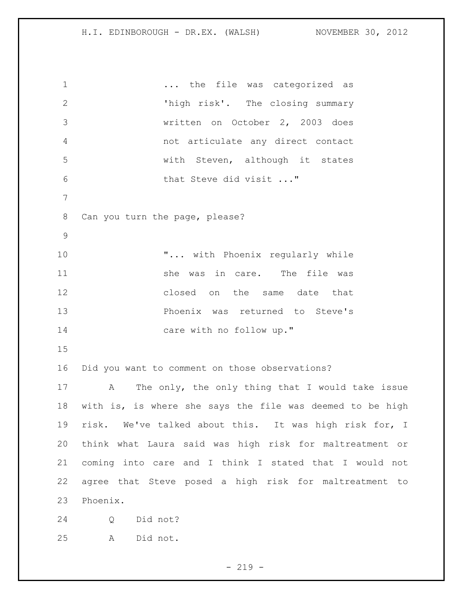1 ... the file was categorized as 'high risk'. The closing summary written on October 2, 2003 does not articulate any direct contact with Steven, although it states 6 that Steve did visit ..." Can you turn the page, please? **"...** with Phoenix regularly while 11 She was in care. The file was 12 closed on the same date that Phoenix was returned to Steve's 14 care with no follow up." Did you want to comment on those observations? A The only, the only thing that I would take issue with is, is where she says the file was deemed to be high risk. We've talked about this. It was high risk for, I think what Laura said was high risk for maltreatment or coming into care and I think I stated that I would not agree that Steve posed a high risk for maltreatment to Phoenix. Q Did not? A Did not.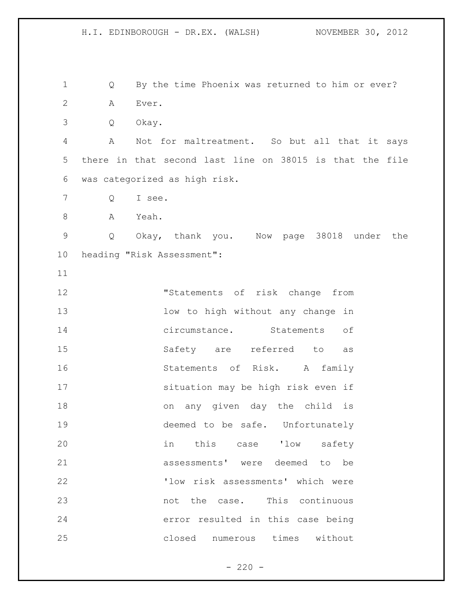Q By the time Phoenix was returned to him or ever? A Ever. Q Okay. A Not for maltreatment. So but all that it says there in that second last line on 38015 is that the file was categorized as high risk. Q I see. A Yeah. Q Okay, thank you. Now page 38018 under the heading "Risk Assessment": "Statements of risk change from low to high without any change in circumstance. Statements of Safety are referred to as Statements of Risk. A family situation may be high risk even if on any given day the child is deemed to be safe. Unfortunately in this case 'low safety assessments' were deemed to be 'low risk assessments' which were 23 hot the case. This continuous error resulted in this case being

closed numerous times without

 $- 220 -$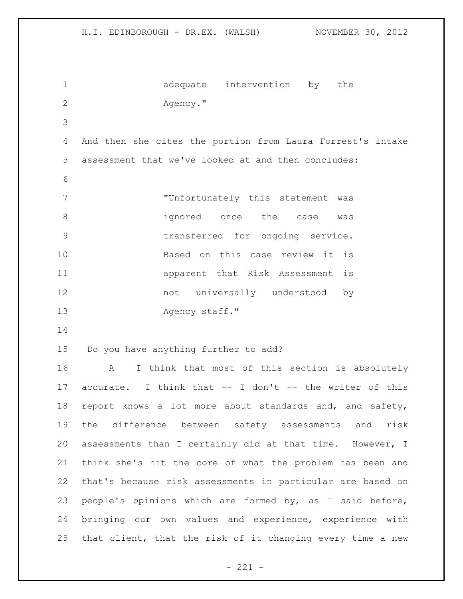|                | NOVEMBER 30, 2012<br>H.I. EDINBOROUGH - DR.EX. (WALSH)     |
|----------------|------------------------------------------------------------|
| $\mathbf 1$    | adequate intervention by the                               |
| $\overline{2}$ | Agency."                                                   |
| 3              |                                                            |
| 4              | And then she cites the portion from Laura Forrest's intake |
| 5              | assessment that we've looked at and then concludes:        |
| 6              |                                                            |
| 7              | "Unfortunately this statement was                          |
| 8              | ignored once the case<br>was                               |
| 9              | transferred for ongoing service.                           |
| 10             | Based on this case review it is                            |
| 11             | apparent that Risk Assessment is                           |
| 12             | not universally understood<br>by                           |
| 13             | Agency staff."                                             |
| 14             |                                                            |
| 15             | Do you have anything further to add?                       |
| 16             | I think that most of this section is absolutely<br>A       |
| 17             | accurate. I think that -- I don't -- the writer of this    |
| 18             | report knows a lot more about standards and, and safety,   |
| 19             | the difference between safety assessments and<br>risk      |
| 20             | assessments than I certainly did at that time. However, I  |
| 21             | think she's hit the core of what the problem has been and  |
| 22             | that's because risk assessments in particular are based on |
| 23             | people's opinions which are formed by, as I said before,   |

 bringing our own values and experience, experience with that client, that the risk of it changing every time a new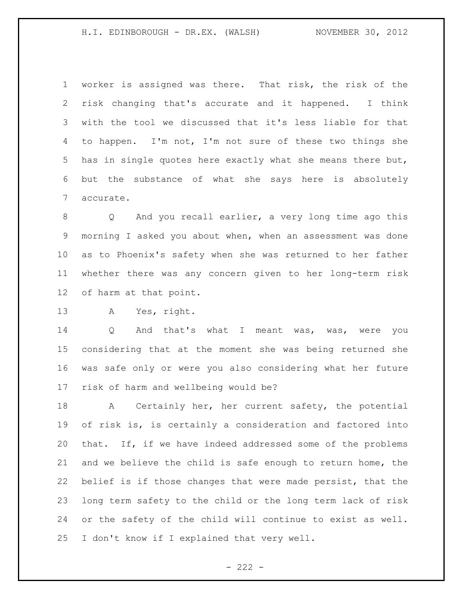worker is assigned was there. That risk, the risk of the risk changing that's accurate and it happened. I think with the tool we discussed that it's less liable for that to happen. I'm not, I'm not sure of these two things she has in single quotes here exactly what she means there but, but the substance of what she says here is absolutely accurate.

 Q And you recall earlier, a very long time ago this morning I asked you about when, when an assessment was done as to Phoenix's safety when she was returned to her father whether there was any concern given to her long-term risk of harm at that point.

A Yes, right.

 Q And that's what I meant was, was, were you considering that at the moment she was being returned she was safe only or were you also considering what her future risk of harm and wellbeing would be?

 A Certainly her, her current safety, the potential of risk is, is certainly a consideration and factored into that. If, if we have indeed addressed some of the problems and we believe the child is safe enough to return home, the belief is if those changes that were made persist, that the long term safety to the child or the long term lack of risk or the safety of the child will continue to exist as well. I don't know if I explained that very well.

 $- 222 -$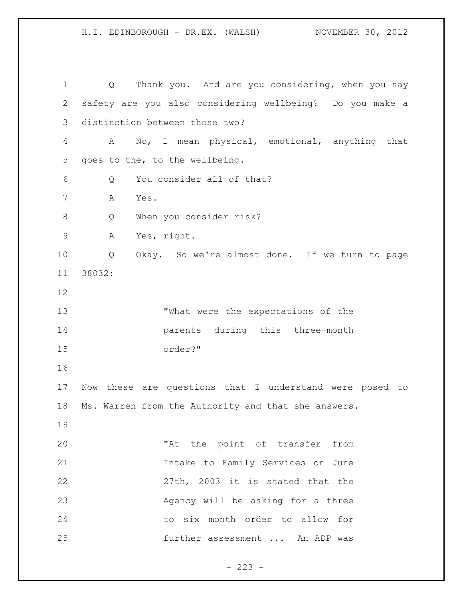H.I. EDINBOROUGH - DR.EX. (WALSH) NOVEMBER 30, 2012

 Q Thank you. And are you considering, when you say safety are you also considering wellbeing? Do you make a distinction between those two? A No, I mean physical, emotional, anything that goes to the, to the wellbeing. Q You consider all of that? A Yes. Q When you consider risk? A Yes, right. Q Okay. So we're almost done. If we turn to page 38032: "What were the expectations of the parents during this three-month order?" Now these are questions that I understand were posed to Ms. Warren from the Authority and that she answers. 20 The point of transfer from Intake to Family Services on June 27th, 2003 it is stated that the Agency will be asking for a three to six month order to allow for further assessment ... An ADP was

 $- 223 -$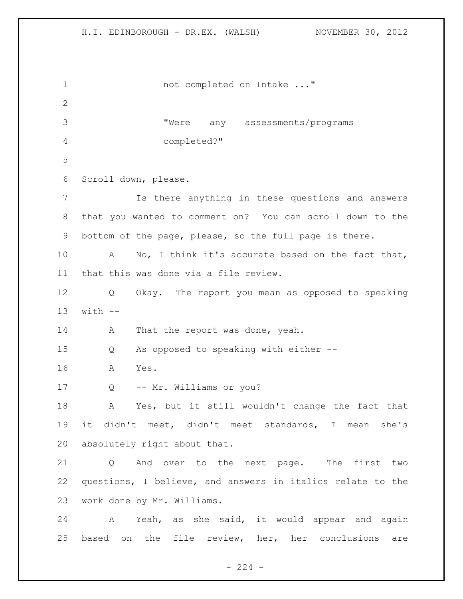1 not completed on Intake ..." "Were any assessments/programs completed?" Scroll down, please. Is there anything in these questions and answers that you wanted to comment on? You can scroll down to the bottom of the page, please, so the full page is there. A No, I think it's accurate based on the fact that, that this was done via a file review. Q Okay. The report you mean as opposed to speaking with  $-$ 14 A That the report was done, yeah. Q As opposed to speaking with either -- A Yes. Q -- Mr. Williams or you? A Yes, but it still wouldn't change the fact that it didn't meet, didn't meet standards, I mean she's absolutely right about that. Q And over to the next page. The first two questions, I believe, and answers in italics relate to the work done by Mr. Williams. A Yeah, as she said, it would appear and again based on the file review, her, her conclusions are